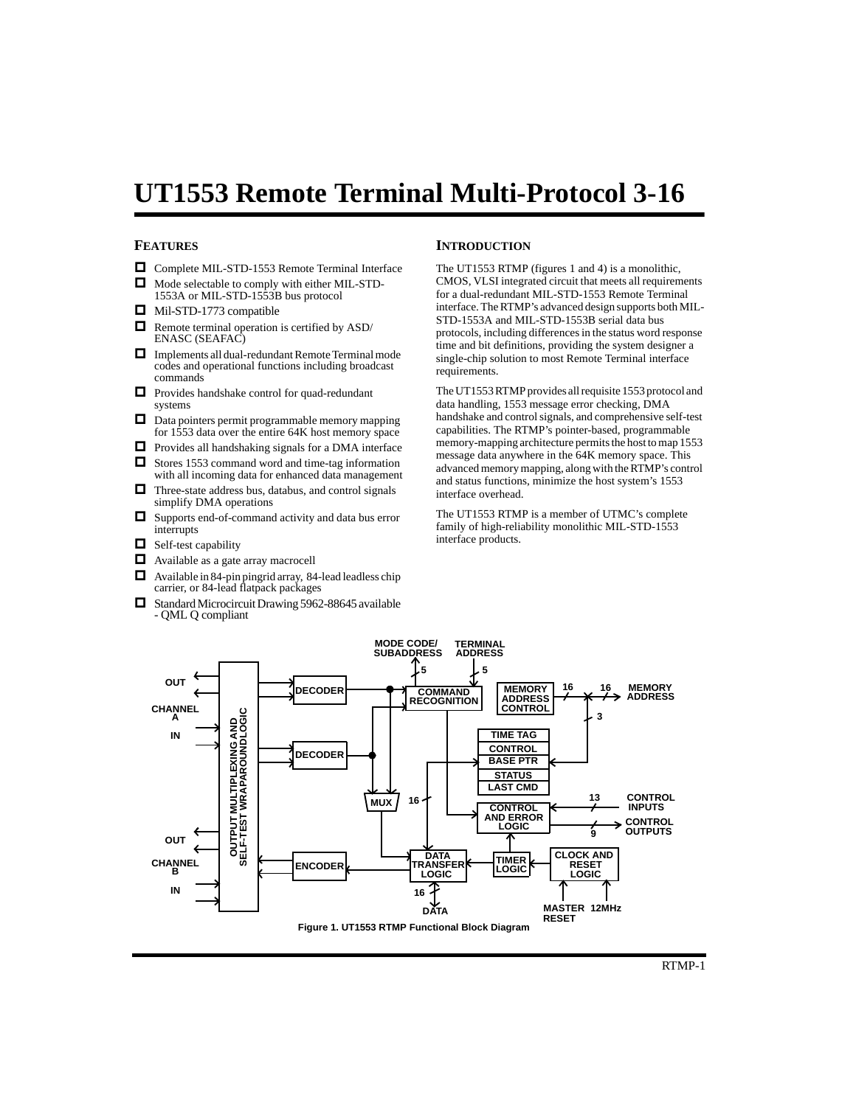# **UT1553 Remote Terminal Multi-Protocol 3-16**

## **FEATURES**

- Complete MIL-STD-1553 Remote Terminal Interface
- $\Box$  Mode selectable to comply with either MIL-STD-1553A or MIL-STD-1553B bus protocol
- Mil-STD-1773 compatible
- Remote terminal operation is certified by ASD/ ENASC (SEAFAC)
- Implements all dual-redundant Remote Terminal mode codes and operational functions including broadcast commands
- Provides handshake control for quad-redundant systems
- $\Box$  Data pointers permit programmable memory mapping for 1553 data over the entire 64K host memory space
- $\Box$  Provides all handshaking signals for a DMA interface
- $\Box$  Stores 1553 command word and time-tag information with all incoming data for enhanced data management
- $\Box$  Three-state address bus, databus, and control signals simplify DMA operations
- Supports end-of-command activity and data bus error interrupts
- $\Box$  Self-test capability
- $\Box$  Available as a gate array macrocell
- Available in 84-pin pingrid array, 84-lead leadless chip carrier, or 84-lead flatpack packages
- $\Box$  Standard Microcircuit Drawing 5962-88645 available - QML Q compliant

### **INTRODUCTION**

The UT1553 RTMP (figures 1 and 4) is a monolithic, CMOS, VLSI integrated circuit that meets all requirements for a dual-redundant MIL-STD-1553 Remote Terminal interface. The RTMP's advanced design supports both MIL-STD-1553A and MIL-STD-1553B serial data bus protocols, including differences in the status word response time and bit definitions, providing the system designer a single-chip solution to most Remote Terminal interface requirements.

The UT1553 RTMP provides all requisite 1553 protocol and data handling, 1553 message error checking, DMA handshake and control signals, and comprehensive self-test capabilities. The RTMP's pointer-based, programmable memory-mapping architecture permits the host to map 1553 message data anywhere in the 64K memory space. This advanced memory mapping, along with the RTMP's control and status functions, minimize the host system's 1553 interface overhead.

The UT1553 RTMP is a member of UTMC's complete family of high-reliability monolithic MIL-STD-1553 interface products.

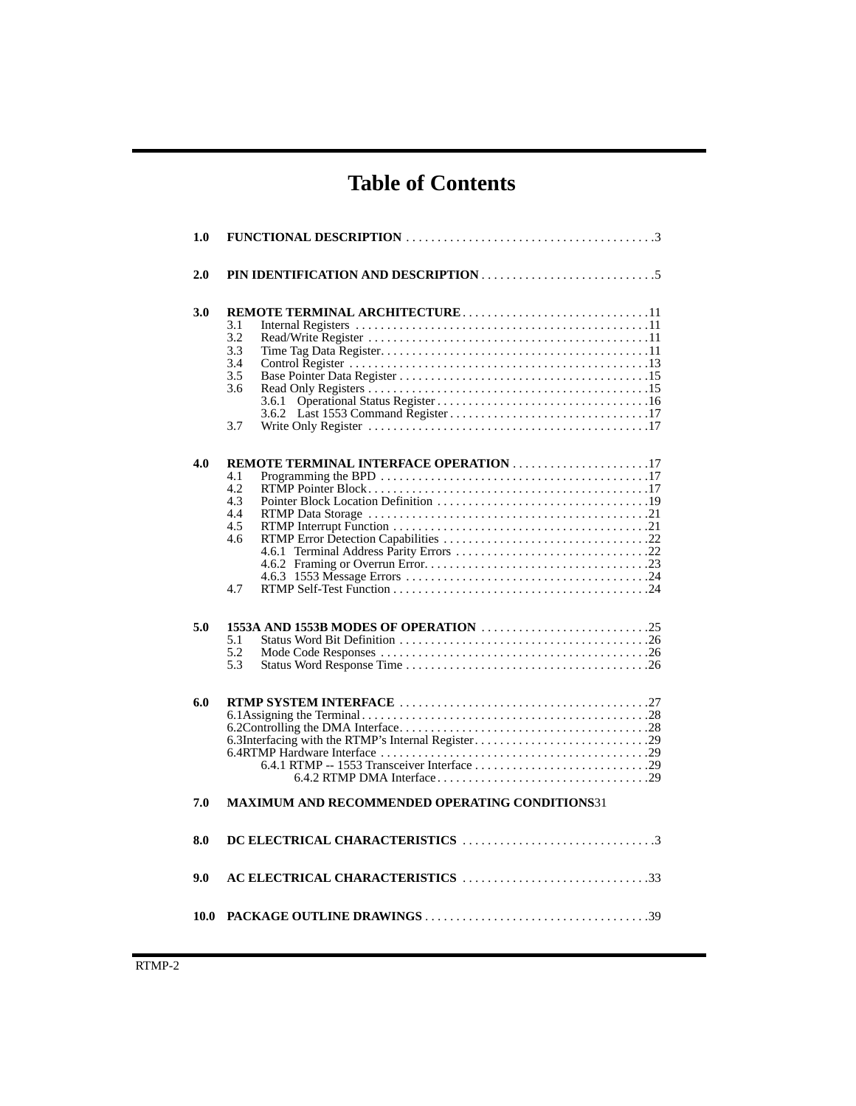# **Table of Contents**

| 1.0  |                                                                                                |
|------|------------------------------------------------------------------------------------------------|
| 2.0  |                                                                                                |
| 3.0  | 3.1<br>3.2<br>3.3<br>3.4<br>3.5<br>3.6<br>3.6.1<br>3.7                                         |
| 4.0  | <b>REMOTE TERMINAL INTERFACE OPERATION 17</b><br>4.1<br>4.2<br>4.3<br>4.4<br>4.5<br>4.6<br>4.7 |
| 5.0  | 5.1<br>5.2<br>5.3                                                                              |
| 6.0  | 6.3Interfacing with the RTMP's Internal Register29                                             |
| 7.0  | <b>MAXIMUM AND RECOMMENDED OPERATING CONDITIONS31</b>                                          |
| 8.0  |                                                                                                |
| 9.0  | AC ELECTRICAL CHARACTERISTICS 33                                                               |
| 10.0 |                                                                                                |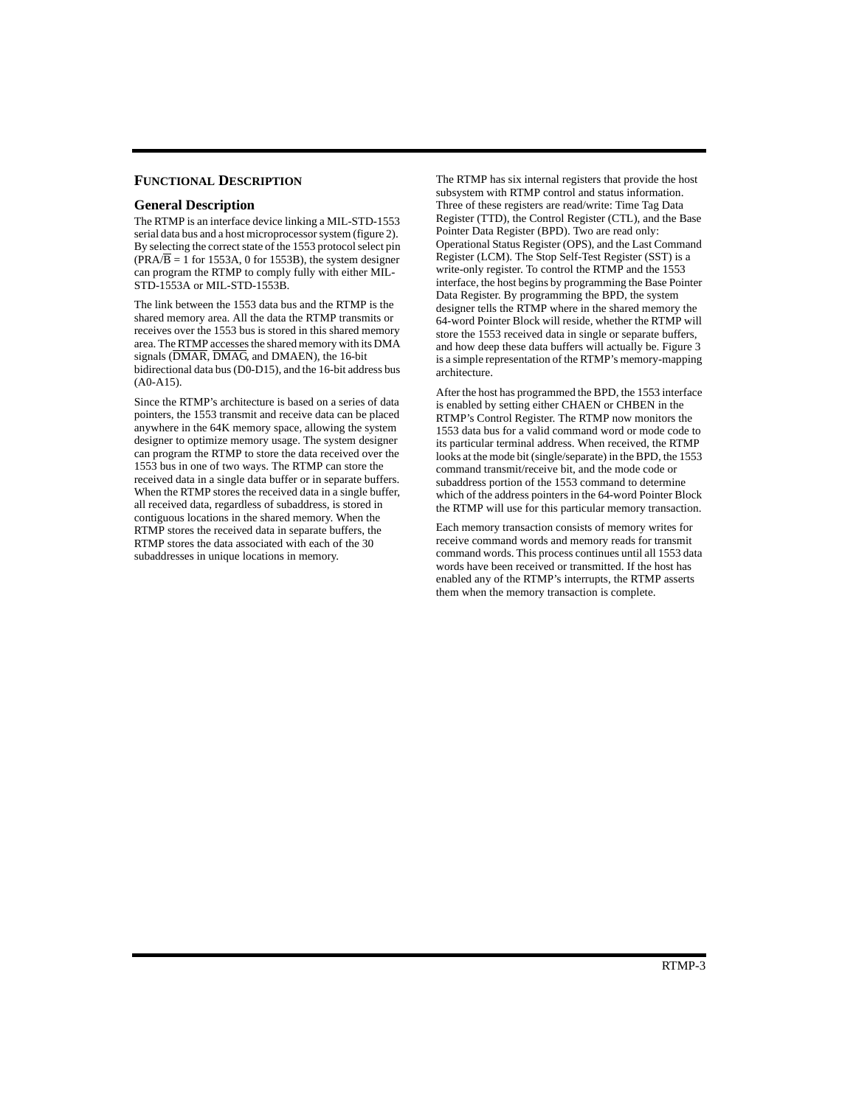### **FUNCTIONAL DESCRIPTION**

### **General Description**

The RTMP is an interface device linking a MIL-STD-1553 serial data bus and a host microprocessor system (figure 2). By selecting the correct state of the 1553 protocol select pin  $(\overline{PRA/B} = 1$  for 1553A, 0 for 1553B), the system designer can program the RTMP to comply fully with either MIL-STD-1553A or MIL-STD-1553B.

The link between the 1553 data bus and the RTMP is the shared memory area. All the data the RTMP transmits or receives over the 1553 bus is stored in this shared memory area. The RTMP accesses the shared memory with its DMA signals  $(DMAR, \overline{DMAG},$  and  $DMAEN$ ), the 16-bit bidirectional data bus (D0-D15), and the 16-bit address bus (A0-A15).

Since the RTMP's architecture is based on a series of data pointers, the 1553 transmit and receive data can be placed anywhere in the 64K memory space, allowing the system designer to optimize memory usage. The system designer can program the RTMP to store the data received over the 1553 bus in one of two ways. The RTMP can store the received data in a single data buffer or in separate buffers. When the RTMP stores the received data in a single buffer, all received data, regardless of subaddress, is stored in contiguous locations in the shared memory. When the RTMP stores the received data in separate buffers, the RTMP stores the data associated with each of the 30 subaddresses in unique locations in memory.

The RTMP has six internal registers that provide the host subsystem with RTMP control and status information. Three of these registers are read/write: Time Tag Data Register (TTD), the Control Register (CTL), and the Base Pointer Data Register (BPD). Two are read only: Operational Status Register (OPS), and the Last Command Register (LCM). The Stop Self-Test Register (SST) is a write-only register. To control the RTMP and the 1553 interface, the host begins by programming the Base Pointer Data Register. By programming the BPD, the system designer tells the RTMP where in the shared memory the 64-word Pointer Block will reside, whether the RTMP will store the 1553 received data in single or separate buffers, and how deep these data buffers will actually be. Figure 3 is a simple representation of the RTMP's memory-mapping architecture.

After the host has programmed the BPD, the 1553 interface is enabled by setting either CHAEN or CHBEN in the RTMP's Control Register. The RTMP now monitors the 1553 data bus for a valid command word or mode code to its particular terminal address. When received, the RTMP looks at the mode bit (single/separate) in the BPD, the 1553 command transmit/receive bit, and the mode code or subaddress portion of the 1553 command to determine which of the address pointers in the 64-word Pointer Block the RTMP will use for this particular memory transaction.

Each memory transaction consists of memory writes for receive command words and memory reads for transmit command words. This process continues until all 1553 data words have been received or transmitted. If the host has enabled any of the RTMP's interrupts, the RTMP asserts them when the memory transaction is complete.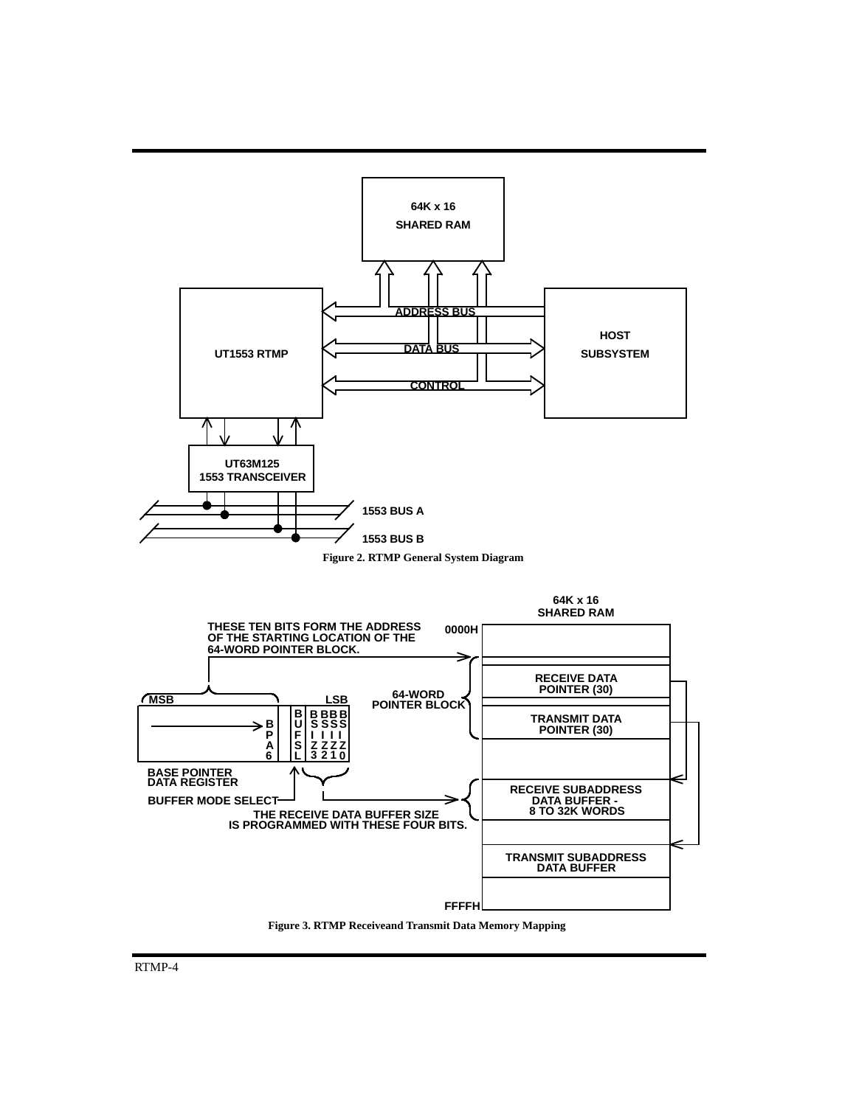

**Figure 3. RTMP Receiveand Transmit Data Memory Mapping**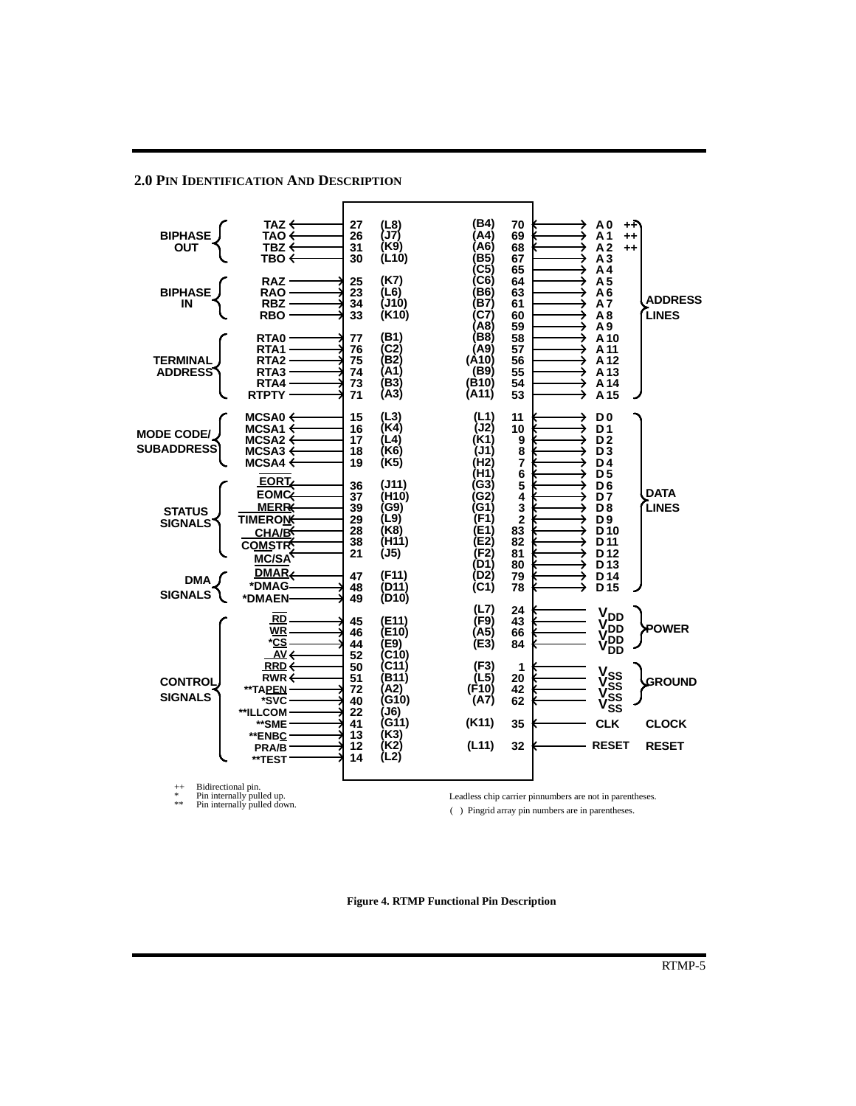### **2.0 PIN IDENTIFICATION AND DESCRIPTION**



Leadless chip carrier pinnumbers are not in parentheses. ( ) Pingrid array pin numbers are in parentheses.

**Figure 4. RTMP Functional Pin Description**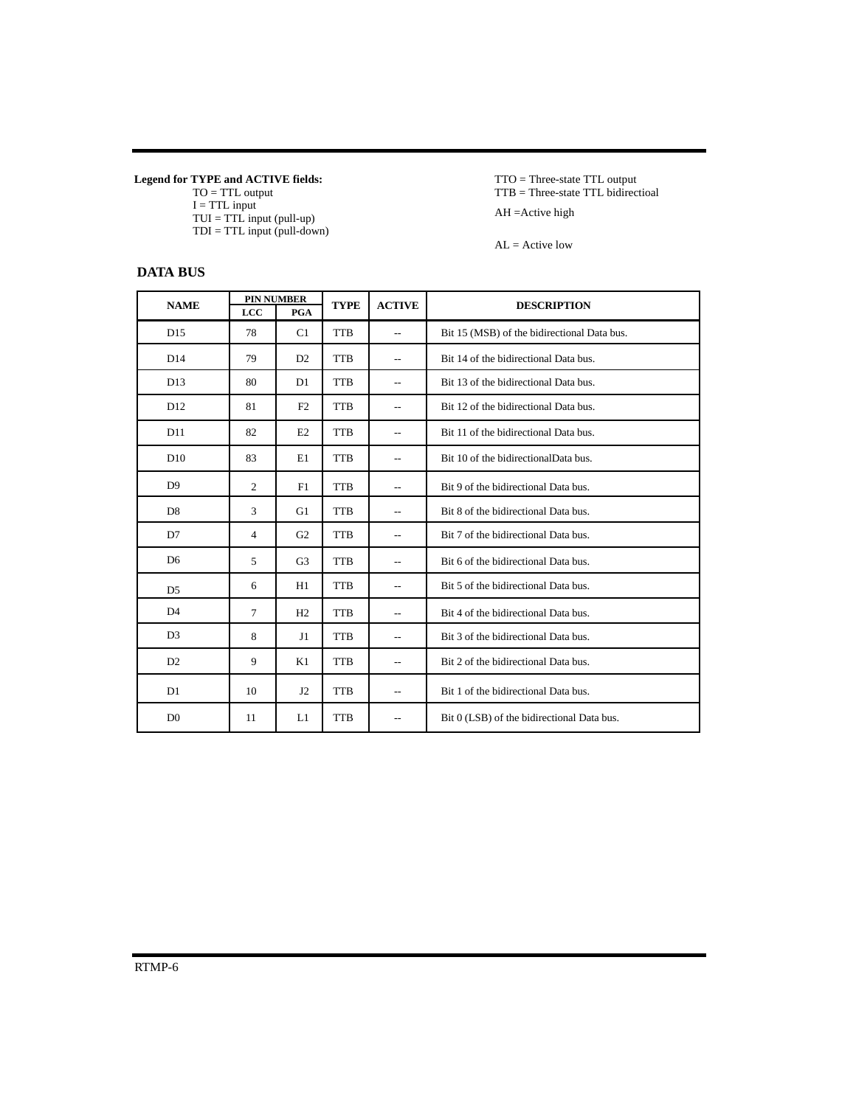**Legend for TYPE and ACTIVE fields:**

TO = TTL output  $I = TTL$  input TUI = TTL input (pull-up)  $TDI = TTL input (pull-down)$ 

# **DATA BUS**

TTO = Three-state TTL output TTB = Three-state TTL bidirectioal AH =Active high

 $AL = Active$  low

| <b>NAME</b>     |                | <b>PIN NUMBER</b> | <b>TYPE</b> | <b>ACTIVE</b>            | <b>DESCRIPTION</b>                          |
|-----------------|----------------|-------------------|-------------|--------------------------|---------------------------------------------|
|                 | LCC            | PGA               |             |                          |                                             |
| D15             | 78             | C1                | <b>TTB</b>  | $\overline{\phantom{a}}$ | Bit 15 (MSB) of the bidirectional Data bus. |
| D14             | 79             | D <sub>2</sub>    | <b>TTB</b>  | $\overline{\phantom{a}}$ | Bit 14 of the bidirectional Data bus.       |
| D13             | 80             | D <sub>1</sub>    | <b>TTB</b>  | $-$                      | Bit 13 of the bidirectional Data bus.       |
| D <sub>12</sub> | 81             | F2                | <b>TTB</b>  | $\overline{\phantom{a}}$ | Bit 12 of the bidirectional Data bus.       |
| D11             | 82             | E2                | <b>TTB</b>  | $\overline{a}$           | Bit 11 of the bidirectional Data bus.       |
| D10             | 83             | E1                | <b>TTB</b>  | $\overline{\phantom{a}}$ | Bit 10 of the bidirectionalData bus.        |
| D <sub>9</sub>  | $\overline{2}$ | F1                | <b>TTB</b>  | $\overline{a}$           | Bit 9 of the bidirectional Data bus.        |
| D <sub>8</sub>  | 3              | G1                | <b>TTB</b>  | $\overline{\phantom{a}}$ | Bit 8 of the bidirectional Data bus.        |
| D7              | 4              | G <sub>2</sub>    | <b>TTB</b>  | $\overline{\phantom{a}}$ | Bit 7 of the bidirectional Data bus.        |
| D <sub>6</sub>  | 5              | G3                | <b>TTB</b>  | $\overline{\phantom{a}}$ | Bit 6 of the bidirectional Data bus.        |
| D <sub>5</sub>  | 6              | H1                | <b>TTB</b>  | $\overline{\phantom{a}}$ | Bit 5 of the bidirectional Data bus.        |
| D <sub>4</sub>  | $\tau$         | H2                | <b>TTB</b>  | $\overline{\phantom{a}}$ | Bit 4 of the bidirectional Data bus.        |
| D <sub>3</sub>  | 8              | J1                | <b>TTB</b>  | $\overline{\phantom{a}}$ | Bit 3 of the bidirectional Data bus.        |
| D2              | 9              | K1                | <b>TTB</b>  |                          | Bit 2 of the bidirectional Data bus.        |
| D <sub>1</sub>  | 10             | J2                | <b>TTB</b>  | $\overline{\phantom{a}}$ | Bit 1 of the bidirectional Data bus.        |
| D <sub>0</sub>  | 11             | L1                | <b>TTB</b>  | $-$                      | Bit 0 (LSB) of the bidirectional Data bus.  |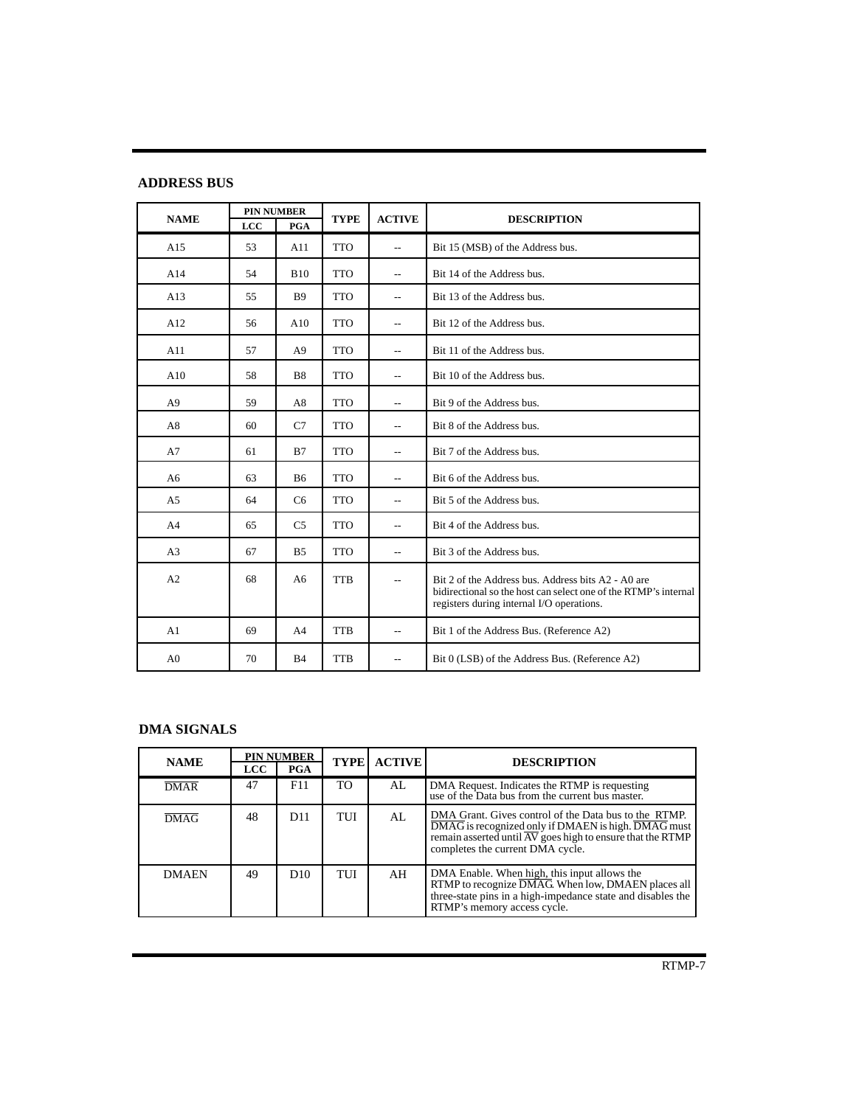# **ADDRESS BUS**

| <b>NAME</b>    | LCC | <b>PIN NUMBER</b><br>PGA | <b>TYPE</b> | <b>ACTIVE</b>            | <b>DESCRIPTION</b>                                                                                                                                                 |
|----------------|-----|--------------------------|-------------|--------------------------|--------------------------------------------------------------------------------------------------------------------------------------------------------------------|
| A15            | 53  | A11                      | <b>TTO</b>  | $\overline{a}$           | Bit 15 (MSB) of the Address bus.                                                                                                                                   |
| A14            | 54  | <b>B10</b>               | <b>TTO</b>  | $\overline{a}$           | Bit 14 of the Address bus.                                                                                                                                         |
| A13            | 55  | <b>B</b> 9               | <b>TTO</b>  | $\overline{a}$           | Bit 13 of the Address bus.                                                                                                                                         |
| A12            | 56  | A10                      | <b>TTO</b>  | $\overline{a}$           | Bit 12 of the Address bus.                                                                                                                                         |
| A11            | 57  | A <sup>9</sup>           | <b>TTO</b>  | $\overline{a}$           | Bit 11 of the Address bus.                                                                                                                                         |
| A10            | 58  | B <sub>8</sub>           | <b>TTO</b>  | $\overline{a}$           | Bit 10 of the Address bus.                                                                                                                                         |
| A <sub>9</sub> | 59  | A8                       | <b>TTO</b>  | $\overline{a}$           | Bit 9 of the Address bus.                                                                                                                                          |
| A8             | 60  | C7                       | <b>TTO</b>  | $\overline{a}$           | Bit 8 of the Address bus.                                                                                                                                          |
| A7             | 61  | B7                       | <b>TTO</b>  | $\overline{\phantom{a}}$ | Bit 7 of the Address bus.                                                                                                                                          |
| A <sub>6</sub> | 63  | <b>B6</b>                | <b>TTO</b>  | $\overline{\phantom{a}}$ | Bit 6 of the Address bus.                                                                                                                                          |
| A <sub>5</sub> | 64  | C <sub>6</sub>           | <b>TTO</b>  | $\overline{\phantom{m}}$ | Bit 5 of the Address bus.                                                                                                                                          |
| A <sub>4</sub> | 65  | C <sub>5</sub>           | <b>TTO</b>  | $\overline{\phantom{a}}$ | Bit 4 of the Address bus.                                                                                                                                          |
| A <sub>3</sub> | 67  | B <sub>5</sub>           | <b>TTO</b>  | $\overline{a}$           | Bit 3 of the Address bus.                                                                                                                                          |
| A2             | 68  | A6                       | <b>TTB</b>  | $\overline{\phantom{m}}$ | Bit 2 of the Address bus. Address bits A2 - A0 are<br>bidirectional so the host can select one of the RTMP's internal<br>registers during internal I/O operations. |
| A <sub>1</sub> | 69  | A <sub>4</sub>           | <b>TTB</b>  | $\overline{\phantom{m}}$ | Bit 1 of the Address Bus. (Reference A2)                                                                                                                           |
| A <sub>0</sub> | 70  | B <sub>4</sub>           | <b>TTB</b>  | $\overline{a}$           | Bit 0 (LSB) of the Address Bus. (Reference A2)                                                                                                                     |

# **DMA SIGNALS**

| <b>NAME</b>  | <b>LCC</b> | <b>PIN NUMBER</b><br><b>PGA</b> | <b>TYPE</b> | <b>ACTIVE</b> | <b>DESCRIPTION</b>                                                                                                                                                                                             |
|--------------|------------|---------------------------------|-------------|---------------|----------------------------------------------------------------------------------------------------------------------------------------------------------------------------------------------------------------|
|              |            |                                 |             |               |                                                                                                                                                                                                                |
| <b>DMAR</b>  | 47         | F11                             | <b>TO</b>   | AI.           | DMA Request. Indicates the RTMP is requesting<br>use of the Data bus from the current bus master.                                                                                                              |
| <b>DMAG</b>  | 48         | D11                             | TUI         | AL            | DMA Grant. Gives control of the Data bus to the RTMP.<br>DMAG is recognized only if DMAEN is high. DMAG must<br>remain asserted until AV goes high to ensure that the RTMP<br>completes the current DMA cycle. |
| <b>DMAEN</b> | 49         | D <sub>10</sub>                 | TUI         | AH            | DMA Enable. When high, this input allows the<br>RTMP to recognize DMAG. When low, DMAEN places all<br>three-state pins in a high-impedance state and disables the<br>RTMP's memory access cycle.               |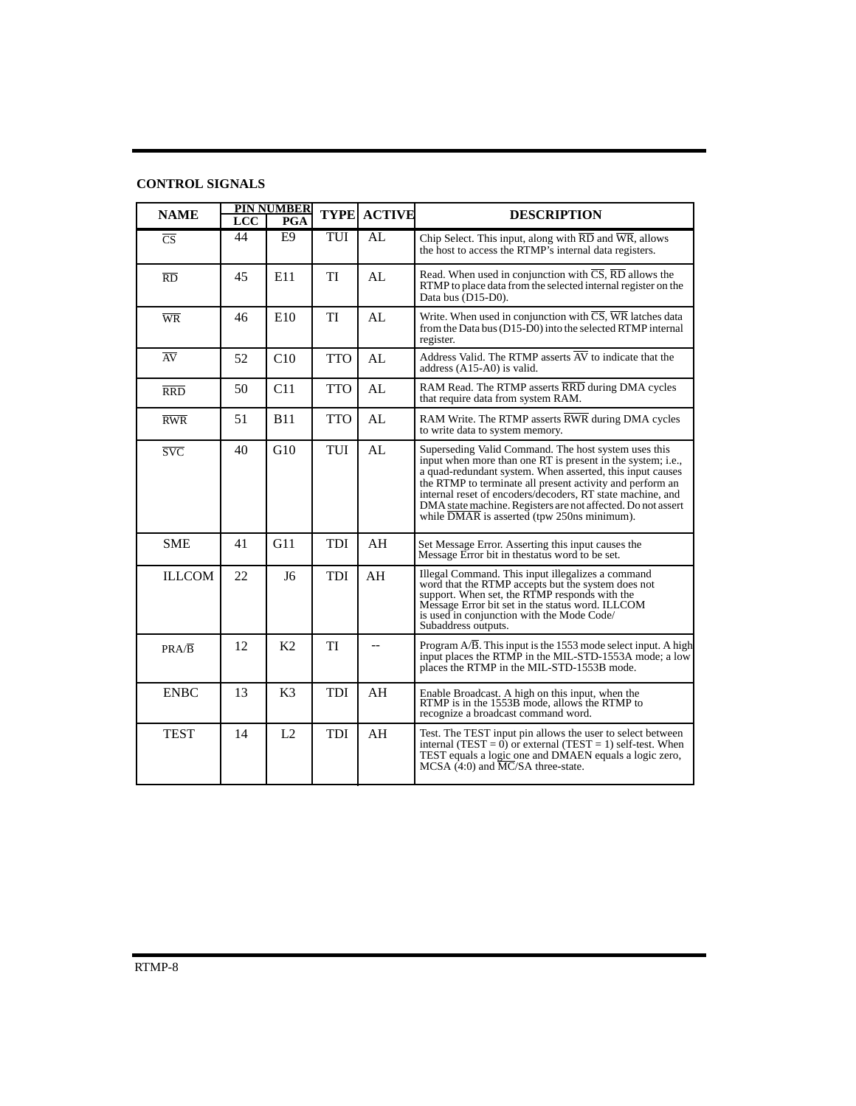| <b>NAME</b>             | LCC | <b>PIN NUMBER</b><br>PGA | <b>TYPE</b> | <b>ACTIVE</b> | <b>DESCRIPTION</b>                                                                                                                                                                                                                                                                                                                                                                                                         |
|-------------------------|-----|--------------------------|-------------|---------------|----------------------------------------------------------------------------------------------------------------------------------------------------------------------------------------------------------------------------------------------------------------------------------------------------------------------------------------------------------------------------------------------------------------------------|
| $\overline{\text{CS}}$  | 44  | E <sub>9</sub>           | TUI         | AI            | Chip Select. This input, along with RD and WR, allows<br>the host to access the RTMP's internal data registers.                                                                                                                                                                                                                                                                                                            |
| $\overline{RD}$         | 45  | E11                      | TI          | AI            | Read. When used in conjunction with $\overline{CS}$ , $\overline{RD}$ allows the<br>RTMP to place data from the selected internal register on the<br>Data bus (D15-D0).                                                                                                                                                                                                                                                    |
| $\overline{\text{WR}}$  | 46  | E10                      | TI          | AI            | Write. When used in conjunction with CS, WR latches data<br>from the Data bus (D15-D0) into the selected RTMP internal<br>register.                                                                                                                                                                                                                                                                                        |
| AV                      | 52  | C10                      | <b>TTO</b>  | AL            | Address Valid. The RTMP asserts $\overline{AV}$ to indicate that the<br>address (A15-A0) is valid.                                                                                                                                                                                                                                                                                                                         |
| <b>RRD</b>              | 50  | C11                      | <b>TTO</b>  | AL            | RAM Read. The RTMP asserts RRD during DMA cycles<br>that require data from system RAM.                                                                                                                                                                                                                                                                                                                                     |
| RWR                     | 51  | <b>B11</b>               | <b>TTO</b>  | AL            | RAM Write. The RTMP asserts RWR during DMA cycles<br>to write data to system memory.                                                                                                                                                                                                                                                                                                                                       |
| $\overline{\text{SVC}}$ | 40  | G10                      | TUI         | AL            | Superseding Valid Command. The host system uses this<br>input when more than one RT is present in the system; i.e.,<br>a quad-redundant system. When asserted, this input causes<br>the RTMP to terminate all present activity and perform an<br>internal reset of encoders/decoders, RT state machine, and<br>DMA state machine. Registers are not affected. Do not assert<br>while DMAR is asserted (tpw 250ns minimum). |
| <b>SME</b>              | 41  | G11                      | <b>TDI</b>  | AH            | Set Message Error. Asserting this input causes the<br>Message Error bit in the status word to be set.                                                                                                                                                                                                                                                                                                                      |
| <b>ILLCOM</b>           | 22  | J <sub>6</sub>           | <b>TDI</b>  | AH            | Illegal Command. This input illegalizes a command<br>word that the RTMP accepts but the system does not<br>support. When set, the RTMP responds with the<br>Message Error bit set in the status word. ILLCOM<br>is used in conjunction with the Mode Code/<br>Subaddress outputs.                                                                                                                                          |
| $PRA/\overline{B}$      | 12  | K2                       | TI          | $-$           | Program A/B. This input is the 1553 mode select input. A high<br>input places the RTMP in the MIL-STD-1553A mode; a low<br>places the RTMP in the MIL-STD-1553B mode.                                                                                                                                                                                                                                                      |
| <b>ENBC</b>             | 13  | K <sub>3</sub>           | TDI         | AH            | Enable Broadcast. A high on this input, when the<br>RTMP is in the 1553B mode, allows the RTMP to<br>recognize a broadcast command word.                                                                                                                                                                                                                                                                                   |
| <b>TEST</b>             | 14  | L2                       | <b>TDI</b>  | AH            | Test. The TEST input pin allows the user to select between<br>internal (TEST = $\overline{0}$ ) or external (TEST = 1) self-test. When<br>TEST equals a logic one and DMAEN equals a logic zero,<br>MCSA (4:0) and MC/SA three-state.                                                                                                                                                                                      |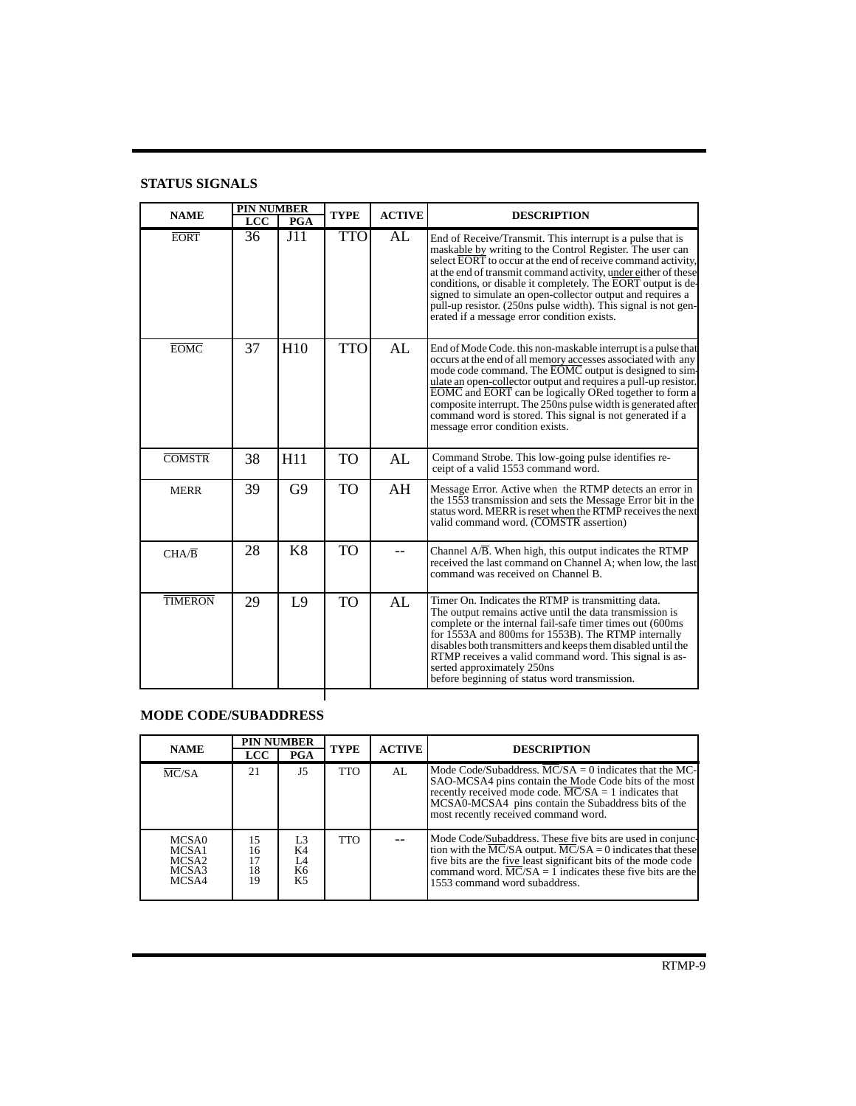# **STATUS SIGNALS**

| <b>NAME</b>        | <b>PIN NUMBER</b><br><b>LCC</b> | PGA            | <b>TYPE</b> | <b>ACTIVE</b> | <b>DESCRIPTION</b>                                                                                                                                                                                                                                                                                                                                                                                                                                                                                       |
|--------------------|---------------------------------|----------------|-------------|---------------|----------------------------------------------------------------------------------------------------------------------------------------------------------------------------------------------------------------------------------------------------------------------------------------------------------------------------------------------------------------------------------------------------------------------------------------------------------------------------------------------------------|
| <b>EORT</b>        | 36                              | J11            | <b>TTO</b>  | AL            | End of Receive/Transmit. This interrupt is a pulse that is<br>maskable by writing to the Control Register. The user can<br>select EORT to occur at the end of receive command activity,<br>at the end of transmit command activity, under either of these<br>conditions, or disable it completely. The EORT output is de-<br>signed to simulate an open-collector output and requires a<br>pull-up resistor. (250ns pulse width). This signal is not gen-<br>erated if a message error condition exists. |
| <b>EOMC</b>        | 37                              | H10            | <b>TTO</b>  | AL            | End of Mode Code, this non-maskable interrupt is a pulse that<br>occurs at the end of all memory accesses associated with any<br>mode code command. The EOMC output is designed to sim-<br>ulate an open-collector output and requires a pull-up resistor.<br>EOMC and EORT can be logically ORed together to form a<br>composite interrupt. The 250ns pulse width is generated after<br>command word is stored. This signal is not generated if a<br>message error condition exists.                    |
| <b>COMSTR</b>      | 38                              | H11            | <b>TO</b>   | AL            | Command Strobe. This low-going pulse identifies re-<br>ceipt of a valid 1553 command word.                                                                                                                                                                                                                                                                                                                                                                                                               |
| <b>MERR</b>        | 39                              | G9             | TO          | AH            | Message Error. Active when the RTMP detects an error in<br>the 1553 transmission and sets the Message Error bit in the<br>status word. MERR is reset when the RTMP receives the next<br>valid command word. (COMSTR assertion)                                                                                                                                                                                                                                                                           |
| $CHA/\overline{B}$ | 28                              | K8             | TO          |               | Channel A/B. When high, this output indicates the RTMP<br>received the last command on Channel A; when low, the last<br>command was received on Channel B.                                                                                                                                                                                                                                                                                                                                               |
| <b>TIMERON</b>     | 29                              | L <sub>9</sub> | <b>TO</b>   | AL            | Timer On. Indicates the RTMP is transmitting data.<br>The output remains active until the data transmission is<br>complete or the internal fail-safe timer times out (600ms)<br>for 1553A and 800ms for 1553B). The RTMP internally<br>disables both transmitters and keeps them disabled until the<br>RTMP receives a valid command word. This signal is as-<br>serted approximately 250ns<br>before beginning of status word transmission.                                                             |

# **MODE CODE/SUBADDRESS**

| <b>NAME</b>                                           | <b>PIN NUMBER</b><br><b>LCC</b> | <b>PGA</b>                                         | <b>TYPE</b> | <b>ACTIVE</b> | <b>DESCRIPTION</b>                                                                                                                                                                                                                                                                                                 |
|-------------------------------------------------------|---------------------------------|----------------------------------------------------|-------------|---------------|--------------------------------------------------------------------------------------------------------------------------------------------------------------------------------------------------------------------------------------------------------------------------------------------------------------------|
| MC/SA                                                 | 21                              | $_{\rm J5}$                                        | <b>TTO</b>  | AI.           | Mode Code/Subaddress, $MC/SA = 0$ indicates that the MC-<br>SAO-MCSA4 pins contain the Mode Code bits of the most<br>recently received mode code. $\overline{MC}/SA = 1$ indicates that<br>MCSA0-MCSA4 pins contain the Subaddress bits of the<br>most recently received command word.                             |
| MCSA0<br>MCSA1<br>MCSA <sub>2</sub><br>MCSA3<br>MCSA4 | 15<br>16<br>17<br>18<br>19      | L <sub>3</sub><br>K4<br>L4<br>K6<br>K <sub>5</sub> | <b>TTO</b>  |               | Mode Code/Subaddress. These five bits are used in conjunc-<br>tion with the MC/SA output. $MC/SA = 0$ indicates that these<br>five bits are the five least significant bits of the mode code<br>command word. $\overline{MC}/SA = \overline{1}$ indicates these five bits are the<br>1553 command word subaddress. |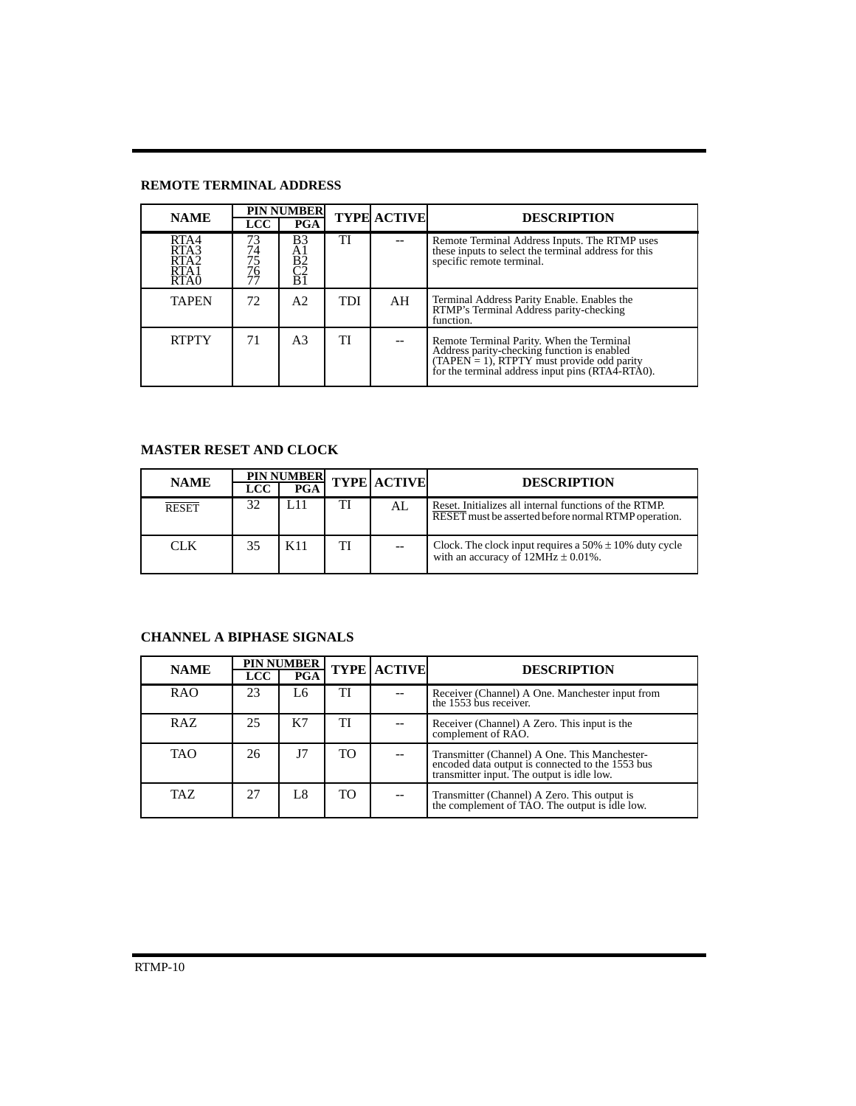# **REMOTE TERMINAL ADDRESS**

| <b>NAME</b>                                                  | <b>PIN NUMBER</b>          |                                                               | <b>TYPE ACTIVE</b> | <b>DESCRIPTION</b> |                                                                                                                                                                                            |
|--------------------------------------------------------------|----------------------------|---------------------------------------------------------------|--------------------|--------------------|--------------------------------------------------------------------------------------------------------------------------------------------------------------------------------------------|
|                                                              | <b>LCC</b>                 | <b>PGA</b>                                                    |                    |                    |                                                                                                                                                                                            |
| RTA4<br>RTA3<br>RTA <sub>2</sub><br>RTA1<br>RTA <sub>0</sub> | 73<br>74<br>75<br>76<br>77 | $\begin{array}{c}\n B3 \\ A1 \\ B2 \\ C2\n \end{array}$<br>ΒĪ | TI                 |                    | Remote Terminal Address Inputs. The RTMP uses<br>these inputs to select the terminal address for this<br>specific remote terminal.                                                         |
| <b>TAPEN</b>                                                 | 72                         | A2                                                            | TDI                | AH                 | Terminal Address Parity Enable. Enables the<br>RTMP's Terminal Address parity-checking<br>function.                                                                                        |
| <b>RTPTY</b>                                                 | 71                         | A <sub>3</sub>                                                | TI                 |                    | Remote Terminal Parity. When the Terminal<br>Address parity-checking function is enabled<br>(TAPEN = 1), RTPTY must provide odd parity<br>for the terminal address input pins (RTA4-RTA0). |

# **MASTER RESET AND CLOCK**

| <b>NAME</b>  | <b>LCC</b> | <b>PIN NUMBER</b><br>PGA |    | <b>TYPE ACTIVE</b> | <b>DESCRIPTION</b>                                                                                             |
|--------------|------------|--------------------------|----|--------------------|----------------------------------------------------------------------------------------------------------------|
| <b>RESET</b> | 32         |                          |    | AL                 | Reset. Initializes all internal functions of the RTMP.<br>RESET must be asserted before normal RTMP operation. |
| <b>CLK</b>   | 35         | K11                      | TI |                    | Clock. The clock input requires a 50% $\pm$ 10% duty cycle with an accuracy of 12MHz $\pm$ 0.01%.              |

# **CHANNEL A BIPHASE SIGNALS**

| <b>NAME</b> | <b>PIN NUMBER</b> |            | <b>TYPE ACTIVE</b> |  |                                                                                                                                                 |
|-------------|-------------------|------------|--------------------|--|-------------------------------------------------------------------------------------------------------------------------------------------------|
|             | <b>LCC</b>        | <b>PGA</b> |                    |  | <b>DESCRIPTION</b>                                                                                                                              |
| RAO         | 23                | L6         | TI                 |  | Receiver (Channel) A One. Manchester input from<br>the 1553 bus receiver.                                                                       |
| RAZ         | 25                | K7         | TI                 |  | Receiver (Channel) A Zero. This input is the<br>complement of RAO.                                                                              |
| <b>TAO</b>  | 26                | J7         | TO                 |  | Transmitter (Channel) A One. This Manchester-<br>encoded data output is connected to the 1553 bus<br>transmitter input. The output is idle low. |
| TAZ.        | 27                | L8         | TO.                |  | Transmitter (Channel) A Zero. This output is<br>the complement of TAO. The output is idle low.                                                  |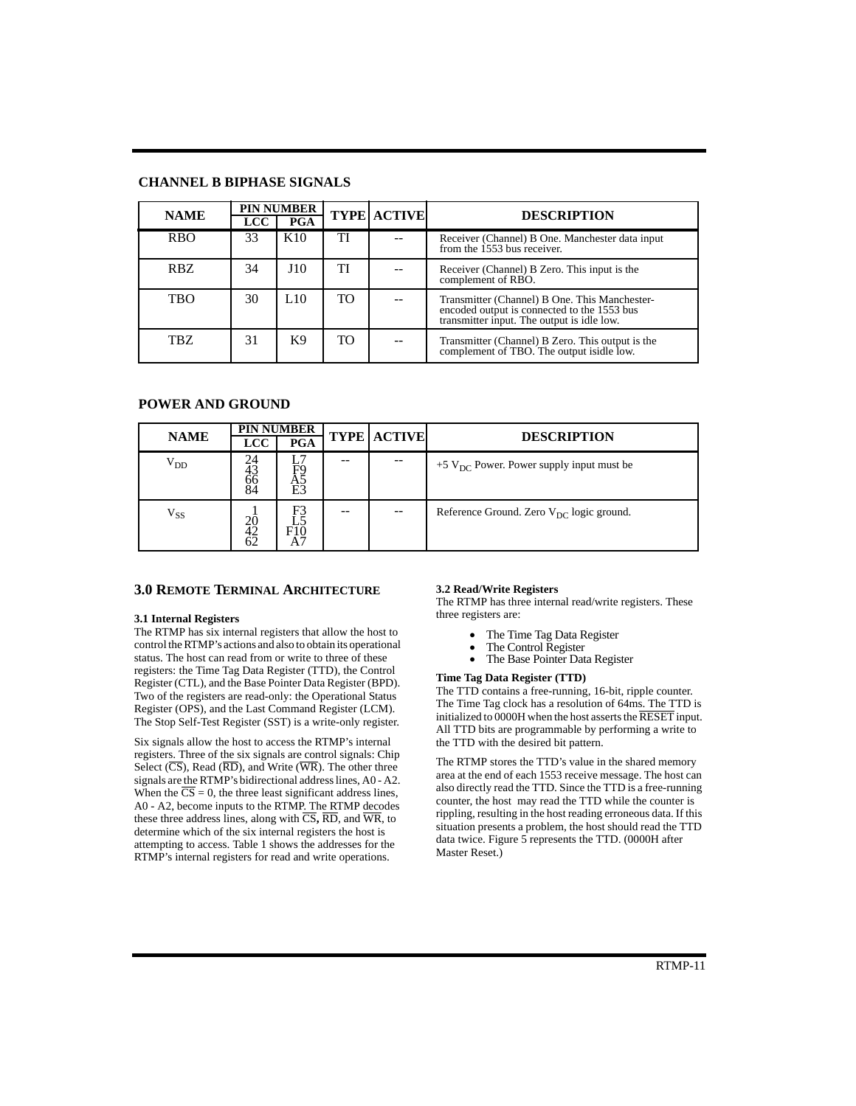### **CHANNEL B BIPHASE SIGNALS**

| <b>NAME</b> | <b>LCC</b> | <b>PIN NUMBER</b><br><b>PGA</b> |     | <b>TYPE ACTIVE</b> | <b>DESCRIPTION</b>                                                                                                                         |
|-------------|------------|---------------------------------|-----|--------------------|--------------------------------------------------------------------------------------------------------------------------------------------|
| <b>RBO</b>  | 33         | K10                             | TI  |                    | Receiver (Channel) B One. Manchester data input<br>from the 1553 bus receiver.                                                             |
| RBZ         | 34         | J10                             | TI  |                    | Receiver (Channel) B Zero. This input is the<br>complement of RBO.                                                                         |
| TBO         | 30         | L <sub>10</sub>                 | TO. |                    | Transmitter (Channel) B One. This Manchester-<br>encoded output is connected to the 1553 bus<br>transmitter input. The output is idle low. |
| TBZ         | 31         | K <sub>9</sub>                  | TO. |                    | Transmitter (Channel) B Zero. This output is the complement of TBO. The output isidle low.                                                 |

# **POWER AND GROUND**

| <b>NAME</b>        |                          | <b>PIN NUMBER</b>                  |  |                    | <b>DESCRIPTION</b>                                     |  |  |  |  |
|--------------------|--------------------------|------------------------------------|--|--------------------|--------------------------------------------------------|--|--|--|--|
|                    | <b>LCC</b>               | <b>PGA</b>                         |  | <b>TYPE ACTIVE</b> |                                                        |  |  |  |  |
| $\rm V_{DD}$       | 24<br>43<br>$^{66}_{84}$ | F9<br>A5<br>E3                     |  |                    | $+5$ V <sub>DC</sub> Power. Power supply input must be |  |  |  |  |
| ${\rm v}_{\rm ss}$ | 20<br>42<br>62           | F3<br>F<br>$F_{\lambda}^{10}$<br>A |  | $-$                | Reference Ground. Zero $V_{DC}$ logic ground.          |  |  |  |  |

### **3.0 REMOTE TERMINAL ARCHITECTURE**

#### **3.1 Internal Registers**

The RTMP has six internal registers that allow the host to control the RTMP's actions and also to obtain its operational status. The host can read from or write to three of these registers: the Time Tag Data Register (TTD), the Control Register (CTL), and the Base Pointer Data Register (BPD). Two of the registers are read-only: the Operational Status Register (OPS), and the Last Command Register (LCM). The Stop Self-Test Register (SST) is a write-only register.

Six signals allow the host to access the RTMP's internal registers. Three of the six signals are control signals: Chip Select  $(\overline{\text{CS}})$ , Read  $(\overline{\text{RD}})$ , and Write  $(\overline{\text{WR}})$ . The other three signals are the RTMP's bidirectional address lines, A0 - A2. When the  $\overline{CS} = 0$ , the three least significant address lines, A0 - A2, become inputs to the RTMP. The RTMP decodes these three address lines, along with  $\overline{CS}$ ,  $\overline{RD}$ , and  $\overline{WR}$ , to determine which of the six internal registers the host is attempting to access. Table 1 shows the addresses for the RTMP's internal registers for read and write operations.

#### **3.2 Read/Write Registers**

The RTMP has three internal read/write registers. These three registers are:

- The Time Tag Data Register
- The Control Register
- The Base Pointer Data Register

### **Time Tag Data Register (TTD)**

The TTD contains a free-running, 16-bit, ripple counter. The Time Tag clock has a resolution of 64ms. The TTD is initialized to  $0000H$  when the host asserts the  $\overline{\text{RESET}}$  input. All TTD bits are programmable by performing a write to the TTD with the desired bit pattern.

The RTMP stores the TTD's value in the shared memory area at the end of each 1553 receive message. The host can also directly read the TTD. Since the TTD is a free-running counter, the host may read the TTD while the counter is rippling, resulting in the host reading erroneous data. If this situation presents a problem, the host should read the TTD data twice. Figure 5 represents the TTD. (0000H after Master Reset.)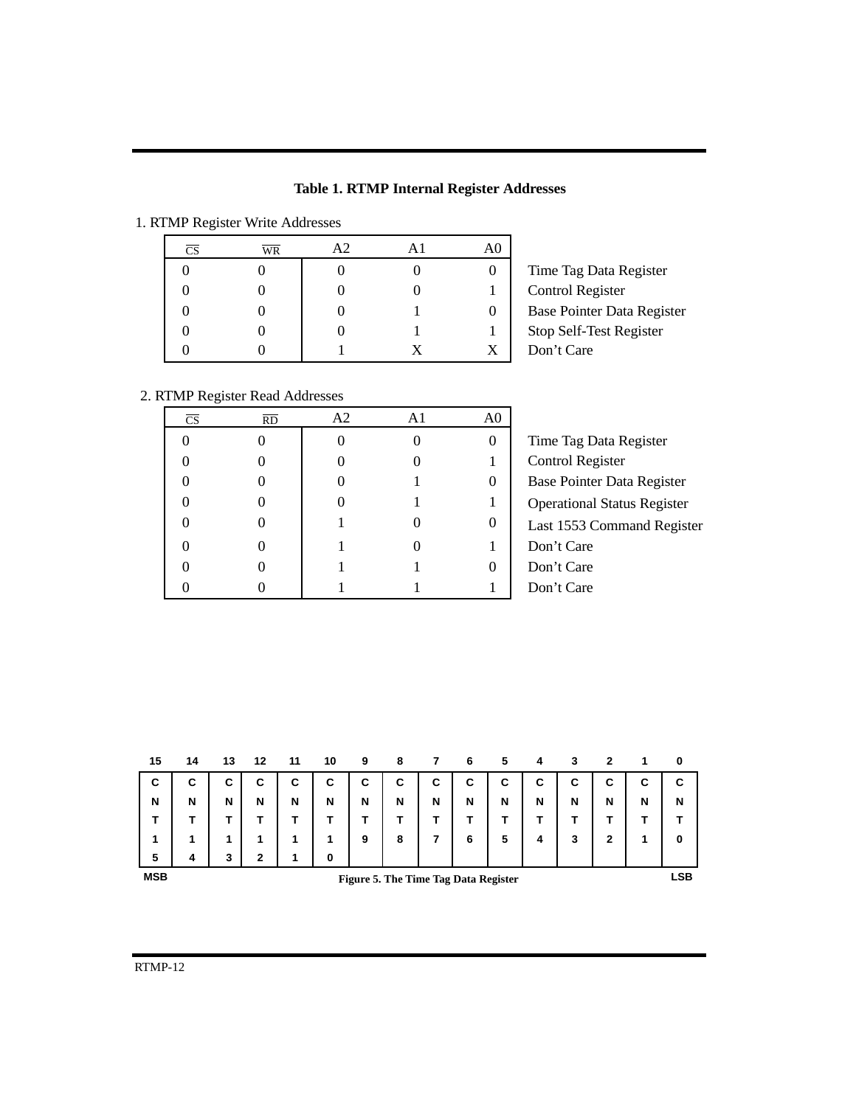|  |  |  |  | <b>Table 1. RTMP Internal Register Addresses</b> |
|--|--|--|--|--------------------------------------------------|
|--|--|--|--|--------------------------------------------------|

# 1. RTMP Register Write Addresses

| $\overline{\text{CS}}$ | $\overline{\text{WR}}$ | A2 | A <sub>1</sub> | A <sub>0</sub> |
|------------------------|------------------------|----|----------------|----------------|
|                        |                        |    |                |                |
| 0                      |                        |    |                |                |
| 0                      |                        |    |                |                |
|                        |                        |    |                |                |
|                        |                        |    | X              | X              |

Time Tag Data Register Control Register Base Pointer Data Register Stop Self-Test Register Don't Care

# 2. RTMP Register Read Addresses

| CS | <b>RD</b> | A <sub>2</sub> | A1 | A <sub>0</sub> |                                    |
|----|-----------|----------------|----|----------------|------------------------------------|
|    |           |                |    | $\Omega$       | Time Tag Data Register             |
|    |           |                |    |                | Control Register                   |
|    |           |                |    | $\theta$       | Base Pointer Data Register         |
|    |           |                |    |                | <b>Operational Status Register</b> |
|    |           |                |    | $\theta$       | Last 1553 Command Register         |
|    |           |                |    |                | Don't Care                         |
|    |           |                |    | $\Omega$       | Don't Care                         |
|    |           |                |    |                | Don't Care                         |

| 15         | 14 | 13 | 12           | 11 | 10 | 9 | 8                                    |   | 6 | 5 | 4 | 3 | 2            |   | 0   |
|------------|----|----|--------------|----|----|---|--------------------------------------|---|---|---|---|---|--------------|---|-----|
| C          | С  | С  | С            | С  | C  | С | С                                    | С | C | C | C | С | С            | С | C   |
| N          | N  | N  | N            | N  | N  | N | N                                    | N | N | N | N | N | N            | N | N   |
|            |    |    |              |    |    |   |                                      |   |   |   |   |   |              |   |     |
| 1          |    | 1  |              | 1  | 1  | 9 | 8                                    |   | 6 | 5 | 4 | 3 | $\mathbf{2}$ | ٠ | 0   |
| 5          | 4  | 3  | $\mathbf{2}$ | 1  | 0  |   |                                      |   |   |   |   |   |              |   |     |
| <b>MSB</b> |    |    |              |    |    |   | Figure 5. The Time Tag Data Register |   |   |   |   |   |              |   | LSB |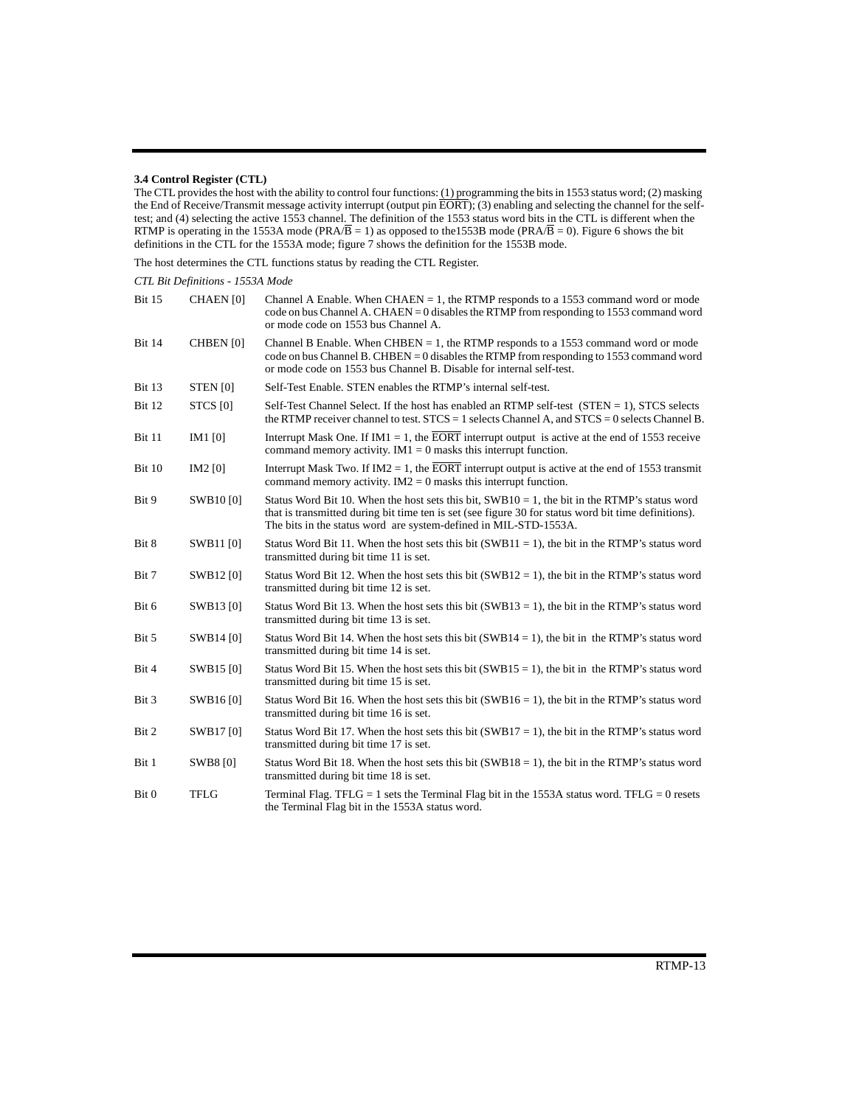#### **3.4 Control Register (CTL)**

The CTL provides the host with the ability to control four functions: (1) programming the bits in 1553 status word; (2) masking the End of Receive/Transmit message activity interrupt (output pin EORT); (3) enabling and selecting the channel for the selftest; and (4) selecting the active 1553 channel. The definition of the 1553 status word bits in the CTL is different when the RTMP is operating in the 1553A mode (PRA/B = 1) as opposed to the 1553B mode (PRA/B = 0). Figure 6 shows the bit definitions in the CTL for the 1553A mode; figure 7 shows the definition for the 1553B mode.

The host determines the CTL functions status by reading the CTL Register.

| CTL Bit Definitions - 1553A Mode |  |  |
|----------------------------------|--|--|
|----------------------------------|--|--|

| <b>Bit 15</b> | <b>CHAEN</b> [0]    | Channel A Enable. When $CHAEN = 1$ , the RTMP responds to a 1553 command word or mode<br>code on bus Channel A. CHAEN = 0 disables the RTMP from responding to 1553 command word<br>or mode code on 1553 bus Channel A.                                                      |
|---------------|---------------------|------------------------------------------------------------------------------------------------------------------------------------------------------------------------------------------------------------------------------------------------------------------------------|
| <b>Bit 14</b> | CHBEN [0]           | Channel B Enable. When $CHBEN = 1$ , the RTMP responds to a 1553 command word or mode<br>code on bus Channel B. CHBEN = 0 disables the RTMP from responding to 1553 command word<br>or mode code on 1553 bus Channel B. Disable for internal self-test.                      |
| <b>Bit 13</b> | STEN <sub>[0]</sub> | Self-Test Enable. STEN enables the RTMP's internal self-test.                                                                                                                                                                                                                |
| <b>Bit 12</b> | STCS [0]            | Self-Test Channel Select. If the host has enabled an RTMP self-test $(STEN = 1)$ , STCS selects<br>the RTMP receiver channel to test. $STCS = 1$ selects Channel A, and $STCS = 0$ selects Channel B.                                                                        |
| Bit 11        | IM <sub>1</sub> [0] | Interrupt Mask One. If IM1 = 1, the EORT interrupt output is active at the end of 1553 receive<br>command memory activity. $IM1 = 0$ masks this interrupt function.                                                                                                          |
| Bit 10        | IM2 [0]             | Interrupt Mask Two. If IM2 = 1, the $\overline{EORT}$ interrupt output is active at the end of 1553 transmit<br>command memory activity. $IM2 = 0$ masks this interrupt function.                                                                                            |
| Bit 9         | SWB10 [0]           | Status Word Bit 10. When the host sets this bit, $SWB10 = 1$ , the bit in the RTMP's status word<br>that is transmitted during bit time ten is set (see figure 30 for status word bit time definitions).<br>The bits in the status word are system-defined in MIL-STD-1553A. |
| Bit 8         | <b>SWB11 [0]</b>    | Status Word Bit 11. When the host sets this bit (SWB11 = 1), the bit in the RTMP's status word<br>transmitted during bit time 11 is set.                                                                                                                                     |
| Bit 7         | SWB12 [0]           | Status Word Bit 12. When the host sets this bit (SWB12 = 1), the bit in the RTMP's status word<br>transmitted during bit time 12 is set.                                                                                                                                     |
| Bit 6         | SWB13 [0]           | Status Word Bit 13. When the host sets this bit (SWB13 = 1), the bit in the RTMP's status word<br>transmitted during bit time 13 is set.                                                                                                                                     |
| Bit 5         | SWB14 [0]           | Status Word Bit 14. When the host sets this bit $(SWB14 = 1)$ , the bit in the RTMP's status word<br>transmitted during bit time 14 is set.                                                                                                                                  |
| Bit 4         | SWB15 [0]           | Status Word Bit 15. When the host sets this bit (SWB15 = 1), the bit in the RTMP's status word<br>transmitted during bit time 15 is set.                                                                                                                                     |
| Bit 3         | SWB16 [0]           | Status Word Bit 16. When the host sets this bit (SWB16 = 1), the bit in the RTMP's status word<br>transmitted during bit time 16 is set.                                                                                                                                     |
| Bit 2         | SWB17 [0]           | Status Word Bit 17. When the host sets this bit (SWB17 = 1), the bit in the RTMP's status word<br>transmitted during bit time 17 is set.                                                                                                                                     |
| Bit 1         | <b>SWB8</b> [0]     | Status Word Bit 18. When the host sets this bit $(SWB18 = 1)$ , the bit in the RTMP's status word<br>transmitted during bit time 18 is set.                                                                                                                                  |
| Bit 0         | <b>TFLG</b>         | Terminal Flag. TFLG = 1 sets the Terminal Flag bit in the 1553A status word. TFLG = 0 resets<br>the Terminal Flag bit in the 1553A status word.                                                                                                                              |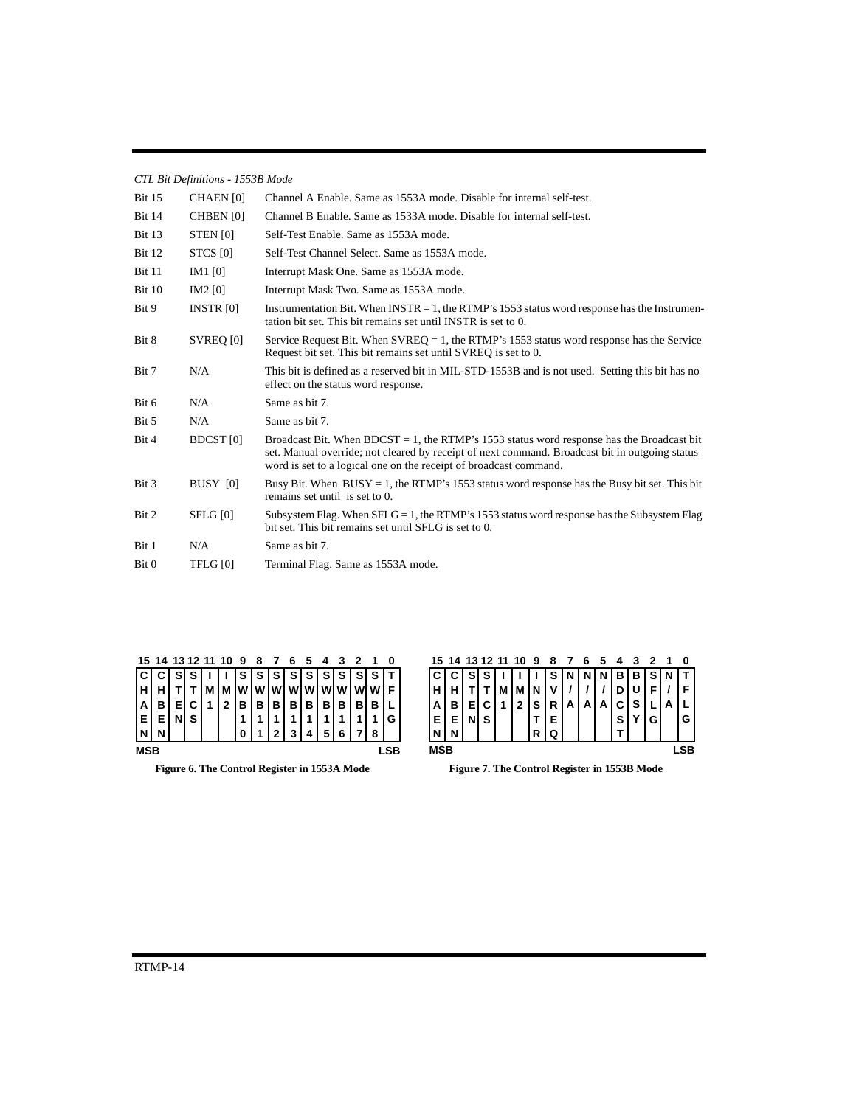| CTL Bit Definitions - 1553B Mode |  |
|----------------------------------|--|
|                                  |  |

| <b>Bit 15</b> | CHAEN [0]           | Channel A Enable. Same as 1553A mode. Disable for internal self-test.                                                                                                                                                                                            |
|---------------|---------------------|------------------------------------------------------------------------------------------------------------------------------------------------------------------------------------------------------------------------------------------------------------------|
| <b>Bit 14</b> | CHBEN [0]           | Channel B Enable. Same as 1533A mode. Disable for internal self-test.                                                                                                                                                                                            |
| <b>Bit 13</b> | STEN <sub>[0]</sub> | Self-Test Enable. Same as 1553A mode.                                                                                                                                                                                                                            |
| Bit 12        | STCS [0]            | Self-Test Channel Select. Same as 1553A mode.                                                                                                                                                                                                                    |
| Bit 11        | IM1 $[0]$           | Interrupt Mask One. Same as 1553A mode.                                                                                                                                                                                                                          |
| Bit 10        | $IM2$ [0]           | Interrupt Mask Two. Same as 1553A mode.                                                                                                                                                                                                                          |
| Bit 9         | INSTR $[0]$         | Instrumentation Bit. When $INSTR = 1$ , the RTMP's 1553 status word response has the Instrumen-<br>tation bit set. This bit remains set until INSTR is set to 0.                                                                                                 |
| Bit 8         | SVREO [0]           | Service Request Bit. When $SVREO = 1$ , the RTMP's 1553 status word response has the Service<br>Request bit set. This bit remains set until SVREQ is set to 0.                                                                                                   |
| Bit 7         | N/A                 | This bit is defined as a reserved bit in MIL-STD-1553B and is not used. Setting this bit has no<br>effect on the status word response.                                                                                                                           |
| Bit 6         | N/A                 | Same as bit 7.                                                                                                                                                                                                                                                   |
| Bit 5         | N/A                 | Same as bit 7.                                                                                                                                                                                                                                                   |
| Bit 4         | <b>BDCST</b> [0]    | Broadcast Bit. When BDCST = 1, the RTMP's 1553 status word response has the Broadcast bit<br>set. Manual override; not cleared by receipt of next command. Broadcast bit in outgoing status<br>word is set to a logical one on the receipt of broadcast command. |
| Bit 3         | BUSY [0]            | Busy Bit. When $BUSY = 1$ , the RTMP's 1553 status word response has the Busy bit set. This bit<br>remains set until is set to $0$ .                                                                                                                             |
| Bit 2         | SFLG [0]            | Subsystem Flag. When $SFLG = 1$ , the RTMP's 1553 status word response has the Subsystem Flag<br>bit set. This bit remains set until SFLG is set to 0.                                                                                                           |
| Bit 1         | N/A                 | Same as bit 7.                                                                                                                                                                                                                                                   |
| Bit 0         | TFLG [0]            | Terminal Flag. Same as 1553A mode.                                                                                                                                                                                                                               |

|    | 15 14 13 12 11 10 |    |    |   |   | 9 | 8     |     |    |   |       |   | 2 |          | 0                 |  |
|----|-------------------|----|----|---|---|---|-------|-----|----|---|-------|---|---|----------|-------------------|--|
| ΙC | С                 | sı | S. |   |   | s | l S I | S I | sı | s | 1 S I | s | s | <b>S</b> |                   |  |
| ١н |                   |    |    |   |   |   |       |     |    |   |       |   |   |          | F.                |  |
| ١A | в                 | EI | C  | 1 | 2 | в | в     | в   | в  | в | в     | в | в | в        |                   |  |
| E  | ΕI                | NI | sι |   |   | 1 |       |     |    | 1 |       | 1 |   | 1        | $\cdot$ G $\cdot$ |  |
| N  | N                 |    |    |   |   | 0 |       | 2   | 3  | 4 | 5     | 6 |   | 8        |                   |  |
|    | <b>MSB</b>        |    |    |   |   |   |       |     |    |   |       |   |   |          |                   |  |

|    | 15 14 13 12 11 10 |    |   |   |   | 9 | 8  |   | 6  |   |   |   |    |   |
|----|-------------------|----|---|---|---|---|----|---|----|---|---|---|----|---|
| ΙC | С                 | s  | S |   |   |   | s  | N | N  | N | в | в | s  |   |
| Ιн |                   |    |   |   | М |   | ٧  |   |    |   |   |   |    |   |
| ١A | в                 |    | С | 1 | 2 | s | R  | А | Al | А | C | S |    |   |
| ΙE | Е                 | NI | s |   |   |   | Е. |   |    |   | s |   | GI | G |
|    |                   |    |   |   |   | R | Q  |   |    |   | т |   |    |   |
|    | <b>MSB</b><br>۱В  |    |   |   |   |   |    |   |    |   |   |   |    |   |

**Figure 6. The Control Register in 1553A Mode**

**Figure 7. The Control Register in 1553B Mode**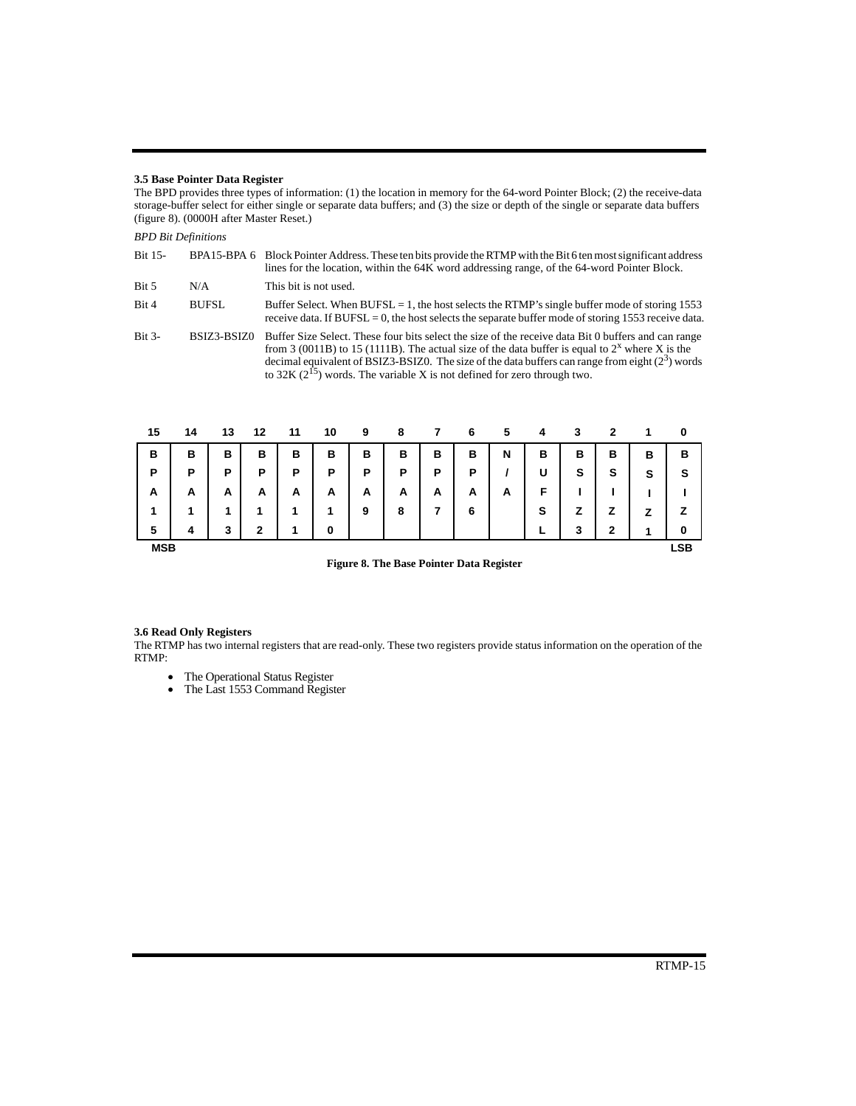#### **3.5 Base Pointer Data Register**

The BPD provides three types of information: (1) the location in memory for the 64-word Pointer Block; (2) the receive-data storage-buffer select for either single or separate data buffers; and (3) the size or depth of the single or separate data buffers (figure 8). (0000H after Master Reset.)

### *BPD Bit Definitions*

| <b>Bit 15-</b> |              | BPA15-BPA 6 Block Pointer Address. These ten bits provide the RTMP with the Bit 6 ten most significant address<br>lines for the location, within the 64K word addressing range, of the 64-word Pointer Block.                                                                                                                                                                                  |
|----------------|--------------|------------------------------------------------------------------------------------------------------------------------------------------------------------------------------------------------------------------------------------------------------------------------------------------------------------------------------------------------------------------------------------------------|
| Bit 5          | N/A          | This bit is not used.                                                                                                                                                                                                                                                                                                                                                                          |
| Bit 4          | <b>BUFSL</b> | Buffer Select. When BUFSL = 1, the host selects the RTMP's single buffer mode of storing 1553<br>receive data. If $BUFSL = 0$ , the host selects the separate buffer mode of storing 1553 receive data.                                                                                                                                                                                        |
| $Bit 3-$       | BSIZ3-BSIZ0  | Buffer Size Select. These four bits select the size of the receive data Bit 0 buffers and can range<br>from 3 (0011B) to 15 (1111B). The actual size of the data buffer is equal to $2^x$ where X is the<br>decimal equivalent of BSIZ3-BSIZ0. The size of the data buffers can range from eight $(2^3)$ words<br>to 32K $(2^{15})$ words. The variable X is not defined for zero through two. |

| 15         | 14 | 13 | 12 | 11 | 10 | 9 | 8 |   | 6 | 5 | 4 | 3 | 2 |        | 0          |
|------------|----|----|----|----|----|---|---|---|---|---|---|---|---|--------|------------|
| в          | в  | в  | в  | в  | в  | в | в | в | в | N | в | в | в | в      | В          |
| P          | P  | Р  | Р  | Ρ  | P  | Ρ | P | Р | Ρ |   | U | s | s | s      | S          |
| A          | A  | A  | A  | А  | A  | A | A | A | A | A | F |   |   |        |            |
| 1          | 1  | 1  | 1  | 1  | 1  | 9 | 8 |   | 6 |   | s | z | z | 7<br>← | z          |
| 5          | 4  | 3  | 2  | 1  | 0  |   |   |   |   |   |   | 3 | 2 | 1      | 0          |
| <b>MSB</b> |    |    |    |    |    |   |   |   |   |   |   |   |   |        | <b>LSB</b> |

**Figure 8. The Base Pointer Data Register**

#### **3.6 Read Only Registers**

The RTMP has two internal registers that are read-only. These two registers provide status information on the operation of the RTMP:

- The Operational Status Register
- The Last 1553 Command Register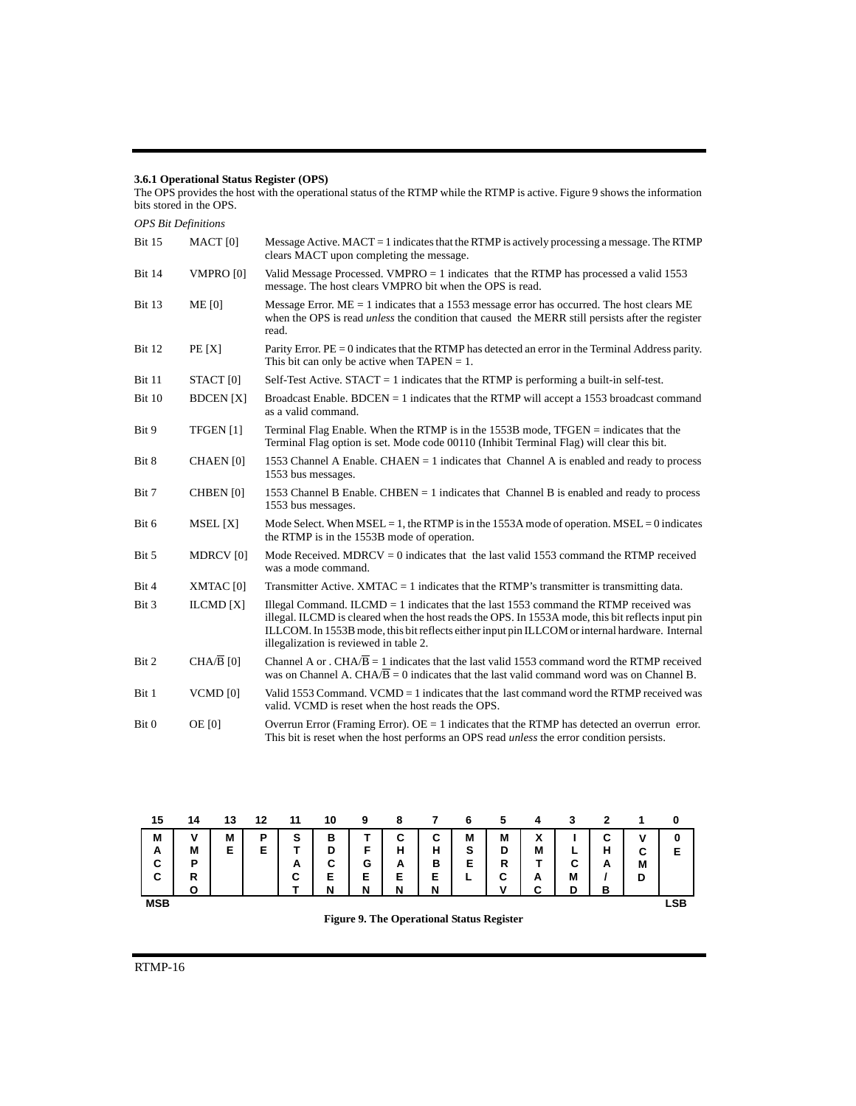#### **3.6.1 Operational Status Register (OPS)**

The OPS provides the host with the operational status of the RTMP while the RTMP is active. Figure 9 shows the information bits stored in the OPS. *OPS Bit Definitions* Bit 15 MACT [0] Message Active. MACT = 1 indicates that the RTMP is actively processing a message. The RTMP clears MACT upon completing the message. Bit 14 VMPRO [0] Valid Message Processed. VMPRO = 1 indicates that the RTMP has processed a valid 1553 message. The host clears VMPRO bit when the OPS is read. Bit 13 ME [0] Message Error. ME = 1 indicates that a 1553 message error has occurred. The host clears ME when the OPS is read *unless* the condition that caused the MERR still persists after the register read. Bit 12 PE [X] Parity Error. PE = 0 indicates that the RTMP has detected an error in the Terminal Address parity. This bit can only be active when  $TAPEN = 1$ . Bit 11 STACT [0] Self-Test Active. STACT = 1 indicates that the RTMP is performing a built-in self-test. Bit 10 BDCEN [X] Broadcast Enable. BDCEN = 1 indicates that the RTMP will accept a 1553 broadcast command as a valid command. Bit 9 TFGEN [1] Terminal Flag Enable. When the RTMP is in the 1553B mode, TFGEN = indicates that the Terminal Flag option is set. Mode code 00110 (Inhibit Terminal Flag) will clear this bit. Bit 8 CHAEN [0] 1553 Channel A Enable. CHAEN = 1 indicates that Channel A is enabled and ready to process 1553 bus messages. Bit 7 CHBEN [0] 1553 Channel B Enable. CHBEN = 1 indicates that Channel B is enabled and ready to process 1553 bus messages. Bit 6 MSEL [X] Mode Select. When MSEL = 1, the RTMP is in the 1553A mode of operation. MSEL = 0 indicates the RTMP is in the 1553B mode of operation. Bit 5 MDRCV [0] Mode Received. MDRCV = 0 indicates that the last valid 1553 command the RTMP received was a mode command. Bit 4 XMTAC [0] Transmitter Active. XMTAC = 1 indicates that the RTMP's transmitter is transmitting data. Bit 3 ILCMD [X] Illegal Command. ILCMD = 1 indicates that the last 1553 command the RTMP received was illegal. ILCMD is cleared when the host reads the OPS. In 1553A mode, this bit reflects input pin ILLCOM. In 1553B mode, this bit reflects either input pin ILLCOM or internal hardware. Internal illegalization is reviewed in table 2. Bit 2 CHA/ $\overline{B}$  [0] Channel A or . CHA/ $\overline{B}$  = 1 indicates that the last valid 1553 command word the RTMP received was on Channel A. CHA/ $\overline{B} = 0$  indicates that the last valid command word was on Channel B. Bit 1 VCMD [0] Valid 1553 Command. VCMD = 1 indicates that the last command word the RTMP received was valid. VCMD is reset when the host reads the OPS. Bit 0 OE [0] Overrun Error (Framing Error). OE = 1 indicates that the RTMP has detected an overrun error. This bit is reset when the host performs an OPS read *unless* the error condition persists.

| 15         | 14 | 13 | 12     | 11 | 10 | 9 | 8 |   | 6 | 5     | 4      | 3           | 2      |   | 0          |
|------------|----|----|--------|----|----|---|---|---|---|-------|--------|-------------|--------|---|------------|
| M          | v  | M  | P      | s  | в  | ÷ | C | C | M | M     | v<br>Λ |             | ◠<br>ັ | v | 0          |
| A          | M  | E  | F<br>- |    | D  | c | н | н | s | D     | M      | -           | н      | C | Е          |
| C          | P  |    |        | A  | С  | G | A | в | Е | R     |        | $\sim$<br>ັ | A      | M |            |
| C          | R  |    |        | C  | E  | Е | E | E | - | C     | А      | M           |        | D |            |
|            | Ο  |    |        |    | N  | N | N | N |   | <br>v | ⌒<br>ື | D           | в      |   |            |
| <b>MSB</b> |    |    |        |    |    |   |   |   |   |       |        |             |        |   | <b>LSB</b> |

**Figure 9. The Operational Status Register**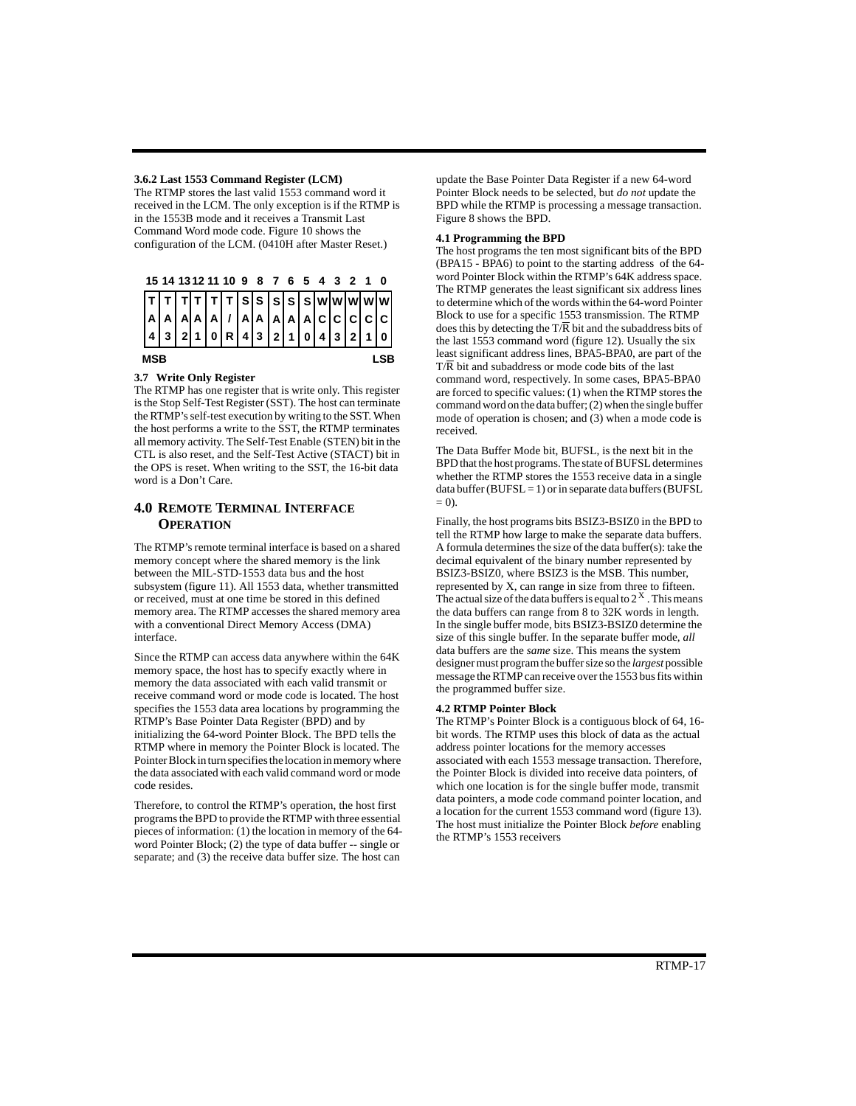#### **3.6.2 Last 1553 Command Register (LCM)**

The RTMP stores the last valid 1553 command word it received in the LCM. The only exception is if the RTMP is in the 1553B mode and it receives a Transmit Last Command Word mode code. Figure 10 shows the configuration of the LCM. (0410H after Master Reset.)



### **3.7 Write Only Register**

The RTMP has one register that is write only. This register is the Stop Self-Test Register (SST). The host can terminate the RTMP's self-test execution by writing to the SST. When the host performs a write to the SST, the RTMP terminates all memory activity. The Self-Test Enable (STEN) bit in the CTL is also reset, and the Self-Test Active (STACT) bit in the OPS is reset. When writing to the SST, the 16-bit data word is a Don't Care.

### **4.0 REMOTE TERMINAL INTERFACE OPERATION**

The RTMP's remote terminal interface is based on a shared memory concept where the shared memory is the link between the MIL-STD-1553 data bus and the host subsystem (figure 11). All 1553 data, whether transmitted or received, must at one time be stored in this defined memory area. The RTMP accesses the shared memory area with a conventional Direct Memory Access (DMA) interface.

Since the RTMP can access data anywhere within the 64K memory space, the host has to specify exactly where in memory the data associated with each valid transmit or receive command word or mode code is located. The host specifies the 1553 data area locations by programming the RTMP's Base Pointer Data Register (BPD) and by initializing the 64-word Pointer Block. The BPD tells the RTMP where in memory the Pointer Block is located. The Pointer Block in turn specifies the location in memory where the data associated with each valid command word or mode code resides.

Therefore, to control the RTMP's operation, the host first programs the BPD to provide the RTMP with three essential pieces of information: (1) the location in memory of the 64 word Pointer Block; (2) the type of data buffer -- single or separate; and (3) the receive data buffer size. The host can

update the Base Pointer Data Register if a new 64-word Pointer Block needs to be selected, but *do not* update the BPD while the RTMP is processing a message transaction. Figure 8 shows the BPD.

### **4.1 Programming the BPD**

The host programs the ten most significant bits of the BPD (BPA15 - BPA6) to point to the starting address of the 64 word Pointer Block within the RTMP's 64K address space. The RTMP generates the least significant six address lines to determine which of the words within the 64-word Pointer Block to use for a specific 1553 transmission. The RTMP does this by detecting the  $T/R$  bit and the subaddress bits of the last 1553 command word (figure 12). Usually the six least significant address lines, BPA5-BPA0, are part of the T/R bit and subaddress or mode code bits of the last

command word, respectively. In some cases, BPA5-BPA0 are forced to specific values: (1) when the RTMP stores the command word on the data buffer; (2) when the single buffer mode of operation is chosen; and (3) when a mode code is received.

The Data Buffer Mode bit, BUFSL, is the next bit in the BPD that the host programs. The state of BUFSL determines whether the RTMP stores the 1553 receive data in a single data buffer (BUFSL = 1) or in separate data buffers (BUFSL  $= 0$ ).

Finally, the host programs bits BSIZ3-BSIZ0 in the BPD to tell the RTMP how large to make the separate data buffers. A formula determines the size of the data buffer(s): take the decimal equivalent of the binary number represented by BSIZ3-BSIZ0, where BSIZ3 is the MSB. This number, represented by X, can range in size from three to fifteen. The actual size of the data buffers is equal to  $2^X$ . This means the data buffers can range from 8 to 32K words in length. In the single buffer mode, bits BSIZ3-BSIZ0 determine the size of this single buffer. In the separate buffer mode, *all*  data buffers are the *same* size. This means the system designer must program the buffer size so the *largest* possible message the RTMP can receive over the 1553 bus fits within the programmed buffer size.

#### **4.2 RTMP Pointer Block**

The RTMP's Pointer Block is a contiguous block of 64, 16 bit words. The RTMP uses this block of data as the actual address pointer locations for the memory accesses associated with each 1553 message transaction. Therefore, the Pointer Block is divided into receive data pointers, of which one location is for the single buffer mode, transmit data pointers, a mode code command pointer location, and a location for the current 1553 command word (figure 13). The host must initialize the Pointer Block *before* enabling the RTMP's 1553 receivers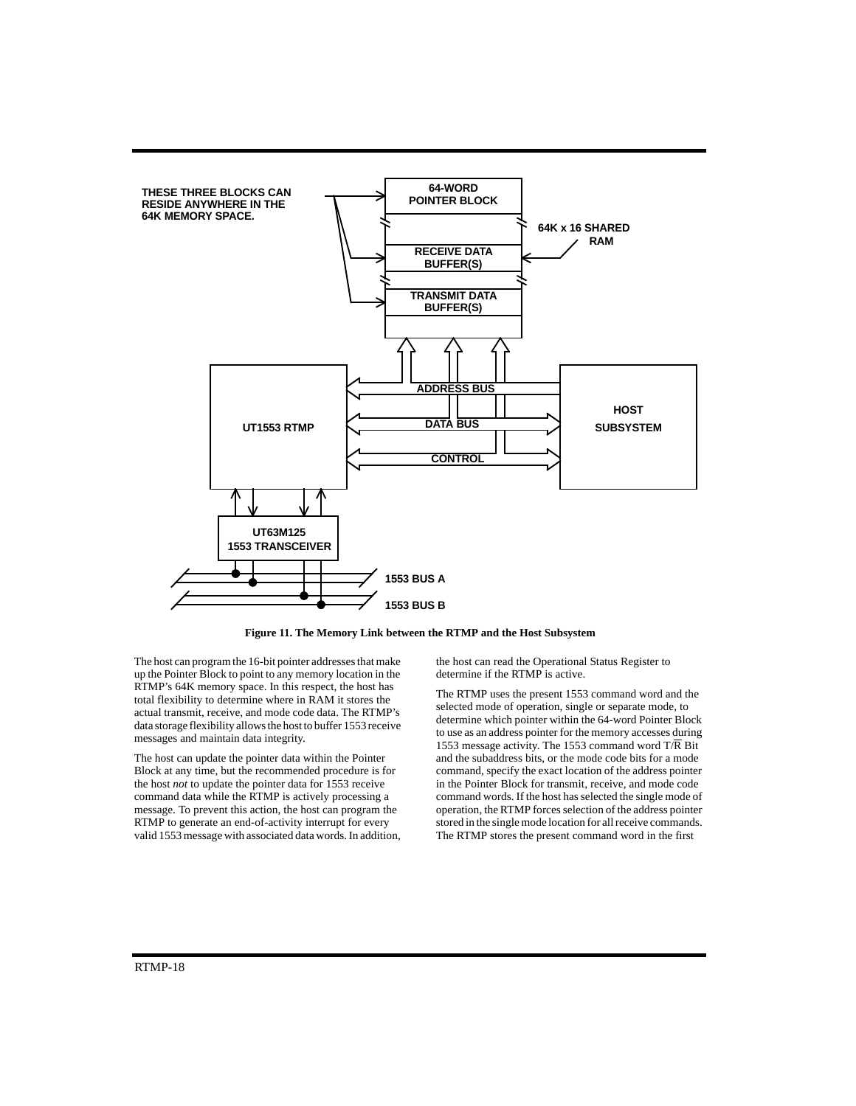

**Figure 11. The Memory Link between the RTMP and the Host Subsystem**

The host can program the 16-bit pointer addresses that make up the Pointer Block to point to any memory location in the RTMP's 64K memory space. In this respect, the host has total flexibility to determine where in RAM it stores the actual transmit, receive, and mode code data. The RTMP's data storage flexibility allows the host to buffer 1553 receive messages and maintain data integrity.

The host can update the pointer data within the Pointer Block at any time, but the recommended procedure is for the host *not* to update the pointer data for 1553 receive command data while the RTMP is actively processing a message. To prevent this action, the host can program the RTMP to generate an end-of-activity interrupt for every valid 1553 message with associated data words. In addition, the host can read the Operational Status Register to determine if the RTMP is active.

The RTMP uses the present 1553 command word and the selected mode of operation, single or separate mode, to determine which pointer within the 64-word Pointer Block to use as an address pointer for the memory accesses during 1553 message activity. The 1553 command word  $T/R$  Bit and the subaddress bits, or the mode code bits for a mode command, specify the exact location of the address pointer in the Pointer Block for transmit, receive, and mode code command words. If the host has selected the single mode of operation, the RTMP forces selection of the address pointer stored in the single mode location for all receive commands. The RTMP stores the present command word in the first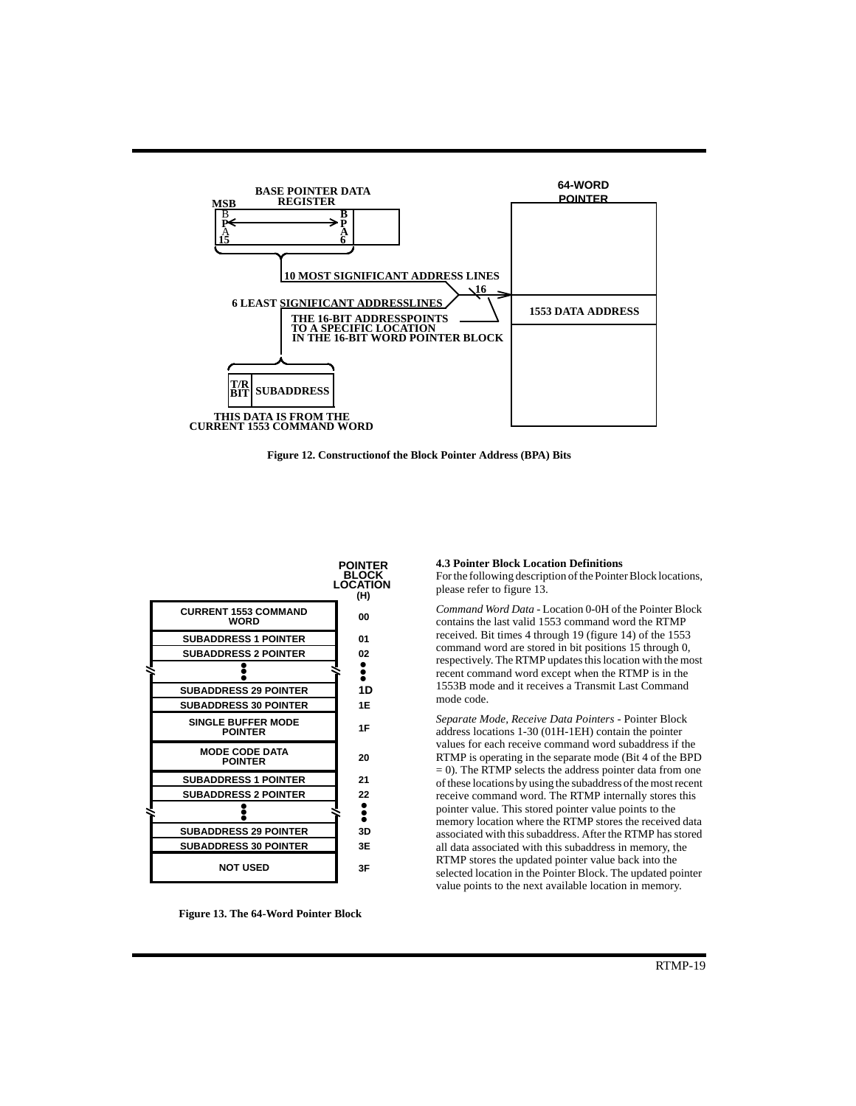

**Figure 12. Constructionof the Block Pointer Address (BPA) Bits**



**Figure 13. The 64-Word Pointer Block**

**4.3 Pointer Block Location Definitions**

For the following description of the Pointer Block locations, please refer to figure 13.

*Command Word Data* - Location 0-0H of the Pointer Block contains the last valid 1553 command word the RTMP received. Bit times 4 through 19 (figure 14) of the 1553 command word are stored in bit positions 15 through 0, respectively. The RTMP updates this location with the most recent command word except when the RTMP is in the 1553B mode and it receives a Transmit Last Command mode code.

*Separate Mode, Receive Data Pointers* - Pointer Block address locations 1-30 (01H-1EH) contain the pointer values for each receive command word subaddress if the RTMP is operating in the separate mode (Bit 4 of the BPD  $= 0$ ). The RTMP selects the address pointer data from one of these locations by using the subaddress of the most recent receive command word. The RTMP internally stores this pointer value. This stored pointer value points to the memory location where the RTMP stores the received data associated with this subaddress. After the RTMP has stored all data associated with this subaddress in memory, the RTMP stores the updated pointer value back into the selected location in the Pointer Block. The updated pointer value points to the next available location in memory.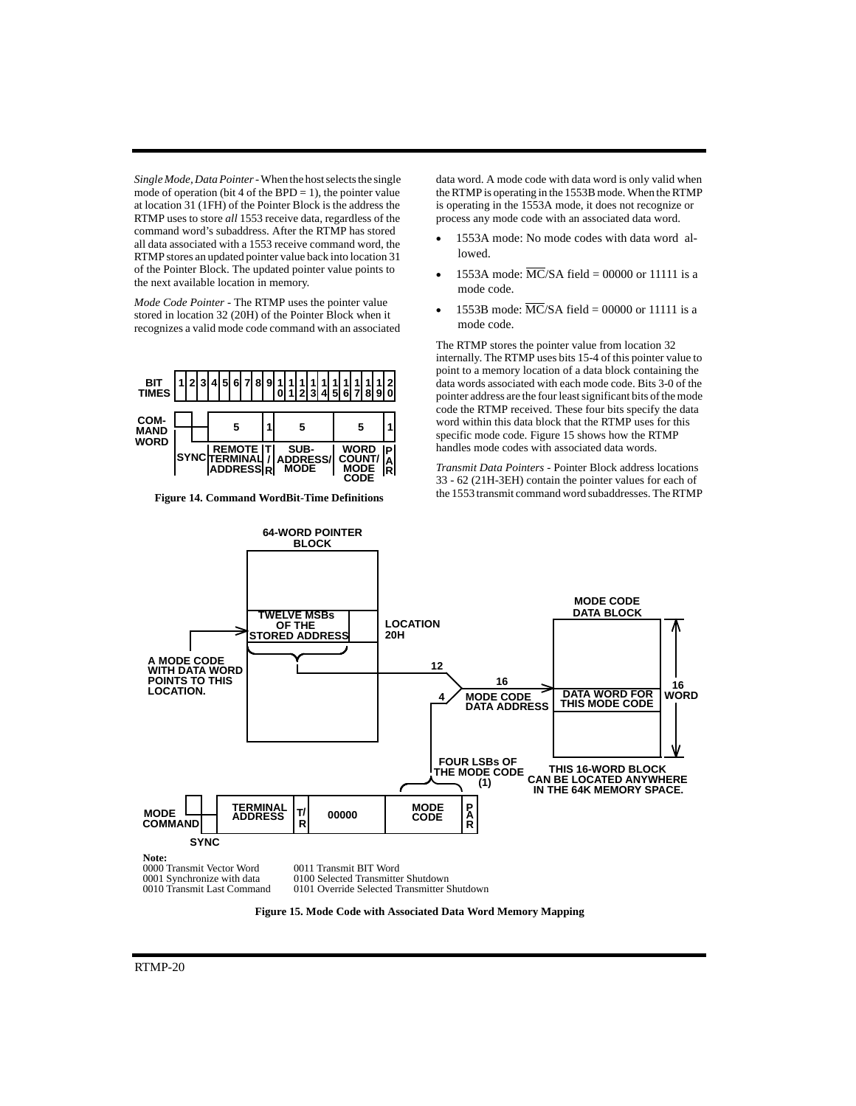*Single Mode, Data Pointer*- When the host selects the single mode of operation (bit 4 of the BPD  $=$  1), the pointer value at location 31 (1FH) of the Pointer Block is the address the RTMP uses to store *all* 1553 receive data, regardless of the command word's subaddress. After the RTMP has stored all data associated with a 1553 receive command word, the RTMP stores an updated pointer value back into location 31 of the Pointer Block. The updated pointer value points to the next available location in memory.

*Mode Code Pointer -* The RTMP uses the pointer value stored in location 32 (20H) of the Pointer Block when it recognizes a valid mode code command with an associated



**Figure 14. Command WordBit-Time Definitions**

data word. A mode code with data word is only valid when the RTMP is operating in the 1553B mode. When the RTMP is operating in the 1553A mode, it does not recognize or process any mode code with an associated data word.

- 1553A mode: No mode codes with data word allowed.
- $\bullet$  1553A mode:  $\overline{MC}/SA$  field = 00000 or 11111 is a mode code.
- 1553B mode:  $\overline{MC}/SA$  field = 00000 or 11111 is a mode code.

The RTMP stores the pointer value from location 32 internally. The RTMP uses bits 15-4 of this pointer value to point to a memory location of a data block containing the data words associated with each mode code. Bits 3-0 of the pointer address are the four least significant bits of the mode code the RTMP received. These four bits specify the data word within this data block that the RTMP uses for this specific mode code. Figure 15 shows how the RTMP handles mode codes with associated data words.

*Transmit Data Pointers -* Pointer Block address locations 33 - 62 (21H-3EH) contain the pointer values for each of the 1553 transmit command word subaddresses. The RTMP



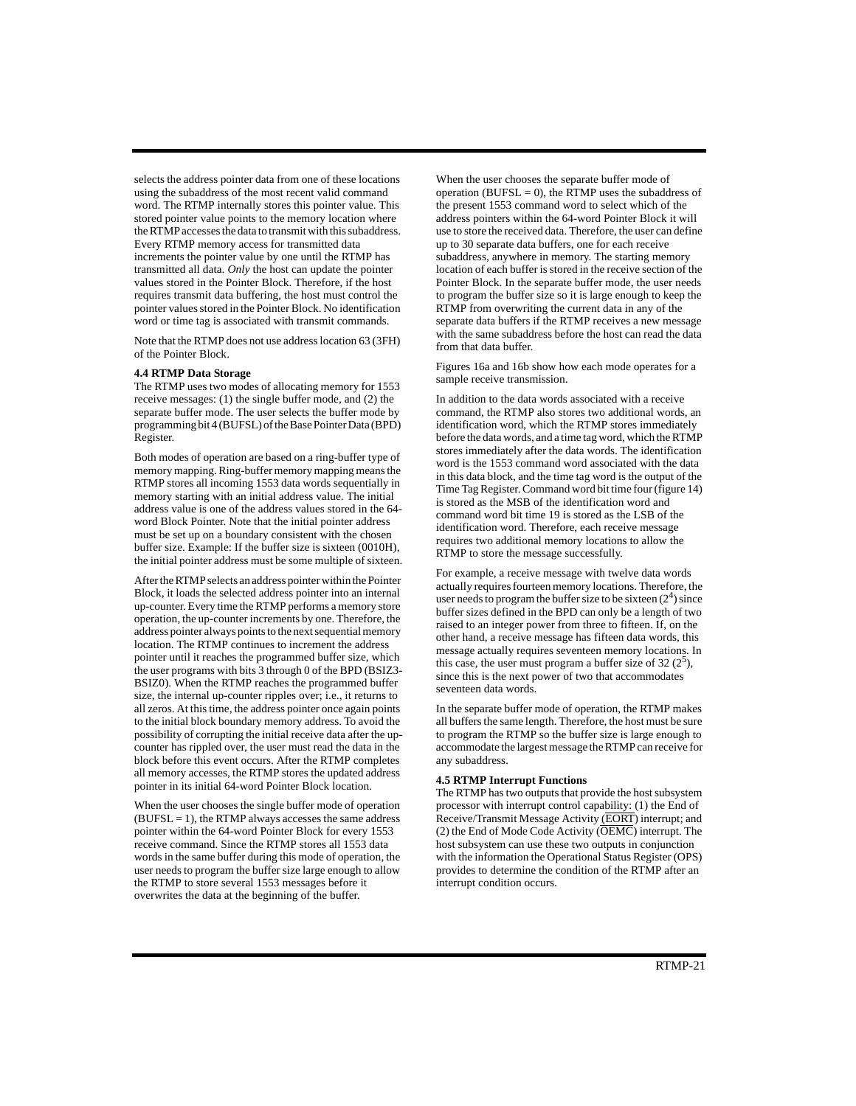selects the address pointer data from one of these locations using the subaddress of the most recent valid command word. The RTMP internally stores this pointer value. This stored pointer value points to the memory location where the RTMP accesses the data to transmit with this subaddress. Every RTMP memory access for transmitted data increments the pointer value by one until the RTMP has transmitted all data. *Only* the host can update the pointer values stored in the Pointer Block. Therefore, if the host requires transmit data buffering, the host must control the pointer values stored in the Pointer Block. No identification word or time tag is associated with transmit commands.

Note that the RTMP does not use address location 63 (3FH) of the Pointer Block.

#### **4.4 RTMP Data Storage**

The RTMP uses two modes of allocating memory for 1553 receive messages: (1) the single buffer mode, and (2) the separate buffer mode. The user selects the buffer mode by programming bit 4 (BUFSL) of the Base Pointer Data (BPD) Register.

Both modes of operation are based on a ring-buffer type of memory mapping. Ring-buffer memory mapping means the RTMP stores all incoming 1553 data words sequentially in memory starting with an initial address value. The initial address value is one of the address values stored in the 64 word Block Pointer. Note that the initial pointer address must be set up on a boundary consistent with the chosen buffer size. Example: If the buffer size is sixteen (0010H), the initial pointer address must be some multiple of sixteen.

After the RTMP selects an address pointer within the Pointer Block, it loads the selected address pointer into an internal up-counter. Every time the RTMP performs a memory store operation, the up-counter increments by one. Therefore, the address pointer always points to the next sequential memory location. The RTMP continues to increment the address pointer until it reaches the programmed buffer size, which the user programs with bits 3 through 0 of the BPD (BSIZ3- BSIZ0). When the RTMP reaches the programmed buffer size, the internal up-counter ripples over; i.e., it returns to all zeros. At this time, the address pointer once again points to the initial block boundary memory address. To avoid the possibility of corrupting the initial receive data after the upcounter has rippled over, the user must read the data in the block before this event occurs. After the RTMP completes all memory accesses, the RTMP stores the updated address pointer in its initial 64-word Pointer Block location.

When the user chooses the single buffer mode of operation  $(BUFSL = 1)$ , the RTMP always accesses the same address pointer within the 64-word Pointer Block for every 1553 receive command. Since the RTMP stores all 1553 data words in the same buffer during this mode of operation, the user needs to program the buffer size large enough to allow the RTMP to store several 1553 messages before it overwrites the data at the beginning of the buffer.

When the user chooses the separate buffer mode of operation (BUFSL = 0), the RTMP uses the subaddress of the present 1553 command word to select which of the address pointers within the 64-word Pointer Block it will use to store the received data. Therefore, the user can define up to 30 separate data buffers, one for each receive subaddress, anywhere in memory. The starting memory location of each buffer is stored in the receive section of the Pointer Block. In the separate buffer mode, the user needs to program the buffer size so it is large enough to keep the RTMP from overwriting the current data in any of the separate data buffers if the RTMP receives a new message with the same subaddress before the host can read the data from that data buffer.

Figures 16a and 16b show how each mode operates for a sample receive transmission.

In addition to the data words associated with a receive command, the RTMP also stores two additional words, an identification word, which the RTMP stores immediately before the data words, and a time tag word, which the RTMP stores immediately after the data words. The identification word is the 1553 command word associated with the data in this data block, and the time tag word is the output of the Time Tag Register. Command word bit time four (figure 14) is stored as the MSB of the identification word and command word bit time 19 is stored as the LSB of the identification word. Therefore, each receive message requires two additional memory locations to allow the RTMP to store the message successfully.

For example, a receive message with twelve data words actually requires fourteen memory locations. Therefore, the user needs to program the buffer size to be sixteen  $(2^4)$  since buffer sizes defined in the BPD can only be a length of two raised to an integer power from three to fifteen. If, on the other hand, a receive message has fifteen data words, this message actually requires seventeen memory locations. In this case, the user must program a buffer size of 32 $(2^5)$ , since this is the next power of two that accommodates seventeen data words.

In the separate buffer mode of operation, the RTMP makes all buffers the same length. Therefore, the host must be sure to program the RTMP so the buffer size is large enough to accommodate the largest message the RTMP can receive for any subaddress.

#### **4.5 RTMP Interrupt Functions**

The RTMP has two outputs that provide the host subsystem processor with interrupt control capability: (1) the End of Receive/Transmit Message Activity (EORT) interrupt; and (2) the End of Mode Code Activity (OEMC) interrupt. The host subsystem can use these two outputs in conjunction with the information the Operational Status Register (OPS) provides to determine the condition of the RTMP after an interrupt condition occurs.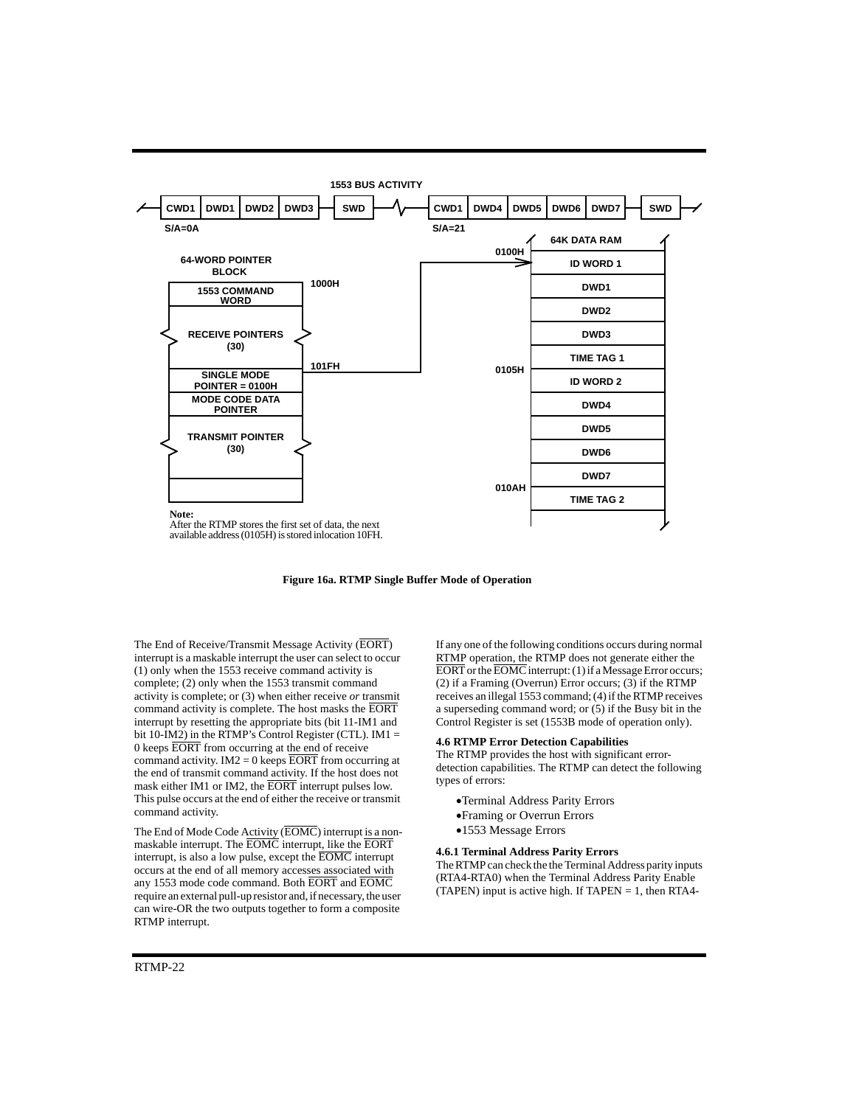

**Figure 16a. RTMP Single Buffer Mode of Operation**

The End of Receive/Transmit Message Activity (EORT) interrupt is a maskable interrupt the user can select to occur (1) only when the 1553 receive command activity is complete; (2) only when the 1553 transmit command activity is complete; or (3) when either receive *or* transmit command activity is complete. The host masks the EORT interrupt by resetting the appropriate bits (bit 11-IM1 and bit 10-IM2) in the RTMP's Control Register (CTL). IM1 = 0 keeps EORT from occurring at the end of receive command activity.  $IM2 = 0$  keeps EORT from occurring at the end of transmit command activity. If the host does not mask either IM1 or IM2, the EORT interrupt pulses low. This pulse occurs at the end of either the receive or transmit command activity.

The End of Mode Code Activity (EOMC) interrupt is a nonmaskable interrupt. The EOMC interrupt, like the EORT interrupt, is also a low pulse, except the EOMC interrupt occurs at the end of all memory accesses associated with any 1553 mode code command. Both EORT and EOMC require an external pull-up resistor and, if necessary, the user can wire-OR the two outputs together to form a composite RTMP interrupt.

If any one of the following conditions occurs during normal RTMP operation, the RTMP does not generate either the EORT or the EOMC interrupt: (1) if a Message Error occurs; (2) if a Framing (Overrun) Error occurs; (3) if the RTMP receives an illegal 1553 command; (4) if the RTMP receives a superseding command word; or (5) if the Busy bit in the Control Register is set (1553B mode of operation only).

#### **4.6 RTMP Error Detection Capabilities**

The RTMP provides the host with significant errordetection capabilities. The RTMP can detect the following types of errors:

- Terminal Address Parity Errors
- Framing or Overrun Errors
- 1553 Message Errors

#### **4.6.1 Terminal Address Parity Errors**

The RTMP can check the the Terminal Address parity inputs (RTA4-RTA0) when the Terminal Address Parity Enable (TAPEN) input is active high. If  $TAPEN = 1$ , then RTA4-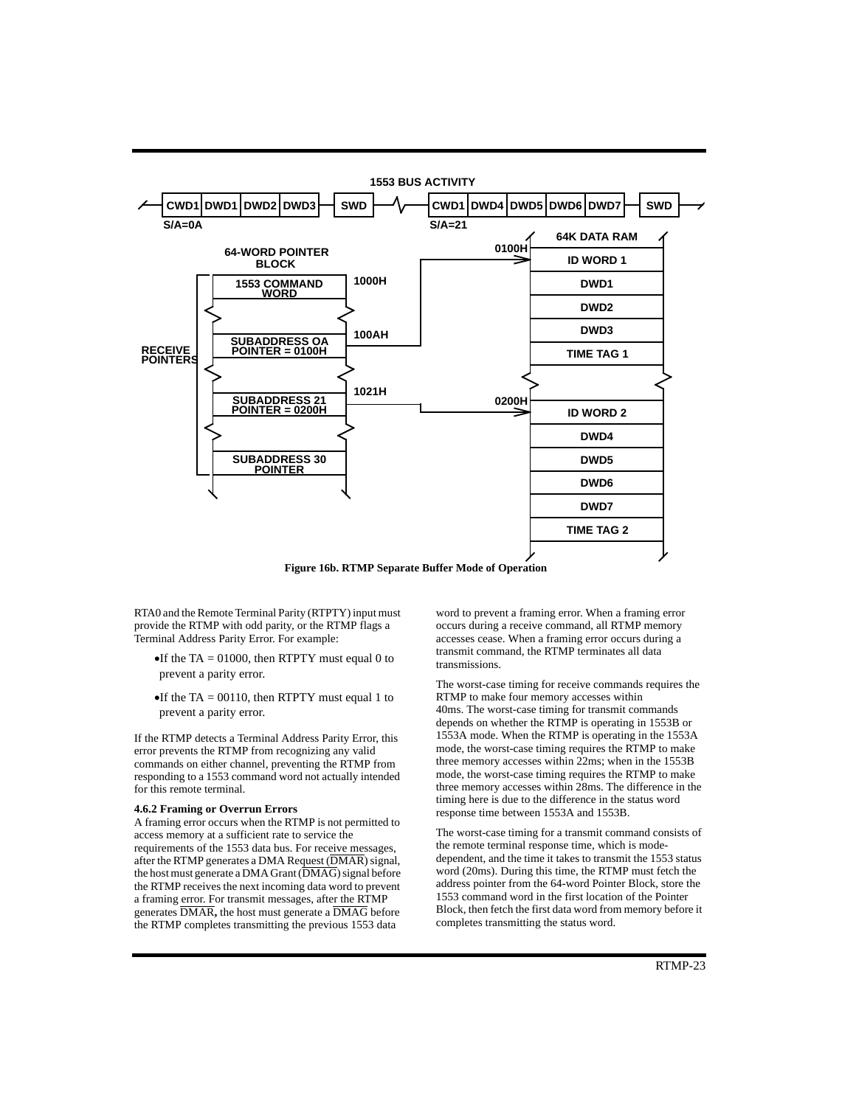

**Figure 16b. RTMP Separate Buffer Mode of Operation**

RTA0 and the Remote Terminal Parity (RTPTY) input must provide the RTMP with odd parity, or the RTMP flags a Terminal Address Parity Error. For example:

- If the TA = 01000, then RTPTY must equal 0 to prevent a parity error.
- If the TA = 00110, then RTPTY must equal 1 to prevent a parity error.

If the RTMP detects a Terminal Address Parity Error, this error prevents the RTMP from recognizing any valid commands on either channel, preventing the RTMP from responding to a 1553 command word not actually intended for this remote terminal.

### **4.6.2 Framing or Overrun Errors**

A framing error occurs when the RTMP is not permitted to access memory at a sufficient rate to service the requirements of the 1553 data bus. For receive messages, after the RTMP generates a DMA Request (DMAR) signal, the host must generate a DMA Grant (DMAG) signal before the RTMP receives the next incoming data word to prevent a framing error. For transmit messages, after the RTMP generates DMAR**,** the host must generate a DMAG before the RTMP completes transmitting the previous 1553 data

word to prevent a framing error. When a framing error occurs during a receive command, all RTMP memory accesses cease. When a framing error occurs during a transmit command, the RTMP terminates all data transmissions.

The worst-case timing for receive commands requires the RTMP to make four memory accesses within 40ms. The worst-case timing for transmit commands depends on whether the RTMP is operating in 1553B or 1553A mode. When the RTMP is operating in the 1553A mode, the worst-case timing requires the RTMP to make three memory accesses within 22ms; when in the 1553B mode, the worst-case timing requires the RTMP to make three memory accesses within 28ms. The difference in the timing here is due to the difference in the status word response time between 1553A and 1553B.

The worst-case timing for a transmit command consists of the remote terminal response time, which is modedependent, and the time it takes to transmit the 1553 status word (20ms). During this time, the RTMP must fetch the address pointer from the 64-word Pointer Block, store the 1553 command word in the first location of the Pointer Block, then fetch the first data word from memory before it completes transmitting the status word.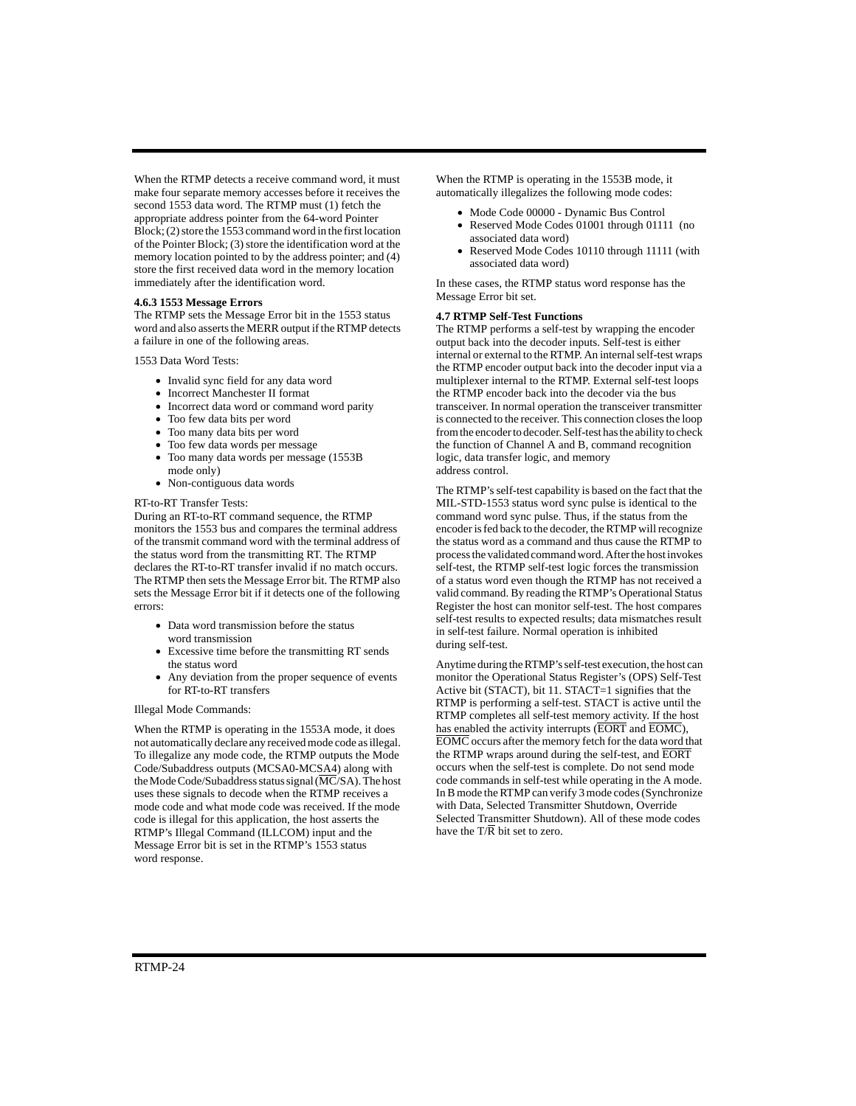When the RTMP detects a receive command word, it must make four separate memory accesses before it receives the second 1553 data word. The RTMP must (1) fetch the appropriate address pointer from the 64-word Pointer Block; (2) store the 1553 command word in the first location of the Pointer Block; (3) store the identification word at the memory location pointed to by the address pointer; and (4) store the first received data word in the memory location immediately after the identification word.

#### **4.6.3 1553 Message Errors**

The RTMP sets the Message Error bit in the 1553 status word and also asserts the MERR output if the RTMP detects a failure in one of the following areas.

#### 1553 Data Word Tests:

- Invalid sync field for any data word
- Incorrect Manchester II format
- Incorrect data word or command word parity
- Too few data bits per word
- Too many data bits per word
- Too few data words per message
- Too many data words per message (1553B mode only)
- Non-contiguous data words

### RT-to-RT Transfer Tests:

During an RT-to-RT command sequence, the RTMP monitors the 1553 bus and compares the terminal address of the transmit command word with the terminal address of the status word from the transmitting RT. The RTMP declares the RT-to-RT transfer invalid if no match occurs. The RTMP then sets the Message Error bit. The RTMP also sets the Message Error bit if it detects one of the following errors:

- Data word transmission before the status word transmission
- Excessive time before the transmitting RT sends the status word
- Any deviation from the proper sequence of events for RT-to-RT transfers

#### Illegal Mode Commands:

When the RTMP is operating in the 1553A mode, it does not automatically declare any received mode code as illegal. To illegalize any mode code, the RTMP outputs the Mode Code/Subaddress outputs (MCSA0-MCSA4) along with the Mode Code/Subaddress status signal  $(\overline{MC}/SA)$ . The host uses these signals to decode when the RTMP receives a mode code and what mode code was received. If the mode code is illegal for this application, the host asserts the RTMP's Illegal Command (ILLCOM) input and the Message Error bit is set in the RTMP's 1553 status word response.

When the RTMP is operating in the 1553B mode, it automatically illegalizes the following mode codes:

- $\bullet$  Mode Code 00000 Dynamic Bus Control
- Reserved Mode Codes 01001 through 01111 (no associated data word)
- Reserved Mode Codes 10110 through 11111 (with associated data word)

In these cases, the RTMP status word response has the Message Error bit set.

#### **4.7 RTMP Self-Test Functions**

The RTMP performs a self-test by wrapping the encoder output back into the decoder inputs. Self-test is either internal or external to the RTMP. An internal self-test wraps the RTMP encoder output back into the decoder input via a multiplexer internal to the RTMP. External self-test loops the RTMP encoder back into the decoder via the bus transceiver. In normal operation the transceiver transmitter is connected to the receiver. This connection closes the loop from the encoder to decoder. Self-test has the ability to check the function of Channel A and B, command recognition logic, data transfer logic, and memory address control.

The RTMP's self-test capability is based on the fact that the MIL-STD-1553 status word sync pulse is identical to the command word sync pulse. Thus, if the status from the encoder is fed back to the decoder, the RTMP will recognize the status word as a command and thus cause the RTMP to process the validated command word. After the host invokes self-test, the RTMP self-test logic forces the transmission of a status word even though the RTMP has not received a valid command. By reading the RTMP's Operational Status Register the host can monitor self-test. The host compares self-test results to expected results; data mismatches result in self-test failure. Normal operation is inhibited during self-test.

Anytime during the RTMP's self-test execution, the host can monitor the Operational Status Register's (OPS) Self-Test Active bit (STACT), bit 11. STACT=1 signifies that the RTMP is performing a self-test. STACT is active until the RTMP completes all self-test memory activity. If the host has enabled the activity interrupts (EORT and EOMC), EOMC occurs after the memory fetch for the data word that the RTMP wraps around during the self-test, and EORT occurs when the self-test is complete. Do not send mode code commands in self-test while operating in the A mode. In B mode the RTMP can verify 3 mode codes (Synchronize with Data, Selected Transmitter Shutdown, Override Selected Transmitter Shutdown). All of these mode codes have the  $T/\overline{R}$  bit set to zero.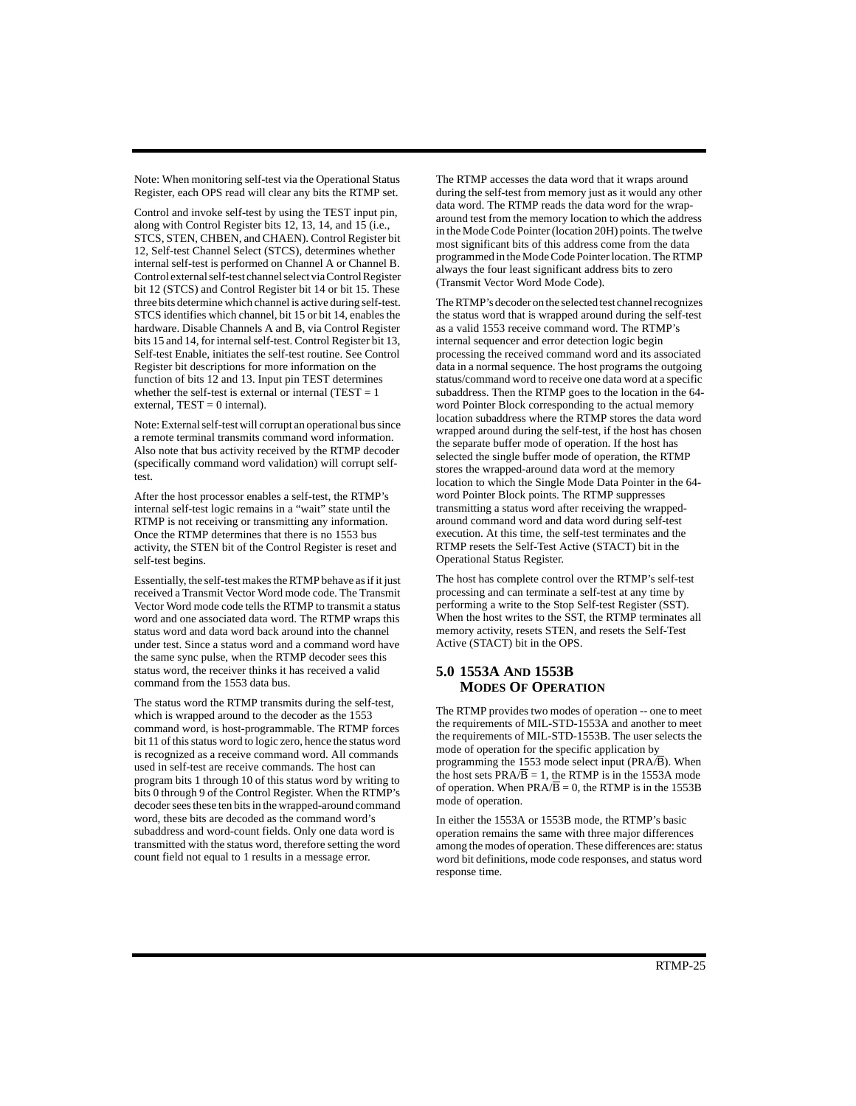Note: When monitoring self-test via the Operational Status Register, each OPS read will clear any bits the RTMP set.

Control and invoke self-test by using the TEST input pin, along with Control Register bits 12, 13, 14, and 15 (i.e., STCS, STEN, CHBEN, and CHAEN). Control Register bit 12, Self-test Channel Select (STCS), determines whether internal self-test is performed on Channel A or Channel B. Control external self-test channel select via Control Register bit 12 (STCS) and Control Register bit 14 or bit 15. These three bits determine which channel is active during self-test. STCS identifies which channel, bit 15 or bit 14, enables the hardware. Disable Channels A and B, via Control Register bits 15 and 14, for internal self-test. Control Register bit 13, Self-test Enable, initiates the self-test routine. See Control Register bit descriptions for more information on the function of bits 12 and 13. Input pin TEST determines whether the self-test is external or internal (TEST  $= 1$ ) external,  $TEST = 0$  internal).

Note: External self-test will corrupt an operational bus since a remote terminal transmits command word information. Also note that bus activity received by the RTMP decoder (specifically command word validation) will corrupt selftest.

After the host processor enables a self-test, the RTMP's internal self-test logic remains in a "wait" state until the RTMP is not receiving or transmitting any information. Once the RTMP determines that there is no 1553 bus activity, the STEN bit of the Control Register is reset and self-test begins.

Essentially, the self-test makes the RTMP behave as if it just received a Transmit Vector Word mode code. The Transmit Vector Word mode code tells the RTMP to transmit a status word and one associated data word. The RTMP wraps this status word and data word back around into the channel under test. Since a status word and a command word have the same sync pulse, when the RTMP decoder sees this status word, the receiver thinks it has received a valid command from the 1553 data bus.

The status word the RTMP transmits during the self-test, which is wrapped around to the decoder as the 1553 command word, is host-programmable. The RTMP forces bit 11 of this status word to logic zero, hence the status word is recognized as a receive command word. All commands used in self-test are receive commands. The host can program bits 1 through 10 of this status word by writing to bits 0 through 9 of the Control Register. When the RTMP's decoder sees these ten bits in the wrapped-around command word, these bits are decoded as the command word's subaddress and word-count fields. Only one data word is transmitted with the status word, therefore setting the word count field not equal to 1 results in a message error.

The RTMP accesses the data word that it wraps around during the self-test from memory just as it would any other data word. The RTMP reads the data word for the wraparound test from the memory location to which the address in the Mode Code Pointer (location 20H) points. The twelve most significant bits of this address come from the data programmed in the Mode Code Pointer location. The RTMP always the four least significant address bits to zero (Transmit Vector Word Mode Code).

The RTMP's decoder on the selected test channel recognizes the status word that is wrapped around during the self-test as a valid 1553 receive command word. The RTMP's internal sequencer and error detection logic begin processing the received command word and its associated data in a normal sequence. The host programs the outgoing status/command word to receive one data word at a specific subaddress. Then the RTMP goes to the location in the 64 word Pointer Block corresponding to the actual memory location subaddress where the RTMP stores the data word wrapped around during the self-test, if the host has chosen the separate buffer mode of operation. If the host has selected the single buffer mode of operation, the RTMP stores the wrapped-around data word at the memory location to which the Single Mode Data Pointer in the 64 word Pointer Block points. The RTMP suppresses transmitting a status word after receiving the wrappedaround command word and data word during self-test execution. At this time, the self-test terminates and the RTMP resets the Self-Test Active (STACT) bit in the Operational Status Register.

The host has complete control over the RTMP's self-test processing and can terminate a self-test at any time by performing a write to the Stop Self-test Register (SST). When the host writes to the SST, the RTMP terminates all memory activity, resets STEN, and resets the Self-Test Active (STACT) bit in the OPS.

# **5.0 1553A AND 1553B MODES OF OPERATION**

The RTMP provides two modes of operation -- one to meet the requirements of MIL-STD-1553A and another to meet the requirements of MIL-STD-1553B. The user selects the mode of operation for the specific application by programming the 1553 mode select input (PRA/B). When the host sets  $PRA/\overline{B} = 1$ , the RTMP is in the 1553A mode of operation. When  $PRA/B = 0$ , the RTMP is in the 1553B mode of operation.

In either the 1553A or 1553B mode, the RTMP's basic operation remains the same with three major differences among the modes of operation. These differences are: status word bit definitions, mode code responses, and status word response time.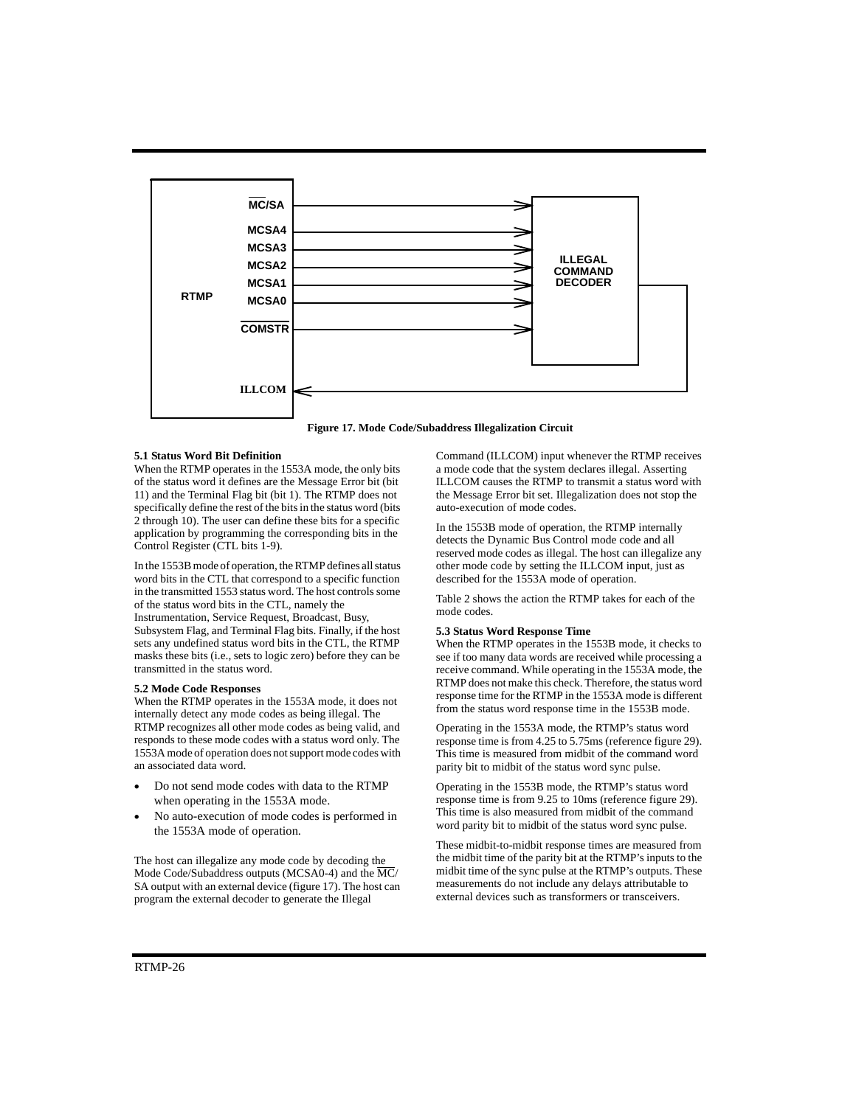



#### **5.1 Status Word Bit Definition**

When the RTMP operates in the 1553A mode, the only bits of the status word it defines are the Message Error bit (bit 11) and the Terminal Flag bit (bit 1). The RTMP does not specifically define the rest of the bits in the status word (bits 2 through 10). The user can define these bits for a specific application by programming the corresponding bits in the Control Register (CTL bits 1-9).

In the 1553B mode of operation, the RTMP defines all status word bits in the CTL that correspond to a specific function in the transmitted 1553 status word. The host controls some of the status word bits in the CTL, namely the Instrumentation, Service Request, Broadcast, Busy, Subsystem Flag, and Terminal Flag bits. Finally, if the host sets any undefined status word bits in the CTL, the RTMP masks these bits (i.e., sets to logic zero) before they can be transmitted in the status word.

#### **5.2 Mode Code Responses**

When the RTMP operates in the 1553A mode, it does not internally detect any mode codes as being illegal. The RTMP recognizes all other mode codes as being valid, and responds to these mode codes with a status word only. The 1553A mode of operation does not support mode codes with an associated data word.

- Do not send mode codes with data to the RTMP when operating in the 1553A mode.
- No auto-execution of mode codes is performed in the 1553A mode of operation.

The host can illegalize any mode code by decoding the Mode Code/Subaddress outputs (MCSA0-4) and the MC/ SA output with an external device (figure 17). The host can program the external decoder to generate the Illegal

Command (ILLCOM) input whenever the RTMP receives a mode code that the system declares illegal. Asserting ILLCOM causes the RTMP to transmit a status word with the Message Error bit set. Illegalization does not stop the auto-execution of mode codes.

In the 1553B mode of operation, the RTMP internally detects the Dynamic Bus Control mode code and all reserved mode codes as illegal. The host can illegalize any other mode code by setting the ILLCOM input, just as described for the 1553A mode of operation.

Table 2 shows the action the RTMP takes for each of the mode codes.

#### **5.3 Status Word Response Time**

When the RTMP operates in the 1553B mode, it checks to see if too many data words are received while processing a receive command. While operating in the 1553A mode, the RTMP does not make this check. Therefore, the status word response time for the RTMP in the 1553A mode is different from the status word response time in the 1553B mode.

Operating in the 1553A mode, the RTMP's status word response time is from 4.25 to 5.75ms (reference figure 29). This time is measured from midbit of the command word parity bit to midbit of the status word sync pulse.

Operating in the 1553B mode, the RTMP's status word response time is from 9.25 to 10ms (reference figure 29). This time is also measured from midbit of the command word parity bit to midbit of the status word sync pulse.

These midbit-to-midbit response times are measured from the midbit time of the parity bit at the RTMP's inputs to the midbit time of the sync pulse at the RTMP's outputs. These measurements do not include any delays attributable to external devices such as transformers or transceivers.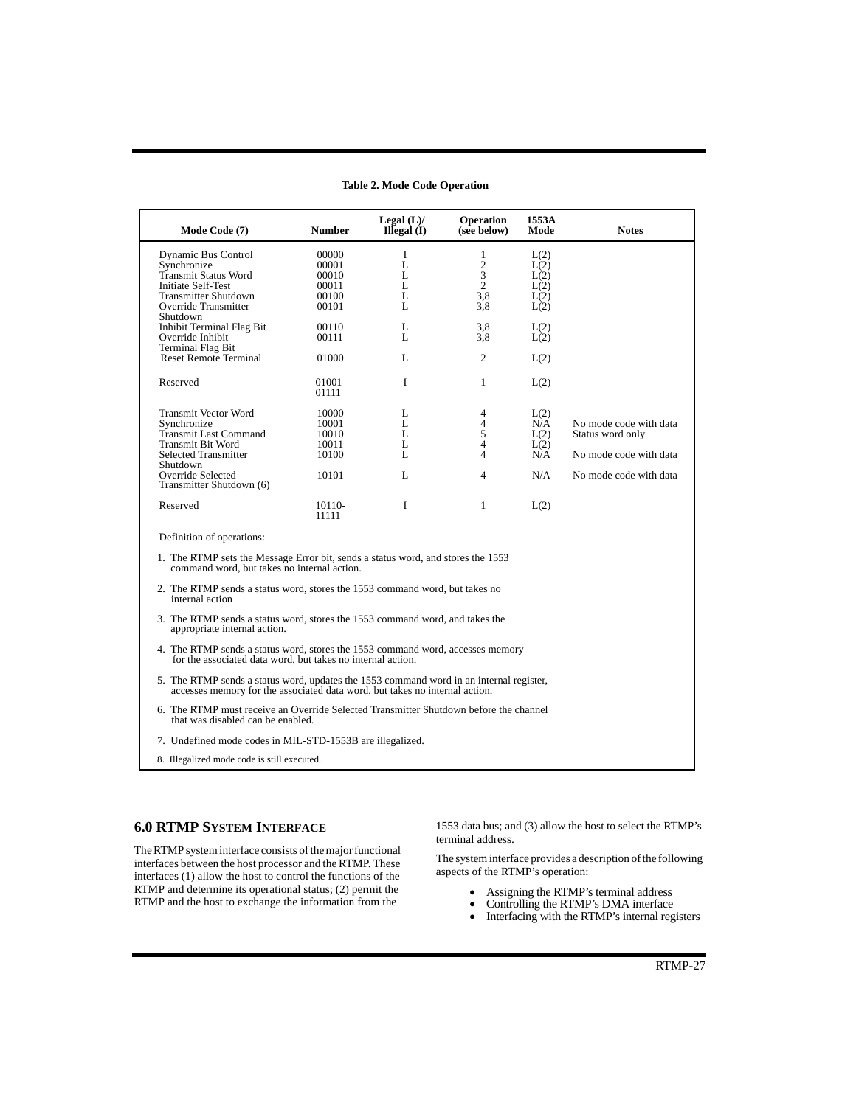| Mode Code (7)                                                                                                                                 | <b>Number</b>                                                                                                                                                          | Legal $(L)$ /<br>$II$ legal $(I)$ | <b>Operation</b><br>(see below) | 1553A<br>Mode | <b>Notes</b>           |  |  |  |  |
|-----------------------------------------------------------------------------------------------------------------------------------------------|------------------------------------------------------------------------------------------------------------------------------------------------------------------------|-----------------------------------|---------------------------------|---------------|------------------------|--|--|--|--|
| Dynamic Bus Control                                                                                                                           | 00000                                                                                                                                                                  | I                                 | $\mathbf{1}$                    | L(2)          |                        |  |  |  |  |
| Synchronize                                                                                                                                   | 00001                                                                                                                                                                  | L                                 | $\mathbf{2}$                    | L(2)          |                        |  |  |  |  |
| Transmit Status Word                                                                                                                          | 00010                                                                                                                                                                  | L                                 | 3                               | L(2)          |                        |  |  |  |  |
| Initiate Self-Test                                                                                                                            | 00011                                                                                                                                                                  | L                                 | $\overline{c}$                  | L(2)          |                        |  |  |  |  |
| <b>Transmitter Shutdown</b>                                                                                                                   | 00100                                                                                                                                                                  | L                                 | 3,8                             | L(2)          |                        |  |  |  |  |
| Override Transmitter                                                                                                                          | 00101                                                                                                                                                                  | L                                 | 3,8                             | L(2)          |                        |  |  |  |  |
| Shutdown                                                                                                                                      |                                                                                                                                                                        |                                   |                                 |               |                        |  |  |  |  |
| Inhibit Terminal Flag Bit                                                                                                                     | 00110                                                                                                                                                                  | L                                 | 3,8                             | L(2)          |                        |  |  |  |  |
| Override Inhibit                                                                                                                              | 00111                                                                                                                                                                  | L                                 | 3,8                             | L(2)          |                        |  |  |  |  |
| Terminal Flag Bit                                                                                                                             |                                                                                                                                                                        |                                   |                                 |               |                        |  |  |  |  |
| <b>Reset Remote Terminal</b>                                                                                                                  | 01000                                                                                                                                                                  | L                                 | $\overline{c}$                  | L(2)          |                        |  |  |  |  |
|                                                                                                                                               |                                                                                                                                                                        |                                   |                                 |               |                        |  |  |  |  |
|                                                                                                                                               |                                                                                                                                                                        |                                   |                                 |               |                        |  |  |  |  |
| Reserved                                                                                                                                      | 01001                                                                                                                                                                  | I                                 | $\mathbf{1}$                    | L(2)          |                        |  |  |  |  |
|                                                                                                                                               | 01111                                                                                                                                                                  |                                   |                                 |               |                        |  |  |  |  |
| <b>Transmit Vector Word</b>                                                                                                                   | 10000                                                                                                                                                                  | L                                 | 4                               |               |                        |  |  |  |  |
| Synchronize                                                                                                                                   | 10001                                                                                                                                                                  | L                                 | 4                               | L(2)<br>N/A   | No mode code with data |  |  |  |  |
| Transmit Last Command                                                                                                                         | 10010                                                                                                                                                                  | L                                 | 5                               | L(2)          | Status word only       |  |  |  |  |
| Transmit Bit Word                                                                                                                             | 10011                                                                                                                                                                  | L                                 | $\overline{4}$                  |               |                        |  |  |  |  |
| <b>Selected Transmitter</b>                                                                                                                   |                                                                                                                                                                        | L                                 | 4                               | L(2)<br>N/A   |                        |  |  |  |  |
| Shutdown                                                                                                                                      | 10100                                                                                                                                                                  |                                   |                                 |               | No mode code with data |  |  |  |  |
| Override Selected                                                                                                                             | 10101                                                                                                                                                                  | L                                 | 4                               | N/A           | No mode code with data |  |  |  |  |
| Transmitter Shutdown (6)                                                                                                                      |                                                                                                                                                                        |                                   |                                 |               |                        |  |  |  |  |
|                                                                                                                                               |                                                                                                                                                                        |                                   |                                 |               |                        |  |  |  |  |
| Reserved                                                                                                                                      | 10110-                                                                                                                                                                 | T                                 | $\mathbf{1}$                    | L(2)          |                        |  |  |  |  |
|                                                                                                                                               | 11111                                                                                                                                                                  |                                   |                                 |               |                        |  |  |  |  |
| Definition of operations:                                                                                                                     |                                                                                                                                                                        |                                   |                                 |               |                        |  |  |  |  |
| 1. The RTMP sets the Message Error bit, sends a status word, and stores the 1553<br>command word, but takes no internal action.               |                                                                                                                                                                        |                                   |                                 |               |                        |  |  |  |  |
| 2. The RTMP sends a status word, stores the 1553 command word, but takes no                                                                   |                                                                                                                                                                        |                                   |                                 |               |                        |  |  |  |  |
| internal action                                                                                                                               |                                                                                                                                                                        |                                   |                                 |               |                        |  |  |  |  |
| 3. The RTMP sends a status word, stores the 1553 command word, and takes the<br>appropriate internal action.                                  |                                                                                                                                                                        |                                   |                                 |               |                        |  |  |  |  |
| 4. The RTMP sends a status word, stores the 1553 command word, accesses memory<br>for the associated data word, but takes no internal action. |                                                                                                                                                                        |                                   |                                 |               |                        |  |  |  |  |
|                                                                                                                                               | 5. The RTMP sends a status word, updates the 1553 command word in an internal register,<br>accesses memory for the associated data word, but takes no internal action. |                                   |                                 |               |                        |  |  |  |  |
|                                                                                                                                               | 6. The RTMP must receive an Override Selected Transmitter Shutdown before the channel<br>that was disabled can be enabled.                                             |                                   |                                 |               |                        |  |  |  |  |
| 7. Undefined mode codes in MIL-STD-1553B are illegalized.                                                                                     |                                                                                                                                                                        |                                   |                                 |               |                        |  |  |  |  |
| 8. Illegalized mode code is still executed.                                                                                                   |                                                                                                                                                                        |                                   |                                 |               |                        |  |  |  |  |

### **Table 2. Mode Code Operation**

### **6.0 RTMP SYSTEM INTERFACE**

The RTMP system interface consists of the major functional interfaces between the host processor and the RTMP. These interfaces (1) allow the host to control the functions of the RTMP and determine its operational status; (2) permit the RTMP and the host to exchange the information from the

1553 data bus; and (3) allow the host to select the RTMP's terminal address.

The system interface provides a description of the following aspects of the RTMP's operation:

- Assigning the RTMP's terminal address
- Controlling the RTMP's DMA interface
- Interfacing with the RTMP's internal registers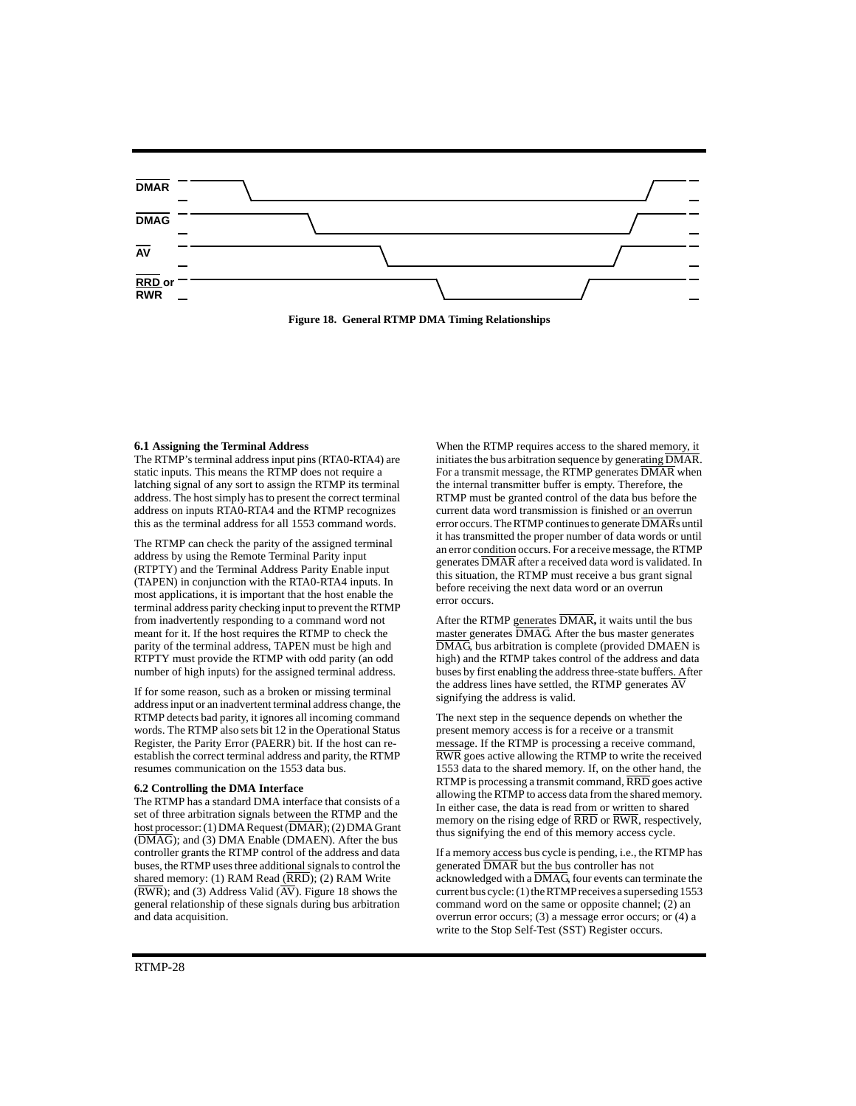

**Figure 18. General RTMP DMA Timing Relationships**

#### **6.1 Assigning the Terminal Address**

The RTMP's terminal address input pins (RTA0-RTA4) are static inputs. This means the RTMP does not require a latching signal of any sort to assign the RTMP its terminal address. The host simply has to present the correct terminal address on inputs RTA0-RTA4 and the RTMP recognizes this as the terminal address for all 1553 command words.

The RTMP can check the parity of the assigned terminal address by using the Remote Terminal Parity input (RTPTY) and the Terminal Address Parity Enable input (TAPEN) in conjunction with the RTA0-RTA4 inputs. In most applications, it is important that the host enable the terminal address parity checking input to prevent the RTMP from inadvertently responding to a command word not meant for it. If the host requires the RTMP to check the parity of the terminal address, TAPEN must be high and RTPTY must provide the RTMP with odd parity (an odd number of high inputs) for the assigned terminal address.

If for some reason, such as a broken or missing terminal address input or an inadvertent terminal address change, the RTMP detects bad parity, it ignores all incoming command words. The RTMP also sets bit 12 in the Operational Status Register, the Parity Error (PAERR) bit. If the host can reestablish the correct terminal address and parity, the RTMP resumes communication on the 1553 data bus.

#### **6.2 Controlling the DMA Interface**

The RTMP has a standard DMA interface that consists of a set of three arbitration signals between the RTMP and the host processor: (1) DMA Request (DMAR); (2) DMA Grant (DMAG); and (3) DMA Enable (DMAEN). After the bus controller grants the RTMP control of the address and data buses, the RTMP uses three additional signals to control the shared memory: (1) RAM Read  $(\overline{RRD})$ ; (2) RAM Write  $(\overline{\text{RWR}})$ ; and (3) Address Valid  $(\overline{\text{AV}})$ . Figure 18 shows the general relationship of these signals during bus arbitration and data acquisition.

When the RTMP requires access to the shared memory, it initiates the bus arbitration sequence by generating DMAR. For a transmit message, the RTMP generates DMAR when the internal transmitter buffer is empty. Therefore, the RTMP must be granted control of the data bus before the current data word transmission is finished or an overrun error occurs. The RTMP continues to generate DMARs until it has transmitted the proper number of data words or until an error condition occurs. For a receive message, the RTMP generates DMAR after a received data word is validated. In this situation, the RTMP must receive a bus grant signal before receiving the next data word or an overrun error occurs.

After the RTMP generates DMAR**,** it waits until the bus master generates DMAG. After the bus master generates DMAG, bus arbitration is complete (provided DMAEN is high) and the RTMP takes control of the address and data buses by first enabling the address three-state buffers. After the address lines have settled, the RTMP generates AV signifying the address is valid.

The next step in the sequence depends on whether the present memory access is for a receive or a transmit message. If the RTMP is processing a receive command, RWR goes active allowing the RTMP to write the received 1553 data to the shared memory. If, on the other hand, the RTMP is processing a transmit command, RRD goes active allowing the RTMP to access data from the shared memory. In either case, the data is read from or written to shared memory on the rising edge of RRD or RWR, respectively, thus signifying the end of this memory access cycle.

If a memory access bus cycle is pending, i.e., the RTMP has generated DMAR but the bus controller has not acknowledged with a  $\overline{\text{DMAG}}$  four events can terminate the current bus cycle: (1) the RTMP receives a superseding 1553 command word on the same or opposite channel; (2) an overrun error occurs; (3) a message error occurs; or (4) a write to the Stop Self-Test (SST) Register occurs.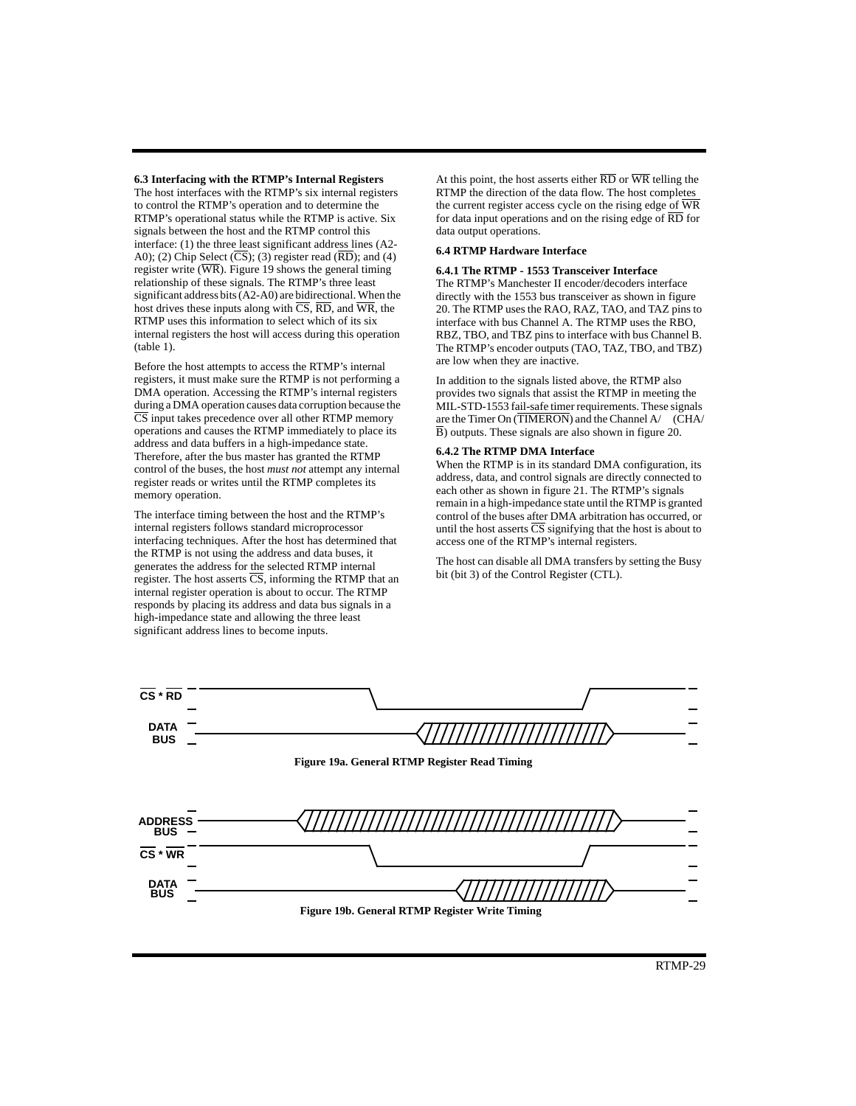**6.3 Interfacing with the RTMP's Internal Registers**

The host interfaces with the RTMP's six internal registers to control the RTMP's operation and to determine the RTMP's operational status while the RTMP is active. Six signals between the host and the RTMP control this interface: (1) the three least significant address lines (A2- A0); (2) Chip Select (CS); (3) register read (RD); and (4) register write  $(\overline{\text{WR}})$ . Figure 19 shows the general timing relationship of these signals. The RTMP's three least significant address bits (A2-A0) are bidirectional. When the host drives these inputs along with  $\overline{CS}$ ,  $\overline{RD}$ , and  $\overline{WR}$ , the RTMP uses this information to select which of its six internal registers the host will access during this operation (table 1).

Before the host attempts to access the RTMP's internal registers, it must make sure the RTMP is not performing a DMA operation. Accessing the RTMP's internal registers during a DMA operation causes data corruption because the  $\overline{\text{CS}}$  input takes precedence over all other RTMP memory operations and causes the RTMP immediately to place its address and data buffers in a high-impedance state. Therefore, after the bus master has granted the RTMP control of the buses, the host *must not* attempt any internal register reads or writes until the RTMP completes its memory operation.

The interface timing between the host and the RTMP's internal registers follows standard microprocessor interfacing techniques. After the host has determined that the RTMP is not using the address and data buses, it generates the address for the selected RTMP internal register. The host asserts  $\overline{CS}$ , informing the RTMP that an internal register operation is about to occur. The RTMP responds by placing its address and data bus signals in a high-impedance state and allowing the three least significant address lines to become inputs.

At this point, the host asserts either  $\overline{RD}$  or  $\overline{WR}$  telling the RTMP the direction of the data flow. The host completes the current register access cycle on the rising edge of WR for data input operations and on the rising edge of RD for data output operations.

#### **6.4 RTMP Hardware Interface**

### **6.4.1 The RTMP - 1553 Transceiver Interface**

The RTMP's Manchester II encoder/decoders interface directly with the 1553 bus transceiver as shown in figure 20. The RTMP uses the RAO, RAZ, TAO, and TAZ pins to interface with bus Channel A. The RTMP uses the RBO, RBZ, TBO, and TBZ pins to interface with bus Channel B. The RTMP's encoder outputs (TAO, TAZ, TBO, and TBZ) are low when they are inactive.

In addition to the signals listed above, the RTMP also provides two signals that assist the RTMP in meeting the MIL-STD-1553 fail-safe timer requirements. These signals are the Timer On (TIMERON) and the Channel A/ (CHA/ B) outputs. These signals are also shown in figure 20.

#### **6.4.2 The RTMP DMA Interface**

When the RTMP is in its standard DMA configuration, its address, data, and control signals are directly connected to each other as shown in figure 21. The RTMP's signals remain in a high-impedance state until the RTMP is granted control of the buses after DMA arbitration has occurred, or until the host asserts  $\overline{\text{CS}}$  signifying that the host is about to access one of the RTMP's internal registers.

The host can disable all DMA transfers by setting the Busy bit (bit 3) of the Control Register (CTL).

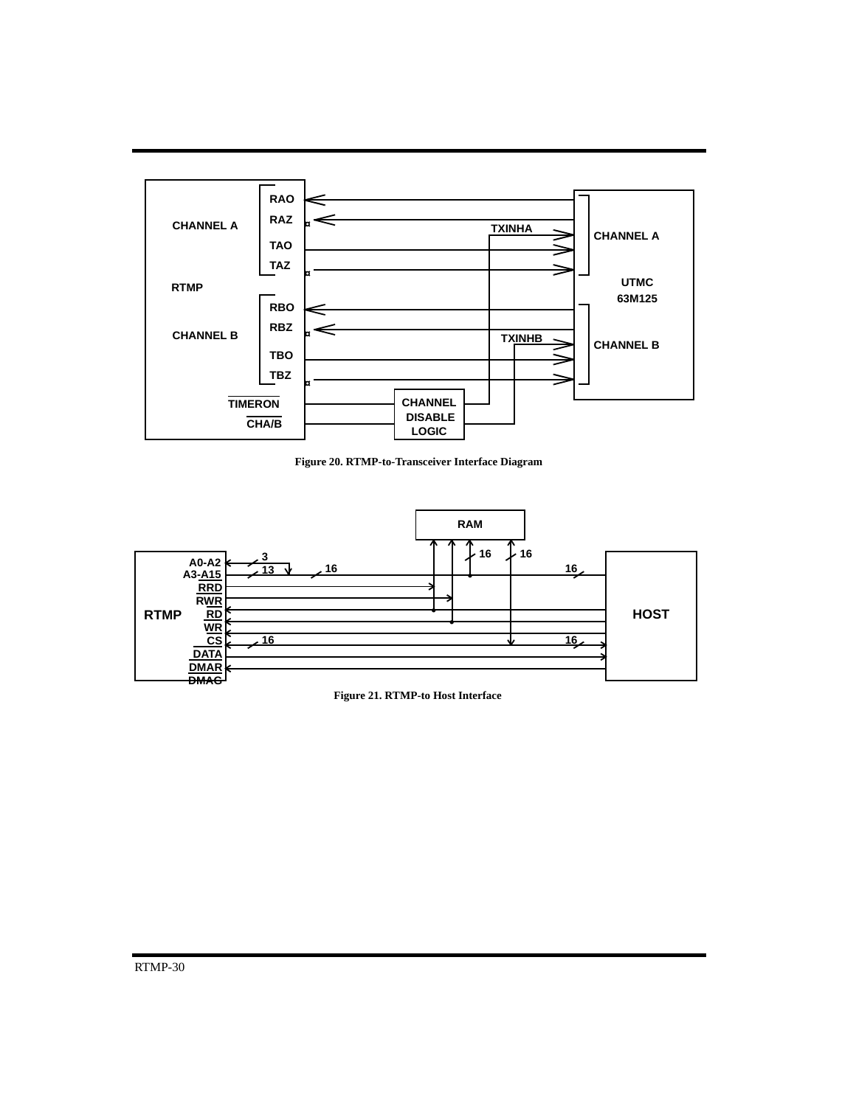

**Figure 20. RTMP-to-Transceiver Interface Diagram**



**Figure 21. RTMP-to Host Interface**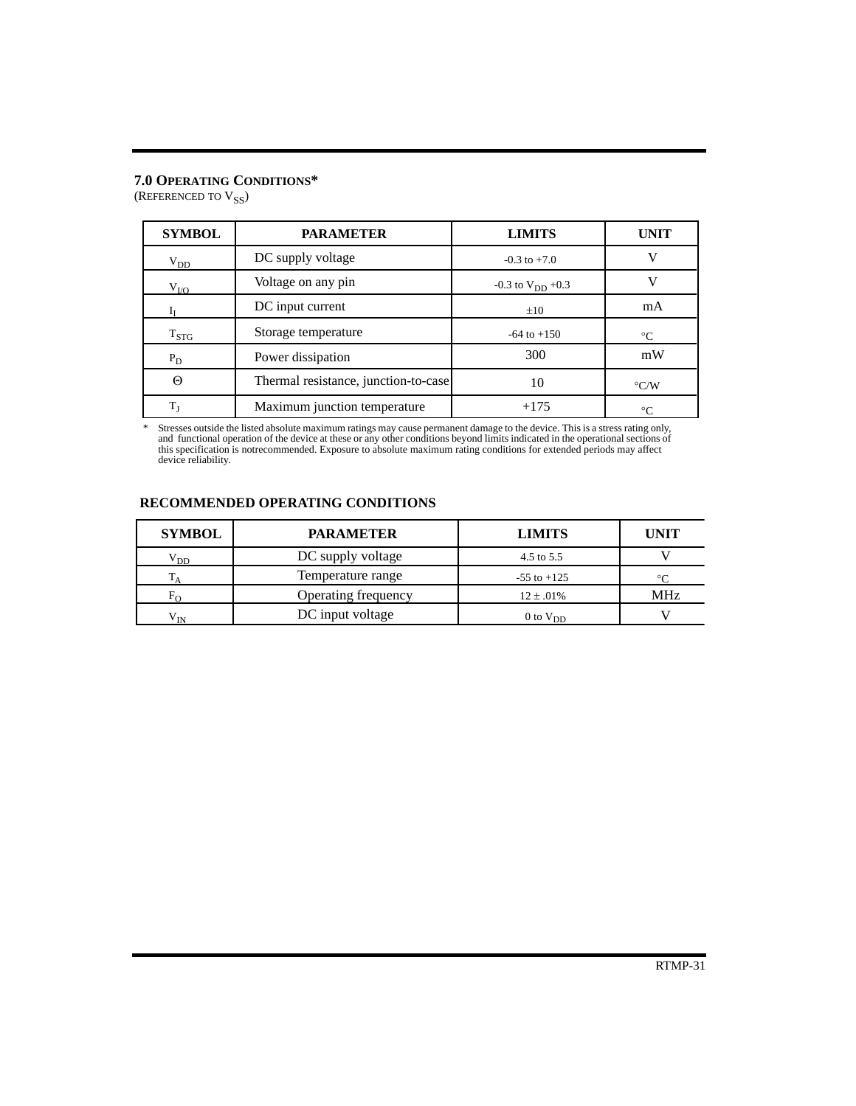# **7.0 OPERATING CONDITIONS\***

(REFERENCED TO  $\mathrm{V_{SS}}$ )

| <b>SYMBOL</b>      | <b>PARAMETER</b>                     | <b>LIMITS</b>           | <b>UNIT</b>        |
|--------------------|--------------------------------------|-------------------------|--------------------|
| $V_{DD}$           | DC supply voltage                    | $-0.3$ to $+7.0$        | V                  |
| $V_{I/O}$          | Voltage on any pin                   | $-0.3$ to $V_{DD}$ +0.3 |                    |
|                    | DC input current                     | $\pm 10$                | mA                 |
| $\mathrm{T_{STG}}$ | Storage temperature                  | $-64$ to $+150$         | $^{\circ}C$        |
| $P_D$              | Power dissipation                    | 300                     | mW                 |
| Θ                  | Thermal resistance, junction-to-case | 10                      | $\rm ^{\circ}$ C/W |
| T <sub>I</sub>     | Maximum junction temperature         | $+175$                  | $\circ$ C          |

\* Stresses outside the listed absolute maximum ratings may cause permanent damage to the device. This is a stress rating only, and functional operation of the device at these or any other conditions beyond limits indicated

# **RECOMMENDED OPERATING CONDITIONS**

| <b>SYMBOL</b> | <b>PARAMETER</b>    | <b>LIMITS</b>   | <b>UNIT</b> |
|---------------|---------------------|-----------------|-------------|
| $\rm{V}_{DD}$ | DC supply voltage   | 4.5 to 5.5      |             |
|               | Temperature range   | $-55$ to $+125$ | ∘∩          |
|               | Operating frequency | $12 \pm .01\%$  | MHz         |
| V TN          | DC input voltage    | $0$ to $V_{DD}$ |             |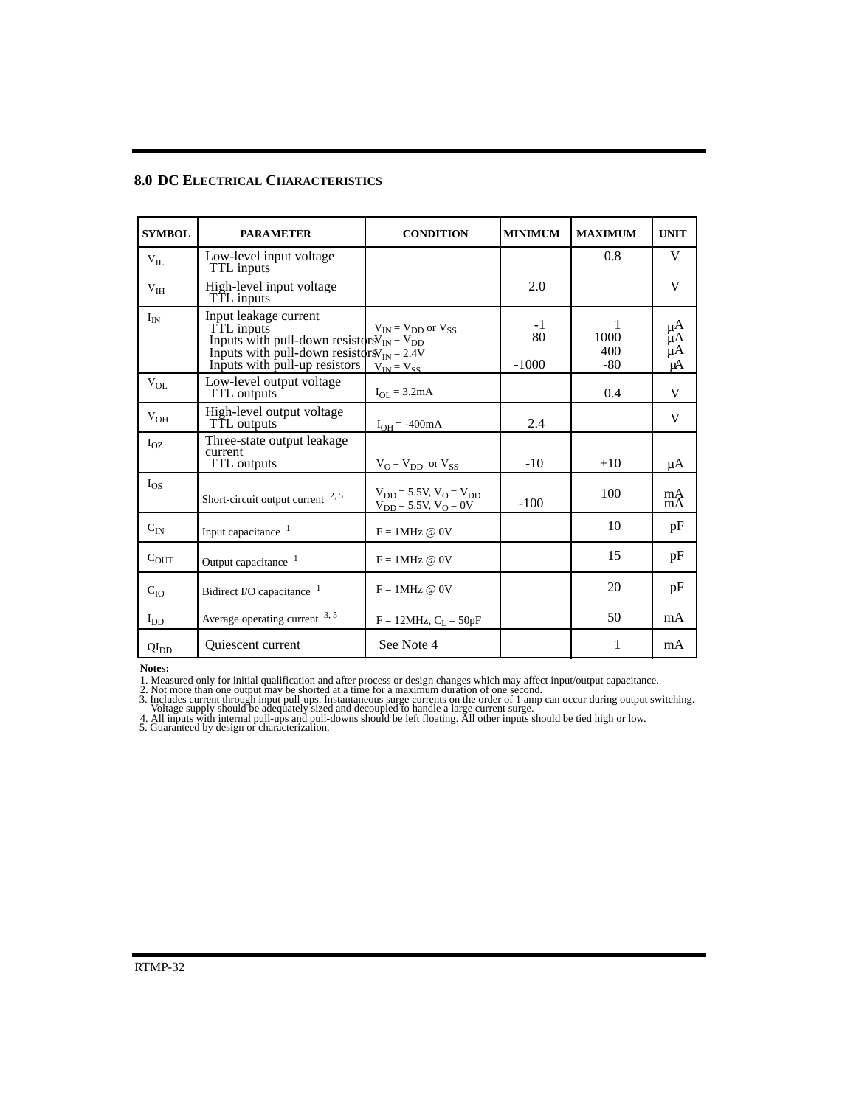# **8.0 DC ELECTRICAL CHARACTERISTICS**

| <b>SYMBOL</b>   | <b>PARAMETER</b>                                                                                                                                                            | <b>CONDITION</b>                                               | <b>MINIMUM</b>        | <b>MAXIMUM</b>       | <b>UNIT</b>          |
|-----------------|-----------------------------------------------------------------------------------------------------------------------------------------------------------------------------|----------------------------------------------------------------|-----------------------|----------------------|----------------------|
| $V_{IL}$        | Low-level input voltage<br>TTL inputs                                                                                                                                       |                                                                |                       | 0.8                  | V                    |
| V <sub>IH</sub> | High-level input voltage<br>TTL inputs                                                                                                                                      |                                                                | 2.0                   |                      | V                    |
| $I_{IN}$        | Input leakage current<br>TTL inputs<br>Inputs with pull-down resistor $N_{IN} = V_{DD}$<br>Inputs with pull-down resistors $W_{IN} = 2.4V$<br>Inputs with pull-up resistors | $V_{IN} = V_{DD}$ or $V_{SS}$<br>$V_{IN} = V_{SS}$             | $-1$<br>80<br>$-1000$ | 1000<br>400<br>$-80$ | μĄ<br>μA<br>μA<br>μA |
| $V_{OL}$        | Low-level output voltage<br><b>TTL</b> outputs                                                                                                                              | $I_{OL} = 3.2mA$                                               |                       | 0.4                  | V                    |
| $V_{OH}$        | High-level output voltage<br>TTL outputs                                                                                                                                    | $I_{OH} = -400mA$                                              | 2.4                   |                      | V                    |
| $I_{OZ}$        | Three-state output leakage<br>current<br>TTL outputs                                                                                                                        | $V_O = V_{DD}$ or $V_{SS}$                                     | $-10$                 | $+10$                | uА                   |
| $I_{OS}$        | Short-circuit output current $2, 5$                                                                                                                                         | $V_{DD} = 5.5V, V_{O} = V_{DD}$<br>$V_{DD} = 5.5V, V_{O} = 0V$ | $-100$                | 100                  | mA<br>mA             |
| $C_{IN}$        | Input capacitance <sup>1</sup>                                                                                                                                              | $F = 1MHz @ 0V$                                                |                       | 10                   | pF                   |
| $C_{OUT}$       | Output capacitance <sup>1</sup>                                                                                                                                             | $F = 1MHz @ 0V$                                                |                       | 15                   | pF                   |
| $C_{IO}$        | Bidirect I/O capacitance <sup>1</sup>                                                                                                                                       | $F = 1MHz @ 0V$                                                |                       | 20                   | pF                   |
| $I_{DD}$        | Average operating current $3, 5$                                                                                                                                            | $F = 12MHz, CL = 50pF$                                         |                       | 50                   | mA                   |
| $QI_{DD}$       | Quiescent current                                                                                                                                                           | See Note 4                                                     |                       | 1                    | mA                   |

**Notes:**

1. Measured only for initial qualification and after process or design changes which may affect input/output capacitance.

2. Not more than one output may be shorted at a time for a maximum duration of one second. 3. Includes current through input pull-ups. Instantaneous surge currents on the order of 1 amp can occur during output switching.<br>Voltage supply should be adequately sized and decoupled to handle a large current surge.

4. All inputs with internal pull-ups and pull-downs should be left floating. All other inputs should be tied high or low.

5. Guaranteed by design or characterization.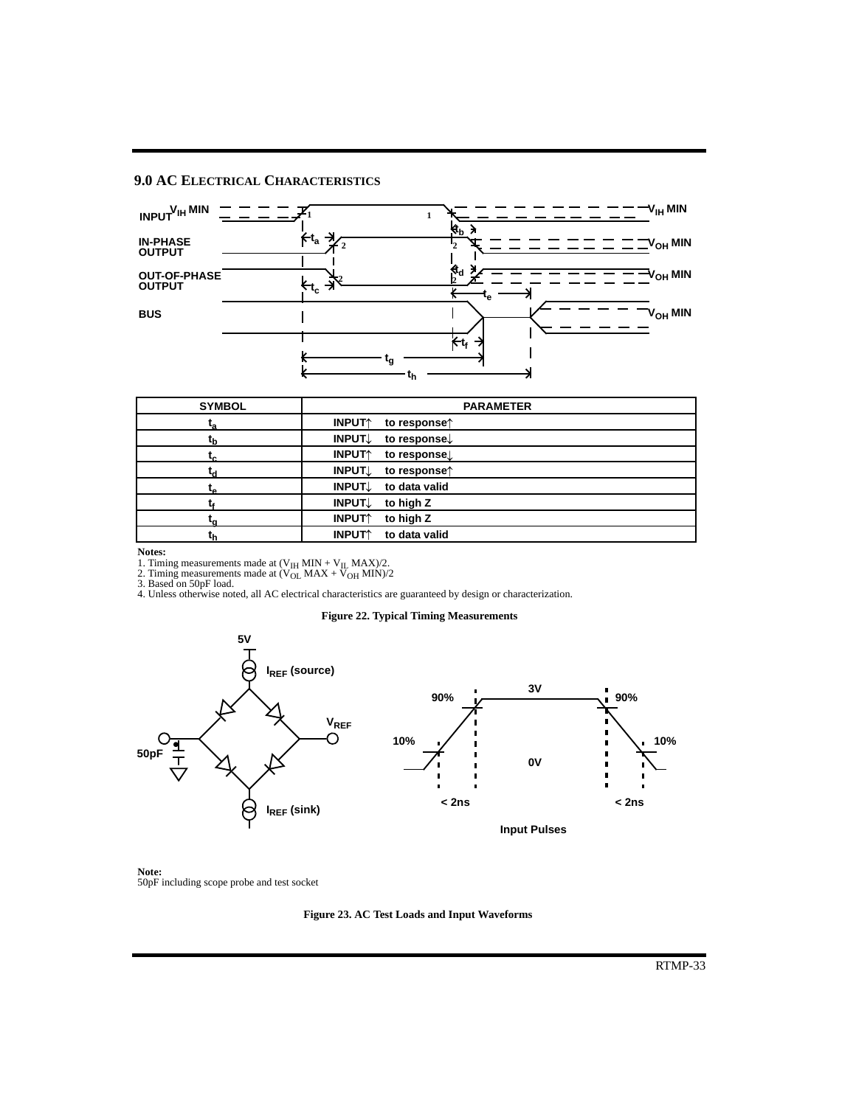# **9.0 AC ELECTRICAL CHARACTERISTICS**



| <b>SYMBOL</b> | <b>PARAMETER</b>                                             |
|---------------|--------------------------------------------------------------|
| ٠,            | <b>INPUT</b><br>to response $\uparrow$                       |
|               | <b>INPUT</b><br>to response.                                 |
|               | <b>INPUT</b> <sup>1</sup><br>to response.                    |
|               | <b>INPUT</b><br>to response <sup><math>\uparrow</math></sup> |
| τρ            | INPUT↓<br>to data valid                                      |
|               | INPUT↓<br>to high Z                                          |
|               | <b>INPUT</b> <sup>*</sup><br>to high Z                       |
|               | to data valid<br><b>INPUT</b> <sup>1</sup>                   |

**Notes:**

1. Timing measurements made at  $(V_{IH}$  MIN +  $V_{II}$  MAX)/2.<br>2. Timing measurements made at  $(V_{OL}$  MAX +  $V_{OH}$  MIN)/2<br>3. Based on 50pF load.<br>4. Unless otherwise noted, all AC electrical characteristics are guaranteed by de

# **Figure 22. Typical Timing Measurements**



**Note:** 50pF including scope probe and test socket

**Figure 23. AC Test Loads and Input Waveforms**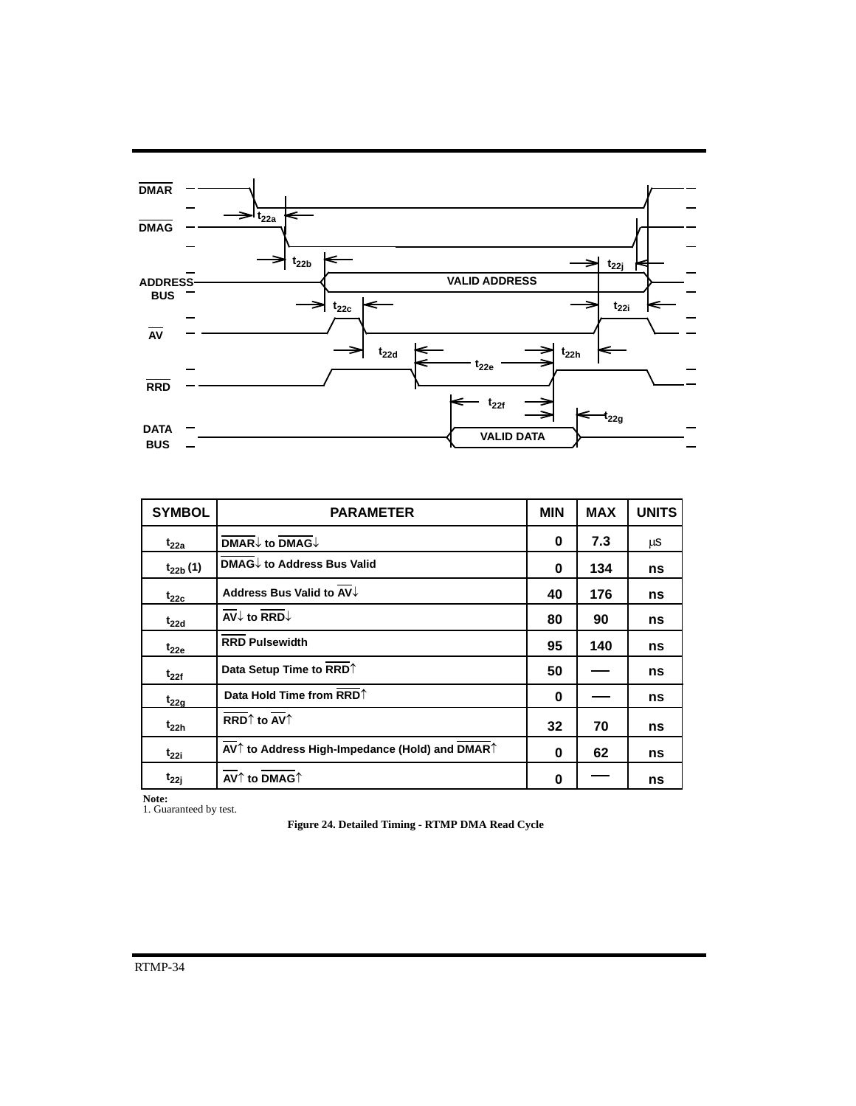

| <b>SYMBOL</b> | <b>PARAMETER</b>                                                                                               | <b>MIN</b> | <b>MAX</b> | <b>UNITS</b> |
|---------------|----------------------------------------------------------------------------------------------------------------|------------|------------|--------------|
| $t_{22a}$     | $\overline{\mathsf{DMAR}}\downarrow$ to $\overline{\mathsf{DMAG}}\downarrow$                                   | 0          | 7.3        | μS           |
| $t_{22b}$ (1) | DMAG↓ to Address Bus Valid                                                                                     | 0          | 134        | ns           |
| $t_{22c}$     | Address Bus Valid to AV↓                                                                                       | 40         | 176        | ns           |
| $t_{22d}$     | $\overline{AV}$ to RRD $\downarrow$                                                                            | 80         | 90         | ns           |
| $t_{22e}$     | <b>RRD Pulsewidth</b>                                                                                          | 95         | 140        | ns           |
| $t_{22f}$     | Data Setup Time to RRD <sup>1</sup>                                                                            | 50         |            | ns           |
| $t_{22a}$     | Data Hold Time from RRD <sup>1</sup>                                                                           | 0          |            | ns           |
| $t_{22h}$     | RRD $\uparrow$ to AV $\uparrow$                                                                                | 32         | 70         | ns           |
| $t_{22i}$     | AV <sup><math>\uparrow</math></sup> to Address High-Impedance (Hold) and DMAR <sup><math>\uparrow</math></sup> | 0          | 62         | ns           |
| $t_{22i}$     | $\overline{AV}$ to DMAG $\uparrow$                                                                             | 0          |            | ns           |

**Note:** 1. Guaranteed by test.

**Figure 24. Detailed Timing - RTMP DMA Read Cycle**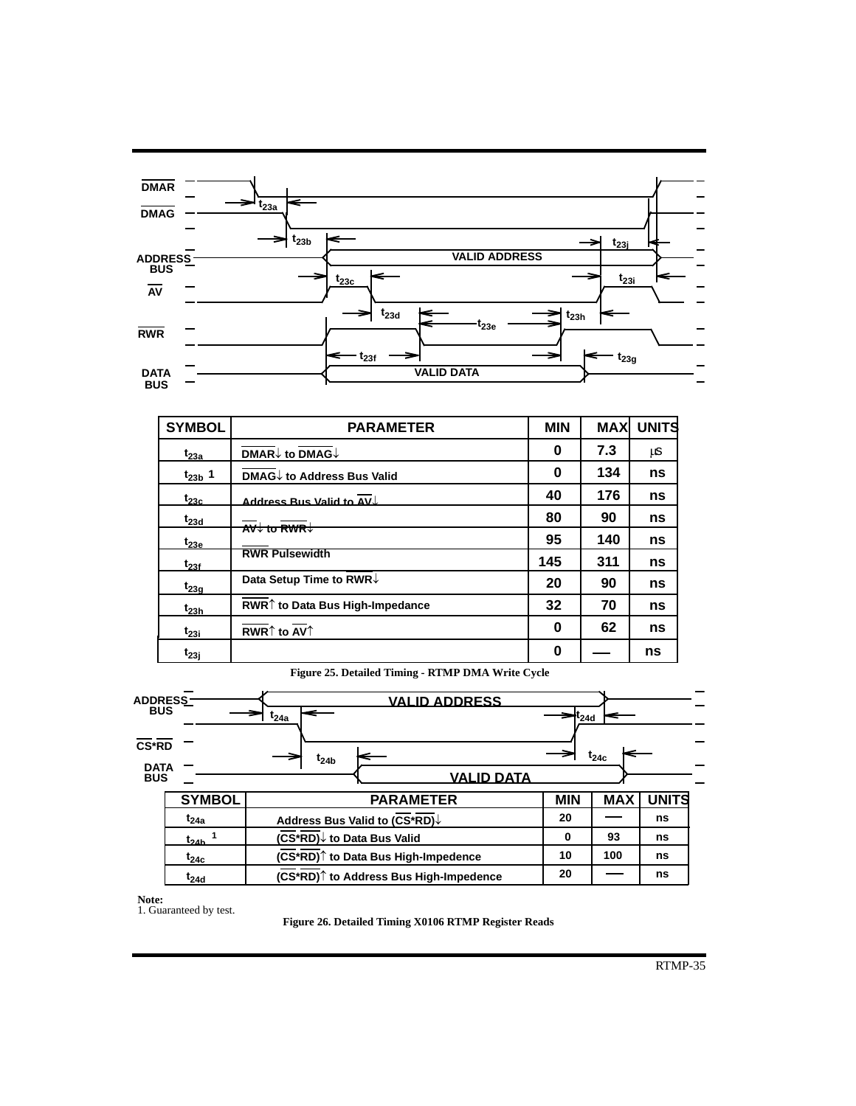

| <b>SYMBOL</b> | <b>PARAMETER</b>                                                             | <b>MIN</b> | <b>MAX</b> | <b>UNITS</b> |
|---------------|------------------------------------------------------------------------------|------------|------------|--------------|
| $t_{23a}$     | $\overline{\mathsf{DMAR}}\downarrow$ to $\overline{\mathsf{DMAG}}\downarrow$ | 0          | 7.3        | μS           |
| $t_{23b}$ 1   | <b>DMAG↓ to Address Bus Valid</b>                                            | 0          | 134        | ns           |
| $t_{23c}$     | Address Rus Valid to AV.                                                     | 40         | 176        | ns           |
| $t_{23d}$     | $\overline{AV}$ to RWR $\downarrow$                                          | 80         | 90         | ns           |
| $t_{23e}$     |                                                                              | 95         | 140        | ns           |
| $t_{23f}$     | <b>RWR Pulsewidth</b>                                                        | 145        | 311        | ns           |
| $t_{23g}$     | Data Setup Time to RWR↓                                                      | 20         | 90         | ns           |
| $t_{23h}$     | RWR <sup><math>\uparrow</math></sup> to Data Bus High-Impedance              | 32         | 70         | ns           |
| $t_{23i}$     | RWR $\uparrow$ to AV $\uparrow$                                              | 0          | 62         | ns           |
| $t_{23j}$     |                                                                              | 0          |            | ns           |

**Figure 25. Detailed Timing - RTMP DMA Write Cycle**

| ADDRESS_<br>BUS           |               | <b>VALID ADDRESS</b>                                                   |            |           |              |
|---------------------------|---------------|------------------------------------------------------------------------|------------|-----------|--------------|
|                           |               | $t_{24a}$                                                              | $L_{24d}$  |           |              |
| <b>CS*RD</b>              |               |                                                                        |            | $t_{24c}$ |              |
| <b>DATA</b><br><b>BUS</b> |               | $t_{24b}$<br><b>VALID DATA</b>                                         |            |           |              |
|                           | <b>SYMBOL</b> | <b>PARAMETER</b>                                                       | <b>MIN</b> | MAX       | <b>UNITS</b> |
|                           | $t_{24a}$     | Address Bus Valid to (CS*RD)↓                                          | 20         |           | ns           |
|                           | $t_{24h}$     | (CS <sup>*</sup> RD)↓ to Data Bus Valid                                | 0          | 93        | ns           |
|                           | $t_{24c}$     | (CS*RD) <sup>↑</sup> to Data Bus High-Impedence                        | 10         | 100       | ns           |
|                           | $t_{24d}$     | (CS*RD) <sup><math>\uparrow</math></sup> to Address Bus High-Impedence | 20         |           | ns           |

**Note:** 1. Guaranteed by test.

**Figure 26. Detailed Timing X0106 RTMP Register Reads**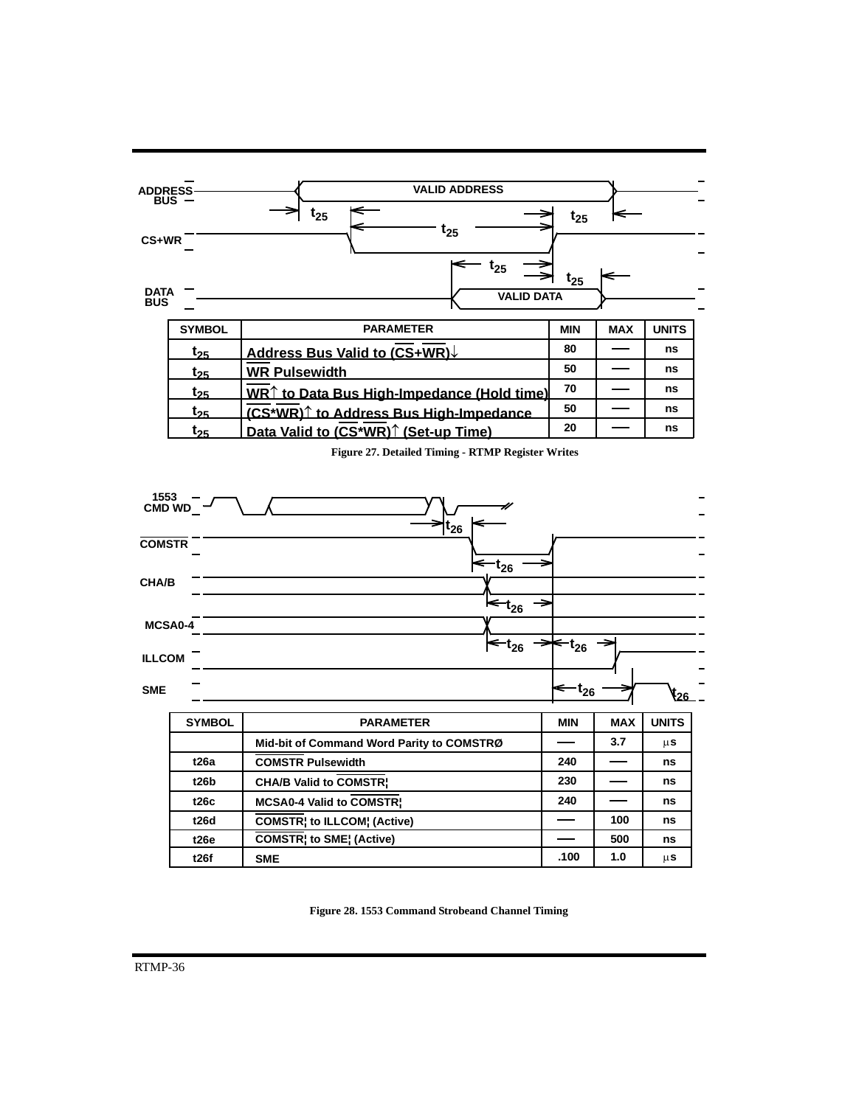

**Figure 27. Detailed Timing - RTMP Register Writes**



**Figure 28. 1553 Command Strobeand Channel Timing**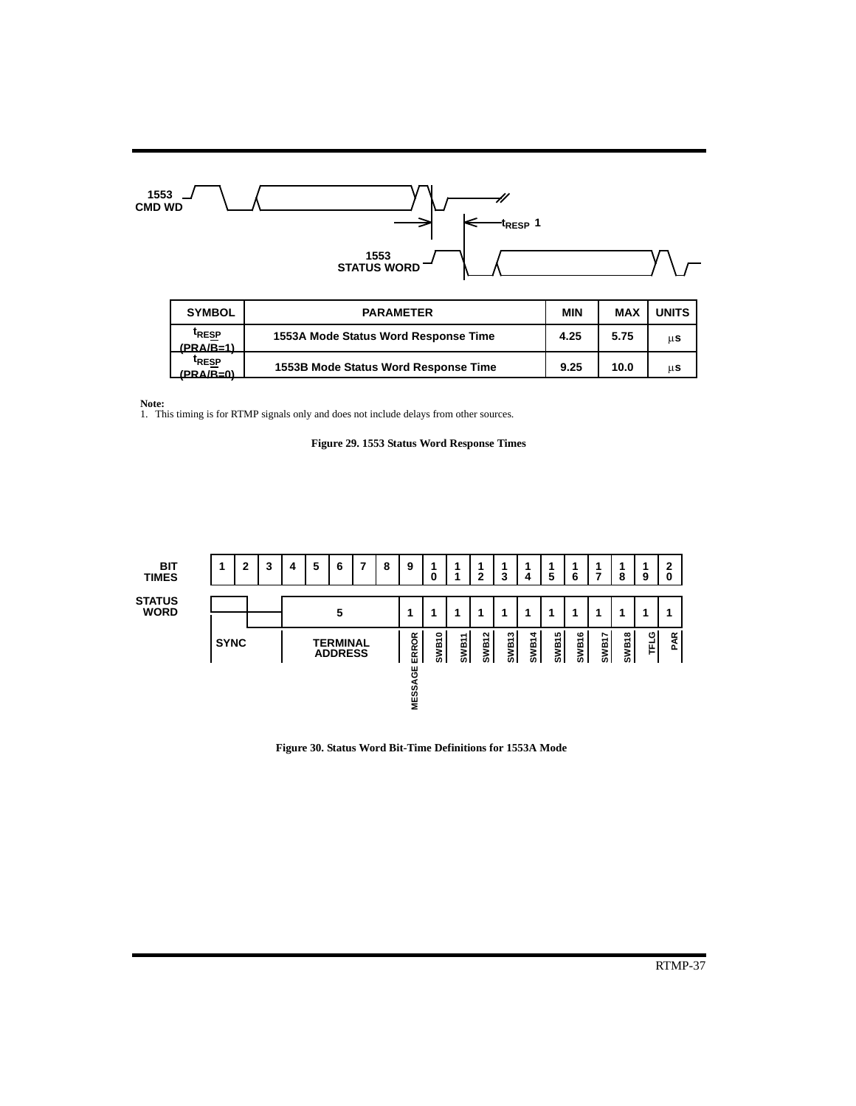

| <b>SYMBOL</b>                           | <b>PARAMETER</b>                     | <b>MIN</b> | <b>MAX</b> | <b>UNITS</b> |
|-----------------------------------------|--------------------------------------|------------|------------|--------------|
| <sup>T</sup> RESP<br>$(PRA/R=1)$        | 1553A Mode Status Word Response Time | 4.25       | 5.75       | μS           |
| <sup>t</sup> RESP<br>$(PR\Delta/R - 0)$ | 1553B Mode Status Word Response Time | 9.25       | 10.0       | μS           |

**Note:** 1. This timing is for RTMP signals only and does not include delays from other sources.





**Figure 30. Status Word Bit-Time Definitions for 1553A Mode**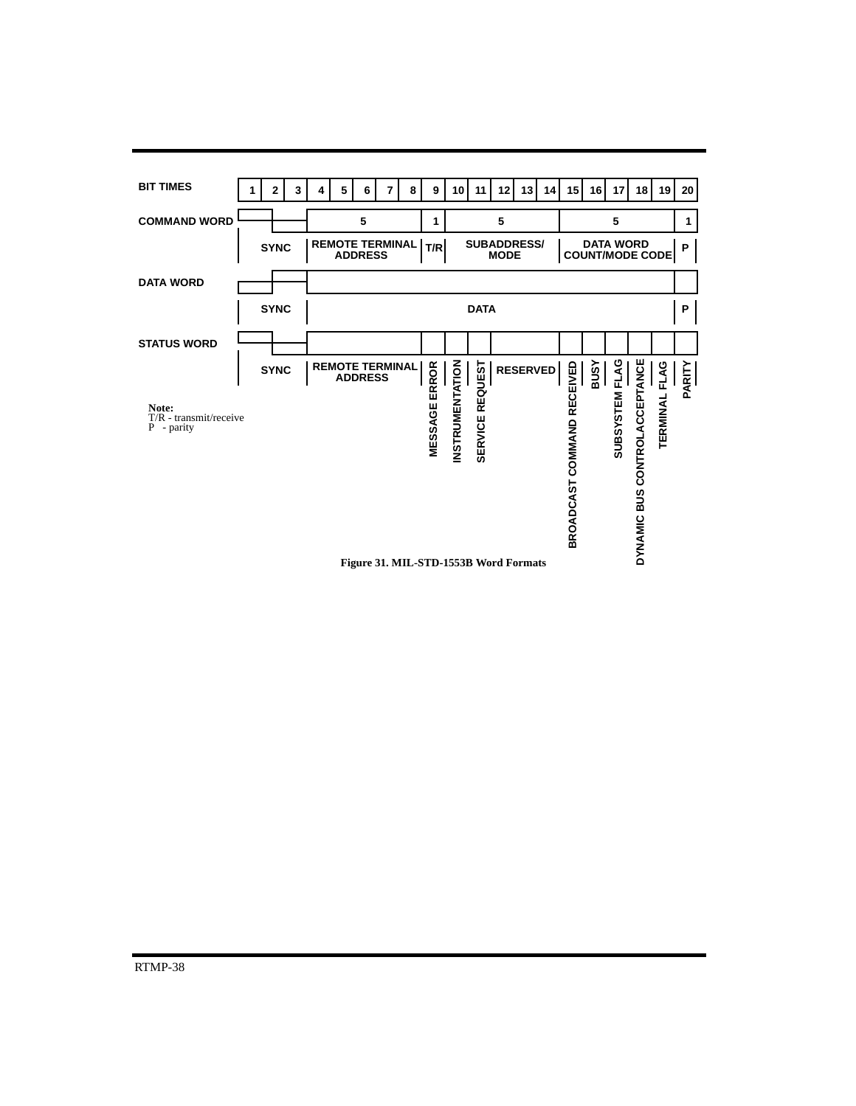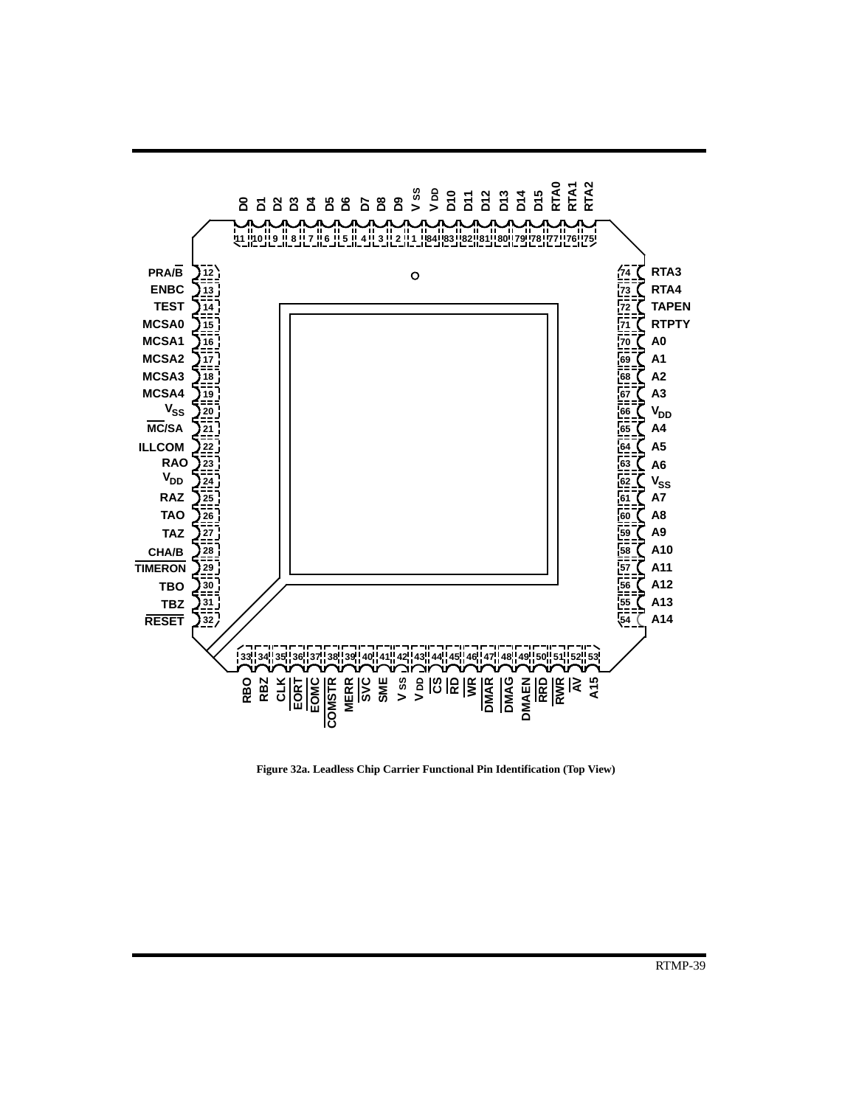

**Figure 32a. Leadless Chip Carrier Functional Pin Identification (Top View)**